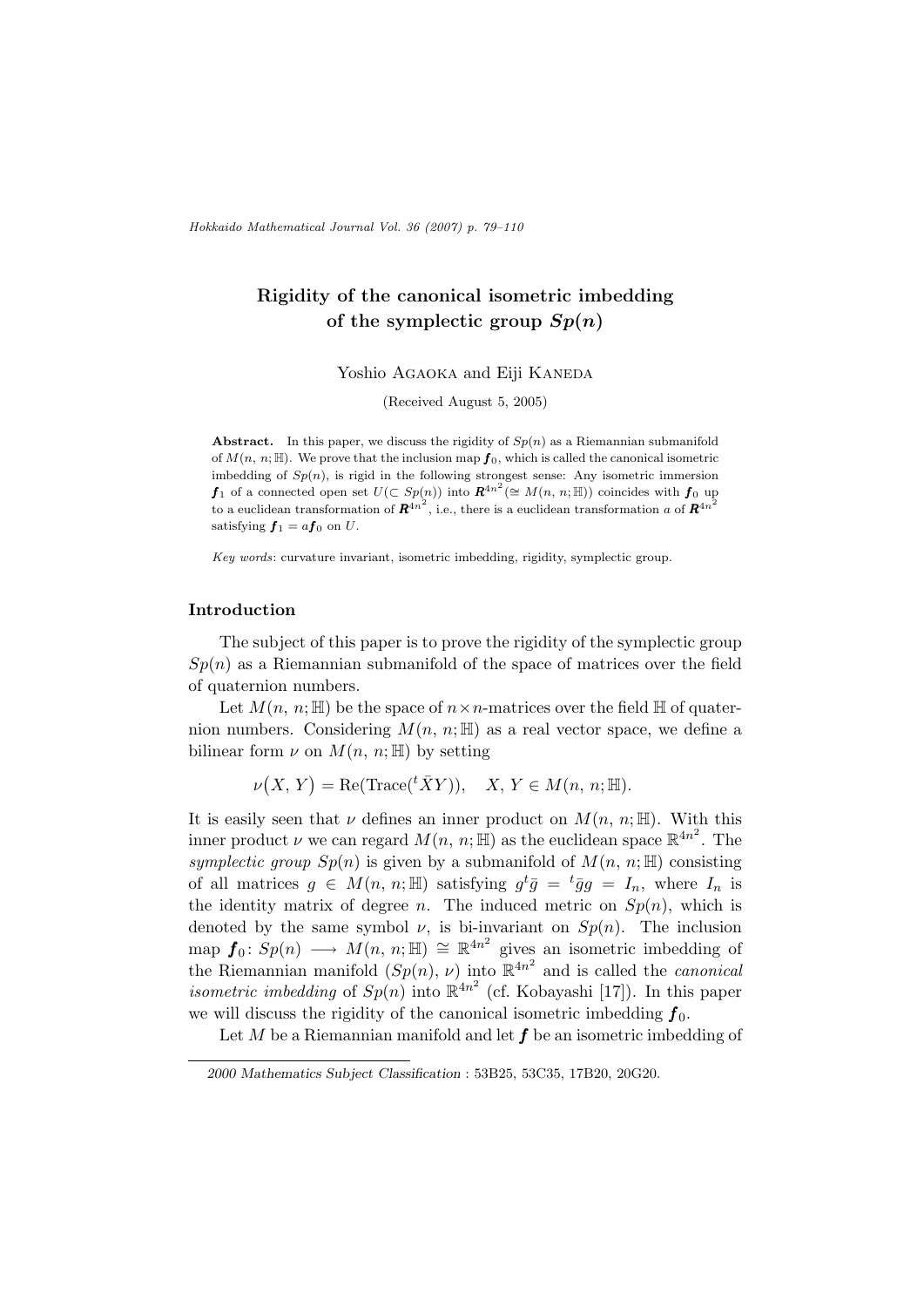Hokkaido Mathematical Journal Vol. 36 (2007) p. 79–110

# Rigidity of the canonical isometric imbedding of the symplectic group  $Sp(n)$

Yoshio AGAOKA and Eiji KANEDA

(Received August 5, 2005)

Abstract. In this paper, we discuss the rigidity of  $Sp(n)$  as a Riemannian submanifold of  $M(n, n; \mathbb{H})$ . We prove that the inclusion map  $f_0$ , which is called the canonical isometric imbedding of  $Sp(n)$ , is rigid in the following strongest sense: Any isometric immersion  $f_1$  of a connected open set  $U(\subset Sp(n))$  into  $\mathbb{R}^{4n^2}(\cong M(n, n; \mathbb{H}))$  coincides with  $f_0$  up to a euclidean transformation of  $\mathbf{R}^{4n^2}$ , i.e., there is a euclidean transformation a of  $\mathbf{R}^{4n^2}$ satisfying  $f_1 = af_0$  on U.

Key words: curvature invariant, isometric imbedding, rigidity, symplectic group.

# Introduction

The subject of this paper is to prove the rigidity of the symplectic group  $Sp(n)$  as a Riemannian submanifold of the space of matrices over the field of quaternion numbers.

Let  $M(n, n; \mathbb{H})$  be the space of  $n \times n$ -matrices over the field  $\mathbb{H}$  of quaternion numbers. Considering  $M(n, n; \mathbb{H})$  as a real vector space, we define a bilinear form  $\nu$  on  $M(n, n; \mathbb{H})$  by setting

$$
\nu(X, Y) = \text{Re}(\text{Trace}(\,^t \bar{X} Y)), \quad X, Y \in M(n, n; \mathbb{H}).
$$

It is easily seen that  $\nu$  defines an inner product on  $M(n, n; \mathbb{H})$ . With this inner product  $\nu$  we can regard  $M(n, n; \mathbb{H})$  as the euclidean space  $\mathbb{R}^{4n^2}$ . The symplectic group  $Sp(n)$  is given by a submanifold of  $M(n, n; \mathbb{H})$  consisting of all matrices  $g \in M(n, n; \mathbb{H})$  satisfying  $g^t \overline{g} = {}^t \overline{g} g = I_n$ , where  $I_n$  is the identity matrix of degree *n*. The induced metric on  $Sp(n)$ , which is denoted by the same symbol  $\nu$ , is bi-invariant on  $Sp(n)$ . The inclusion map  $f_0: Sp(n) \longrightarrow M(n, n; \mathbb{H}) \cong \mathbb{R}^{4n^2}$  gives an isometric imbedding of the Riemannian manifold  $(Sp(n), \nu)$  into  $\mathbb{R}^{4n^2}$  and is called the *canonical isometric imbedding* of  $Sp(n)$  into  $\mathbb{R}^{4n^2}$  (cf. Kobayashi [17]). In this paper we will discuss the rigidity of the canonical isometric imbedding  $f_0$ .

Let M be a Riemannian manifold and let  $f$  be an isometric imbedding of

<sup>2000</sup> Mathematics Subject Classification : 53B25, 53C35, 17B20, 20G20.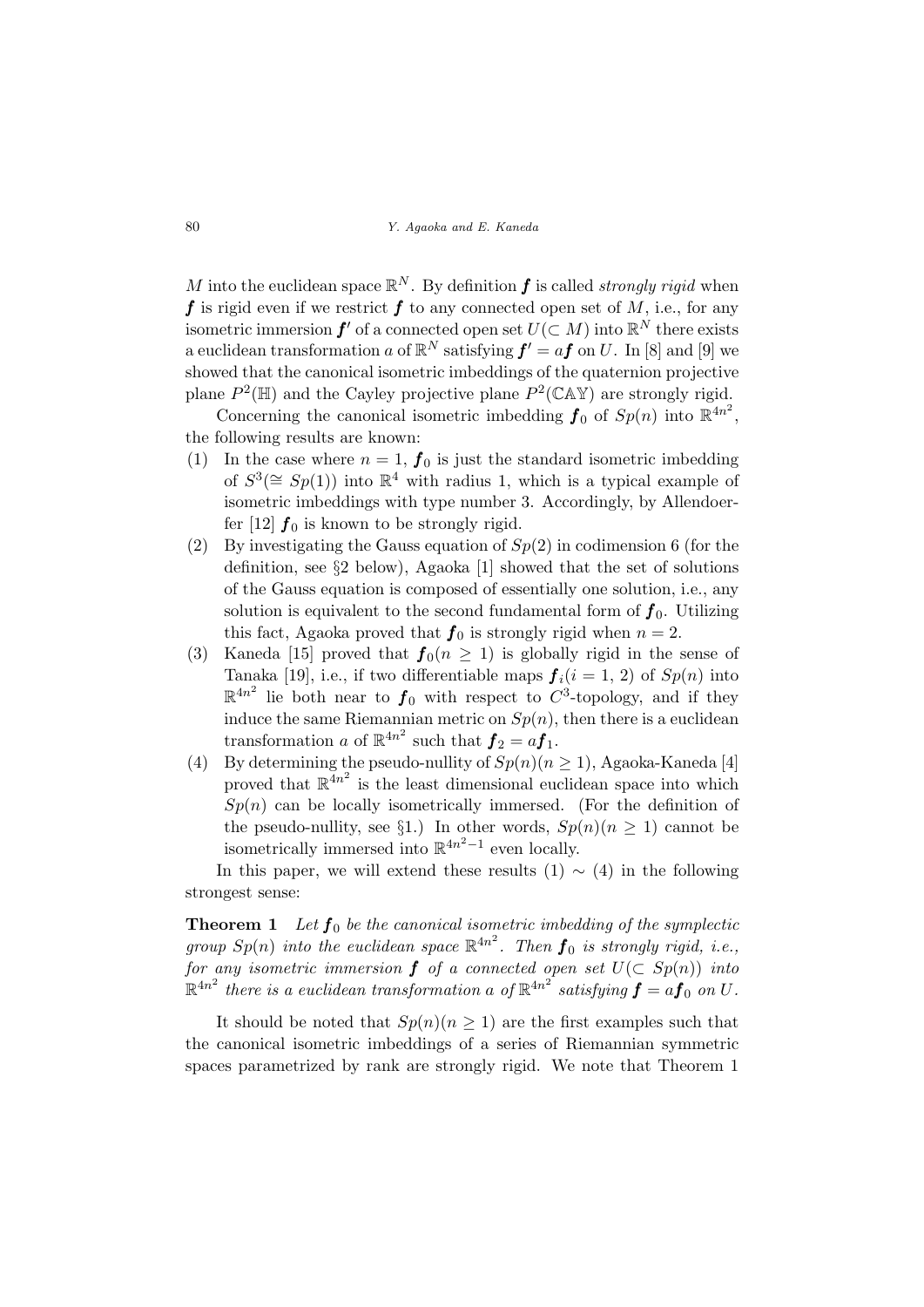M into the euclidean space  $\mathbb{R}^N$ . By definition **f** is called *strongly rigid* when f is rigid even if we restrict f to any connected open set of M, i.e., for any isometric immersion  $f'$  of a connected open set  $U(\subset M)$  into  $\mathbb{R}^N$  there exists a euclidean transformation a of  $\mathbb{R}^N$  satisfying  $f' = af$  on U. In [8] and [9] we showed that the canonical isometric imbeddings of the quaternion projective plane  $P^2(\mathbb{H})$  and the Cayley projective plane  $P^2(\mathbb{C}\mathbb{A}\mathbb{Y})$  are strongly rigid.

Concerning the canonical isometric imbedding  $f_0$  of  $Sp(n)$  into  $\mathbb{R}^{4n^2}$ , the following results are known:

- (1) In the case where  $n = 1$ ,  $f_0$  is just the standard isometric imbedding of  $S^3(\cong Sp(1))$  into  $\mathbb{R}^4$  with radius 1, which is a typical example of isometric imbeddings with type number 3. Accordingly, by Allendoerfer [12]  $f_0$  is known to be strongly rigid.
- (2) By investigating the Gauss equation of  $Sp(2)$  in codimension 6 (for the definition, see §2 below), Agaoka [1] showed that the set of solutions of the Gauss equation is composed of essentially one solution, i.e., any solution is equivalent to the second fundamental form of  $f_0$ . Utilizing this fact, Agaoka proved that  $f_0$  is strongly rigid when  $n = 2$ .
- (3) Kaneda [15] proved that  $f_0(n \ge 1)$  is globally rigid in the sense of Tanaka [19], i.e., if two differentiable maps  $f_i(i = 1, 2)$  of  $Sp(n)$  into  $\mathbb{R}^{4n^2}$  lie both near to  $f_0$  with respect to  $C^3$ -topology, and if they induce the same Riemannian metric on  $Sp(n)$ , then there is a euclidean transformation a of  $\mathbb{R}^{4n^2}$  such that  $\boldsymbol{f}_2 = a \boldsymbol{f}_1$ .
- (4) By determining the pseudo-nullity of  $Sp(n)(n \geq 1)$ , Agaoka-Kaneda [4] proved that  $\mathbb{R}^{4n^2}$  is the least dimensional euclidean space into which  $Sp(n)$  can be locally isometrically immersed. (For the definition of the pseudo-nullity, see §1.) In other words,  $Sp(n)(n \geq 1)$  cannot be isometrically immersed into  $\mathbb{R}^{4n^2-1}$  even locally.

In this paper, we will extend these results  $(1) \sim (4)$  in the following strongest sense:

**Theorem 1** Let  $f_0$  be the canonical isometric imbedding of the symplectic group  $Sp(n)$  into the euclidean space  $\mathbb{R}^{4n^2}$ . Then  $\boldsymbol{f}_0$  is strongly rigid, i.e., for any isometric immersion  $f$  of a connected open set  $U(\subset Sp(n))$  into  $\mathbb{R}^{4n^2}$  there is a euclidean transformation a of  $\mathbb{R}^{4n^2}$  satisfying  $\pmb{f}=a\pmb{f}_0$  on  $U$ .

It should be noted that  $Sp(n)(n \geq 1)$  are the first examples such that the canonical isometric imbeddings of a series of Riemannian symmetric spaces parametrized by rank are strongly rigid. We note that Theorem 1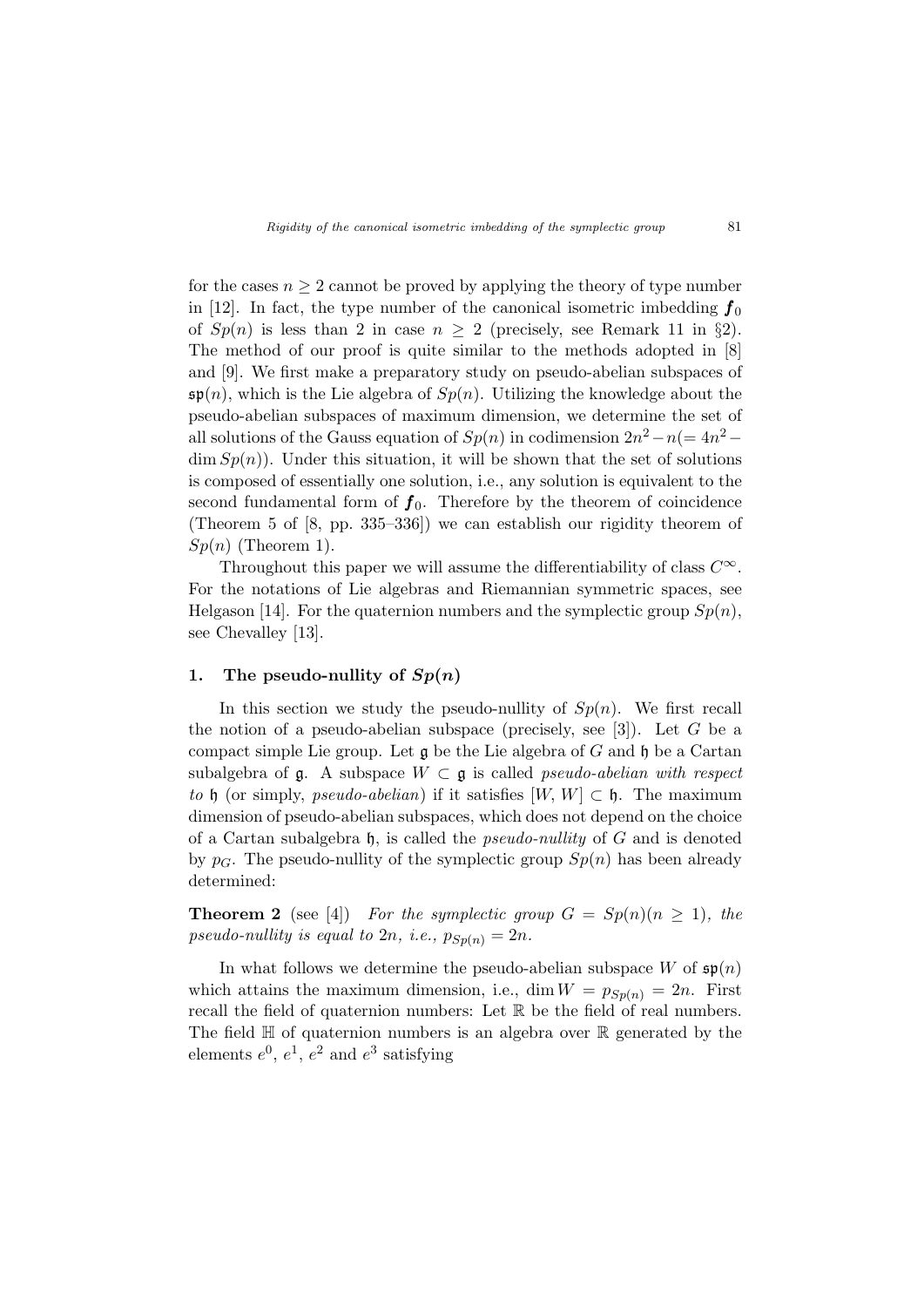for the cases  $n \geq 2$  cannot be proved by applying the theory of type number in [12]. In fact, the type number of the canonical isometric imbedding  $f_0$ of  $Sp(n)$  is less than 2 in case  $n \geq 2$  (precisely, see Remark 11 in §2). The method of our proof is quite similar to the methods adopted in [8] and [9]. We first make a preparatory study on pseudo-abelian subspaces of  $\mathfrak{sp}(n)$ , which is the Lie algebra of  $Sp(n)$ . Utilizing the knowledge about the pseudo-abelian subspaces of maximum dimension, we determine the set of all solutions of the Gauss equation of  $Sp(n)$  in codimension  $2n^2 - n(= 4n^2 \dim Sp(n)$ . Under this situation, it will be shown that the set of solutions is composed of essentially one solution, i.e., any solution is equivalent to the second fundamental form of  $f_0$ . Therefore by the theorem of coincidence (Theorem 5 of [8, pp. 335–336]) we can establish our rigidity theorem of  $Sp(n)$  (Theorem 1).

Throughout this paper we will assume the differentiability of class  $C^{\infty}$ . For the notations of Lie algebras and Riemannian symmetric spaces, see Helgason [14]. For the quaternion numbers and the symplectic group  $Sp(n)$ , see Chevalley [13].

# 1. The pseudo-nullity of  $Sp(n)$

In this section we study the pseudo-nullity of  $Sp(n)$ . We first recall the notion of a pseudo-abelian subspace (precisely, see  $[3]$ ). Let G be a compact simple Lie group. Let  $\mathfrak g$  be the Lie algebra of G and  $\mathfrak h$  be a Cartan subalgebra of  $\mathfrak{g}$ . A subspace  $W \subset \mathfrak{g}$  is called *pseudo-abelian with respect* to h (or simply, pseudo-abelian) if it satisfies  $[W, W] \subset \mathfrak{h}$ . The maximum dimension of pseudo-abelian subspaces, which does not depend on the choice of a Cartan subalgebra  $\mathfrak h$ , is called the *pseudo-nullity* of G and is denoted by  $p<sub>G</sub>$ . The pseudo-nullity of the symplectic group  $Sp(n)$  has been already determined:

**Theorem 2** (see [4]) For the symplectic group  $G = Sp(n)(n \ge 1)$ , the pseudo-nullity is equal to  $2n$ , i.e.,  $p_{Sp(n)} = 2n$ .

In what follows we determine the pseudo-abelian subspace W of  $\mathfrak{sp}(n)$ which attains the maximum dimension, i.e., dim  $W = p_{Sp(n)} = 2n$ . First recall the field of quaternion numbers: Let R be the field of real numbers. The field  $\mathbb H$  of quaternion numbers is an algebra over  $\mathbb R$  generated by the elements  $e^0$ ,  $e^1$ ,  $e^2$  and  $e^3$  satisfying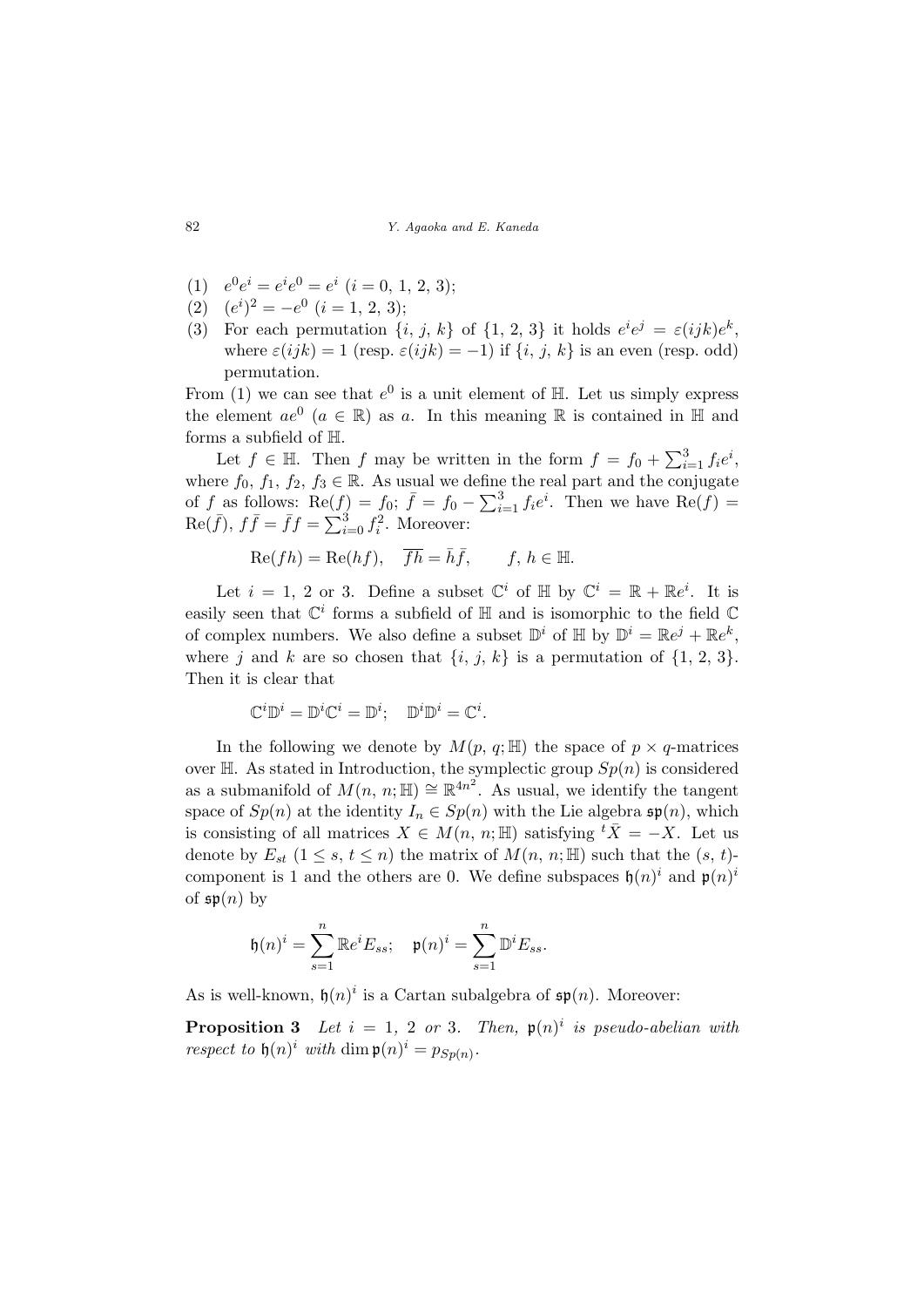- (1)  $e^0 e^i = e^i e^0 = e^i$   $(i = 0, 1, 2, 3);$
- (2)  $(e^{i})^2 = -e^0$   $(i = 1, 2, 3);$
- (3) For each permutation  $\{i, j, k\}$  of  $\{1, 2, 3\}$  it holds  $e^{i}e^{j} = \varepsilon(ijk)e^{k}$ , where  $\varepsilon(ijk) = 1$  (resp.  $\varepsilon(ijk) = -1$ ) if  $\{i, j, k\}$  is an even (resp. odd) permutation.

From (1) we can see that  $e^0$  is a unit element of  $\mathbb{H}$ . Let us simply express the element  $ae^{0}$   $(a \in \mathbb{R})$  as a. In this meaning  $\mathbb R$  is contained in  $\mathbb H$  and forms a subfield of H.

Let  $f \in \mathbb{H}$ . Then f may be written in the form  $f = f_0 + \sum_i^3$  $_{i=1}^{3}f_{i}e^{i},$ where  $f_0, f_1, f_2, f_3 \in \mathbb{R}$ . As usual we define the real part and the conjugate of f as follows: Re(f) =  $f_0$ ;  $\bar{f} = f_0 - \sum_{i=1}^{3}$  $_{i=1}^{3} f_i e^i$ . Then we have Re(f) =  $\text{Re}(\bar{f}), f\bar{f} = \bar{f}f = \sum_{i=1}^{3}$  $_{i=0}^{3} f_i^2$ . Moreover:

$$
\text{Re}(fh) = \text{Re}(hf), \quad \overline{fh} = \overline{h}\overline{f}, \qquad f, h \in \mathbb{H}.
$$

Let  $i = 1, 2$  or 3. Define a subset  $\mathbb{C}^i$  of  $\mathbb{H}$  by  $\mathbb{C}^i = \mathbb{R} + \mathbb{R}e^i$ . It is easily seen that  $\mathbb{C}^i$  forms a subfield of  $\mathbb H$  and is isomorphic to the field  $\mathbb C$ of complex numbers. We also define a subset  $\mathbb{D}^i$  of  $\mathbb{H}$  by  $\mathbb{D}^i = \mathbb{R}e^j + \mathbb{R}e^k$ , where j and k are so chosen that  $\{i, j, k\}$  is a permutation of  $\{1, 2, 3\}$ . Then it is clear that

$$
\mathbb{C}^i \mathbb{D}^i = \mathbb{D}^i \mathbb{C}^i = \mathbb{D}^i; \quad \mathbb{D}^i \mathbb{D}^i = \mathbb{C}^i.
$$

In the following we denote by  $M(p, q; \mathbb{H})$  the space of  $p \times q$ -matrices over  $H$ . As stated in Introduction, the symplectic group  $Sp(n)$  is considered as a submanifold of  $M(n, n; \mathbb{H}) \cong \mathbb{R}^{4n^2}$ . As usual, we identify the tangent space of  $Sp(n)$  at the identity  $I_n \in Sp(n)$  with the Lie algebra  $\mathfrak{sp}(n)$ , which is consisting of all matrices  $X \in M(n, n; \mathbb{H})$  satisfying  ${}^t\overline{X} = -X$ . Let us denote by  $E_{st}$   $(1 \leq s, t \leq n)$  the matrix of  $M(n, n; \mathbb{H})$  such that the  $(s, t)$ component is 1 and the others are 0. We define subspaces  $\mathfrak{h}(n)^i$  and  $\mathfrak{p}(n)^i$ of  $\mathfrak{sp}(n)$  by

$$
\mathfrak{h}(n)^i = \sum_{s=1}^n \mathbb{R} e^i E_{ss}; \quad \mathfrak{p}(n)^i = \sum_{s=1}^n \mathbb{D}^i E_{ss}.
$$

As is well-known,  $\mathfrak{h}(n)^i$  is a Cartan subalgebra of  $\mathfrak{sp}(n)$ . Moreover:

**Proposition 3** Let  $i = 1, 2$  or 3. Then,  $\mathfrak{p}(n)^i$  is pseudo-abelian with respect to  $\mathfrak{h}(n)^i$  with  $\dim \mathfrak{p}(n)^i = p_{Sp(n)}$ .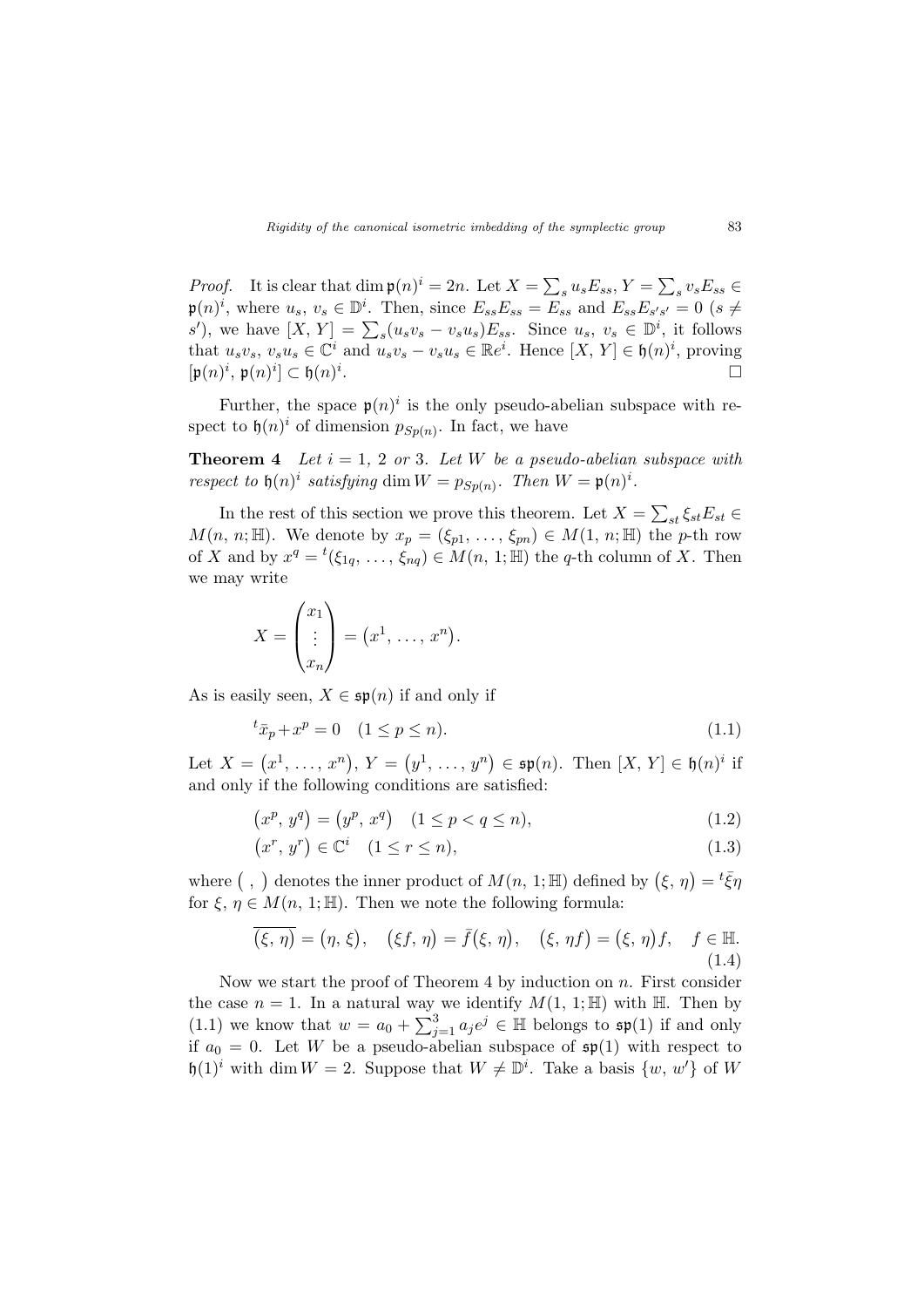*Proof.* It is clear that  $\dim \mathfrak{p}(n)^i = 2n$ . Let  $X = \sum$  $_s u_s E_{ss}$ ,  $Y =$  $\overline{ }$  $v_s E_{ss} \in$  $\mathfrak{p}(n)^i$ , where  $u_s, v_s \in \mathbb{D}^i$ . Then, since  $E_{ss}E_{ss} = E_{ss}$  and  $E_{ss}E_{s's'} = 0$  (s  $\neq$  $\mathcal{P}(h)$ , where  $u_s$ ,  $v_s \in \mathbb{D}$ . Then, since  $E_{ss}E_{ss} - E_{ss}$  and  $E_{ss}E_{s's'} = 0$  ( $s \neq s'$ ), we have  $[X, Y] = \sum_s (u_s v_s - v_s u_s) E_{ss}$ . Since  $u_s, v_s \in \mathbb{D}^i$ , it follows that  $u_sv_s, v_su_s \in \mathbb{C}^i$  and  $u_sv_s - v_su_s \in \mathbb{R}e^i$ . Hence  $[X, Y] \in \mathfrak{h}(n)^i$ , proving  $[\mathfrak{p}(n)^i, \mathfrak{p}(n)^i] \subset \mathfrak{h}(n)^i$ . The contract of the contract of the contract of  $\Box$ 

Further, the space  $\mathfrak{p}(n)^i$  is the only pseudo-abelian subspace with respect to  $\mathfrak{h}(n)^i$  of dimension  $p_{Sp(n)}$ . In fact, we have

**Theorem 4** Let  $i = 1, 2$  or 3. Let W be a pseudo-abelian subspace with respect to  $\mathfrak{h}(n)^i$  satisfying dim  $W = p_{Sp(n)}$ . Then  $W = \mathfrak{p}(n)^i$ .

In the rest of this section we prove this theorem. Let  $X =$  $\overline{ }$  $\varsigma_{st} \xi_{st} E_{st} \in$  $M(n, n; \mathbb{H})$ . We denote by  $x_p = (\xi_{p1}, \ldots, \xi_{pn}) \in M(1, n; \mathbb{H})$  the p-th row of X and by  $x^q = {}^t(\xi_{1q}, \ldots, \xi_{nq}) \in M(n, 1; \mathbb{H})$  the q-th column of X. Then we may write

$$
X = \begin{pmatrix} x_1 \\ \vdots \\ x_n \end{pmatrix} = (x^1, \dots, x^n).
$$

As is easily seen,  $X \in \mathfrak{sp}(n)$  if and only if

$$
{}^{t}\bar{x}_{p} + x^{p} = 0 \quad (1 \le p \le n). \tag{1.1}
$$

Let  $X =$ ¡  $x^1, \ldots, x^n$  $, Y =$ ¡  $y^1, \ldots, y^n$  $\in$   $\mathfrak{sp}(n)$ . Then  $[X, Y] \in \mathfrak{h}(n)^i$  if and only if the following conditions are satisfied:

$$
(x^p, y^q) = (y^p, x^q) \quad (1 \le p < q \le n), \tag{1.2}
$$

$$
(x^r, y^r) \in \mathbb{C}^i \quad (1 \le r \le n), \tag{1.3}
$$

where  $($ , ) denotes the inner product of  $M(n, 1; \mathbb{H})$  defined by  $(\xi, \eta) = {}^t \bar{\xi} \eta$ for  $\xi, \eta \in M(n, 1; \mathbb{H})$ . Then we note the following formula:

$$
\overline{(\xi,\eta)} = (\eta,\xi), \quad (\xi f,\eta) = \overline{f}(\xi,\eta), \quad (\xi,\eta f) = (\xi,\eta)f, \quad f \in \mathbb{H}.
$$
\n(1.4)

Now we start the proof of Theorem 4 by induction on  $n$ . First consider the case  $n = 1$ . In a natural way we identify  $M(1, 1; \mathbb{H})$  with  $\mathbb{H}$ . Then by (1.1) we know that  $w = a_0 + \sum_{i=1}^{3}$  $j=1 \ a_j e^j \in \mathbb{H}$  belongs to  $\mathfrak{sp}(1)$  if and only if  $a_0 = 0$ . Let W be a pseudo-abelian subspace of  $\mathfrak{sp}(1)$  with respect to  $\mathfrak{h}(1)^i$  with dim  $W = 2$ . Suppose that  $W \neq \mathbb{D}^i$ . Take a basis  $\{w, w'\}$  of W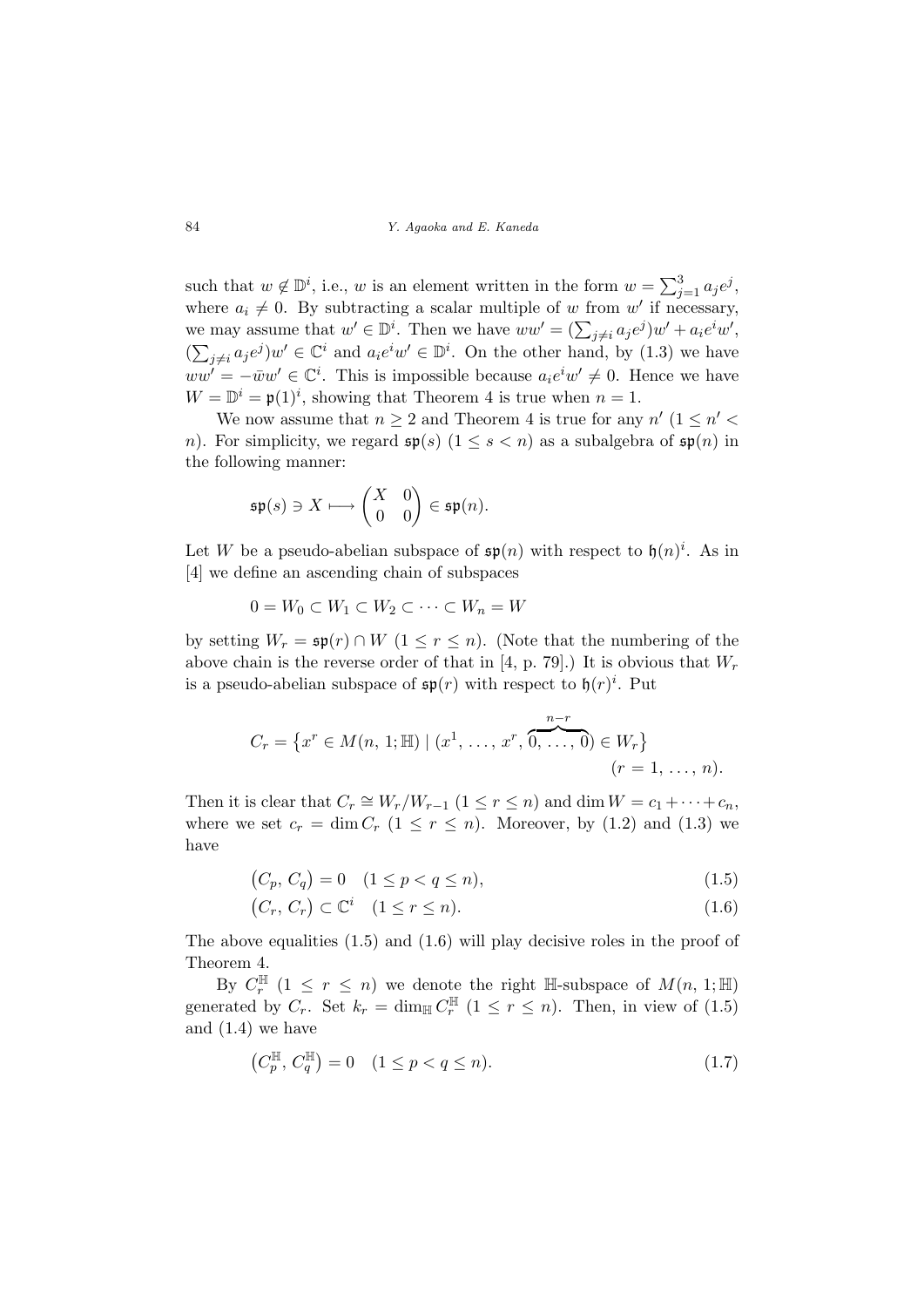such that  $w \notin \mathbb{D}^i$ , i.e., w is an element written in the form  $w = \sum_{i=1}^{3}$  $_{j=1}^{3} a_{j} e^{j}$ where  $a_i \neq 0$ . By subtracting a scalar multiple of w from w' if necessary, where  $u_i \neq 0$ . By subtracting a scalar multiple of w from w if necessary,<br>we may assume that  $w' \in \mathbb{D}^i$ . Then we have  $ww' = (\sum_{j \neq i} a_j e^j) w' + a_i e^i w'$ , (  $\sum_{i=1}^{\infty}$  $_{j\neq i}a_je^j$ ) $w' \in \mathbb{C}^i$  and  $a_ie^iw' \in \mathbb{D}^i$ . On the other hand, by (1.3) we have  $ww' = -\bar{w}w' \in \mathbb{C}^i$ . This is impossible because  $a_i e^i w' \neq 0$ . Hence we have  $W = \mathbb{D}^{i} = \mathfrak{p}(1)^{i}$ , showing that Theorem 4 is true when  $n = 1$ .

We now assume that  $n \geq 2$  and Theorem 4 is true for any  $n'$  ( $1 \leq n' <$ n). For simplicity, we regard  $\mathfrak{sp}(s)$   $(1 \leq s < n)$  as a subalgebra of  $\mathfrak{sp}(n)$  in the following manner:

$$
\mathfrak{sp}(s) \ni X \longmapsto \begin{pmatrix} X & 0 \\ 0 & 0 \end{pmatrix} \in \mathfrak{sp}(n).
$$

Let W be a pseudo-abelian subspace of  $\mathfrak{sp}(n)$  with respect to  $\mathfrak{h}(n)^i$ . As in [4] we define an ascending chain of subspaces

$$
0 = W_0 \subset W_1 \subset W_2 \subset \cdots \subset W_n = W
$$

by setting  $W_r = \mathfrak{sp}(r) \cap W$   $(1 \leq r \leq n)$ . (Note that the numbering of the above chain is the reverse order of that in [4, p. 79].) It is obvious that  $W_r$ is a pseudo-abelian subspace of  $\mathfrak{sp}(r)$  with respect to  $\mathfrak{h}(r)^i$ . Put

$$
C_r = \{x^r \in M(n, 1; \mathbb{H}) \mid (x^1, \dots, x^r, \overbrace{0, \dots, 0}^{n-r}) \in W_r\} \quad (r = 1, \dots, n).
$$

Then it is clear that  $C_r \cong W_r/W_{r-1}$   $(1 \leq r \leq n)$  and  $\dim W = c_1 + \cdots + c_n$ , where we set  $c_r = \dim C_r$   $(1 \le r \le n)$ . Moreover, by  $(1.2)$  and  $(1.3)$  we have

$$
(C_p, C_q) = 0 \quad (1 \le p < q \le n), \tag{1.5}
$$

$$
(C_r, C_r) \subset \mathbb{C}^i \quad (1 \le r \le n). \tag{1.6}
$$

The above equalities (1.5) and (1.6) will play decisive roles in the proof of Theorem 4.

By  $C_r^{\mathbb{H}}$  (1  $\leq r \leq n$ ) we denote the right  $\mathbb{H}$ -subspace of  $M(n, 1; \mathbb{H})$ generated by  $C_r$ . Set  $k_r = \dim_{\mathbb{H}} C_r^{\mathbb{H}}$   $(1 \leq r \leq n)$ . Then, in view of  $(1.5)$ and (1.4) we have

$$
(C_p^{\mathbb{H}}, C_q^{\mathbb{H}}) = 0 \quad (1 \le p < q \le n). \tag{1.7}
$$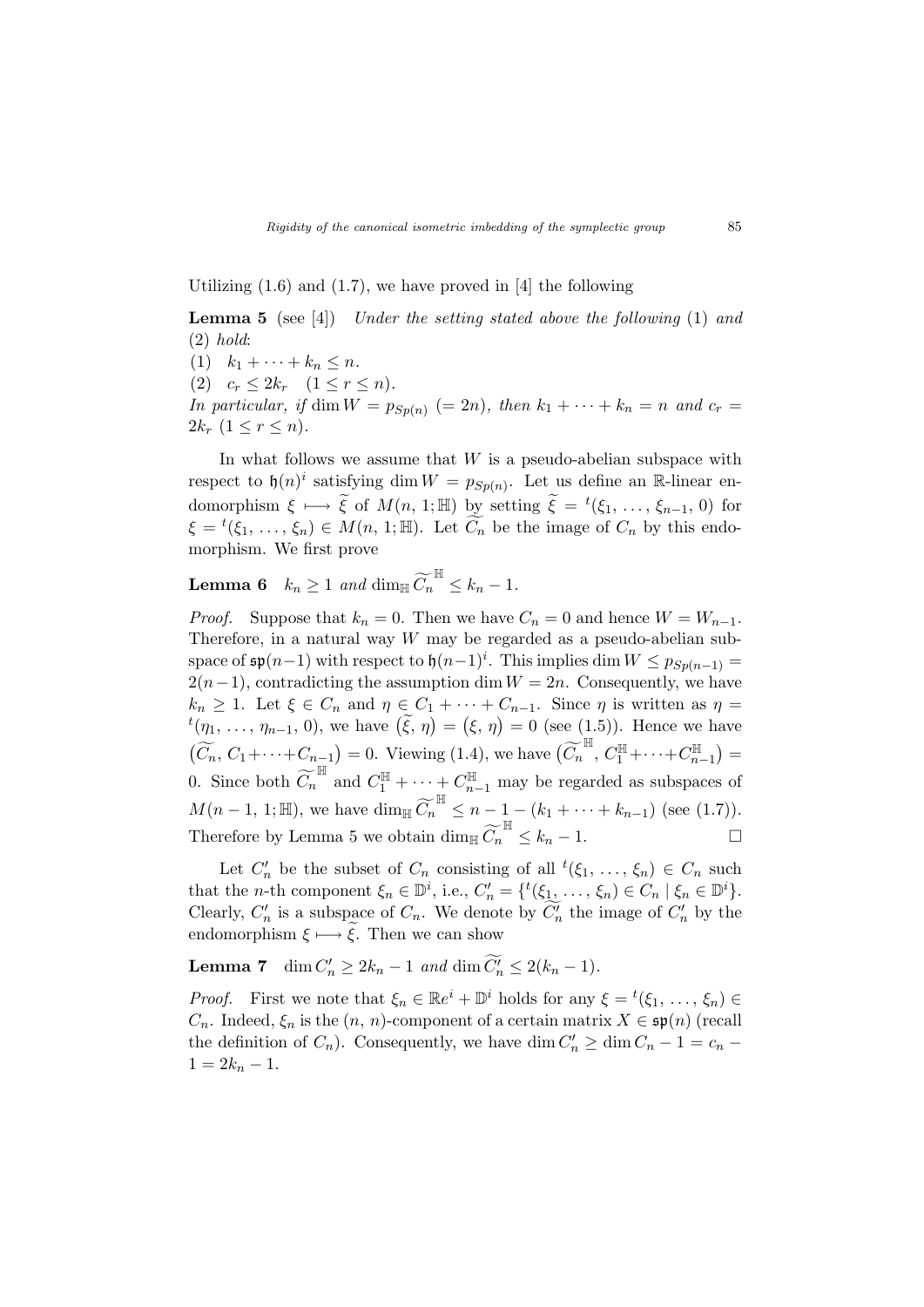# Utilizing  $(1.6)$  and  $(1.7)$ , we have proved in [4] the following

**Lemma 5** (see [4]) Under the setting stated above the following  $(1)$  and (2) hold:

(1)  $k_1 + \cdots + k_n \leq n$ .

$$
(2) \quad c_r \leq 2k_r \quad (1 \leq r \leq n).
$$

In particular, if dim  $W = p_{Sp(n)} (= 2n)$ , then  $k_1 + \cdots + k_n = n$  and  $c_r =$  $2k_r$   $(1 \leq r \leq n)$ .

In what follows we assume that  $W$  is a pseudo-abelian subspace with respect to  $\mathfrak{h}(n)^i$  satisfying dim  $W = p_{Sp(n)}$ . Let us define an R-linear endomorphism  $\xi \mapsto \tilde{\xi}$  of  $M(n, 1; \mathbb{H})$  by setting  $\tilde{\xi} = {}^{t}(\xi_1, \ldots, \xi_{n-1}, 0)$  for  $\xi = {}^{t}(\xi_1, \ldots, \xi_n) \in M(n, 1; \mathbb{H})$ . Let  $\widetilde{C}_n$  be the image of  $C_n$  by this endomorphism. We first prove

**Lemma 6**  $k_n \ge 1$  and  $\dim_{\mathbb{H}} \widetilde{C}_n^{\mathbb{H}} \le k_n - 1$ .

*Proof.* Suppose that  $k_n = 0$ . Then we have  $C_n = 0$  and hence  $W = W_{n-1}$ . Therefore, in a natural way  $W$  may be regarded as a pseudo-abelian subspace of  $\mathfrak{sp}(n-1)$  with respect to  $\mathfrak{h}(n-1)^i$ . This implies dim  $W \leq p_{Sp(n-1)} =$  $2(n-1)$ , contradicting the assumption dim  $W = 2n$ . Consequently, we have  $k_n \geq 1$ . Let  $\xi \in C_n$  and  $\eta \in C_1 + \cdots + C_{n-1}$ . Since  $\eta$  is written as  $\eta =$  $\begin{aligned} \kappa_n \geq 1. \text{ Let } \zeta \in C_n \text{ and } \eta \in C_1, \\ t(\eta_1, \ldots, \eta_{n-1}, 0), \text{ we have } (\tilde{\xi}, \eta) \end{aligned}$ =  $\therefore + C_{n-1}$ . Since  $\eta$  is written as  $\eta =$ <br>( $\xi, \eta$ ) = 0 (see (1.5)). Hence we have  $(\widetilde{C}_n, C_1 + \cdots + C_{n-1}) = 0$ . Viewing (1.4), we have  $(\widetilde{C}_n^{\mathbb{H}}, C_1^{\mathbb{H}} + \cdots + C_{n-1}^{\mathbb{H}})$ ¢ = 0. Since both  $\widetilde{C}_n^{\mathbb{H}}$  and  $C_1^{\mathbb{H}} + \cdots + C_{n-1}^{\mathbb{H}}$  may be regarded as subspaces of  $M(n-1, 1; \mathbb{H})$ , we have dim<sub>H</sub>  $\widetilde{C}_n^{\mathbb{H}} \leq n-1 - (k_1 + \cdots + k_{n-1})$  (see (1.7)). Therefore by Lemma 5 we obtain  $\dim_{\mathbb{H}} \widetilde{C}_n^{\mathbb{H}} \leq k_n - 1$ .

Let  $C'_n$  be the subset of  $C_n$  consisting of all  ${}^t(\xi_1, \ldots, \xi_n) \in C_n$  such that the *n*-th component  $\xi_n \in \mathbb{D}^i$ , i.e.,  $C'_n = \{^t(\xi_1, \ldots, \xi_n) \in C_n \mid \xi_n \in \mathbb{D}^i\}.$ Clearly,  $C'_n$  is a subspace of  $C_n$ . We denote by  $\widetilde{C'_n}$  the image of  $C'_n$  by the endomorphism  $\xi \mapsto \xi$ . Then we can show

**Lemma 7** dim  $C'_n \ge 2k_n - 1$  and dim  $\widetilde{C'_n} \le 2(k_n - 1)$ .

*Proof.* First we note that  $\xi_n \in \mathbb{R}e^i + \mathbb{D}^i$  holds for any  $\xi = {}^t(\xi_1, \ldots, \xi_n)$  $C_n$ . Indeed,  $\xi_n$  is the  $(n, n)$ -component of a certain matrix  $X \in \mathfrak{sp}(n)$  (recall the definition of  $C_n$ ). Consequently, we have dim  $C'_n \ge \dim C_n - 1 = c_n 1 = 2k_n - 1.$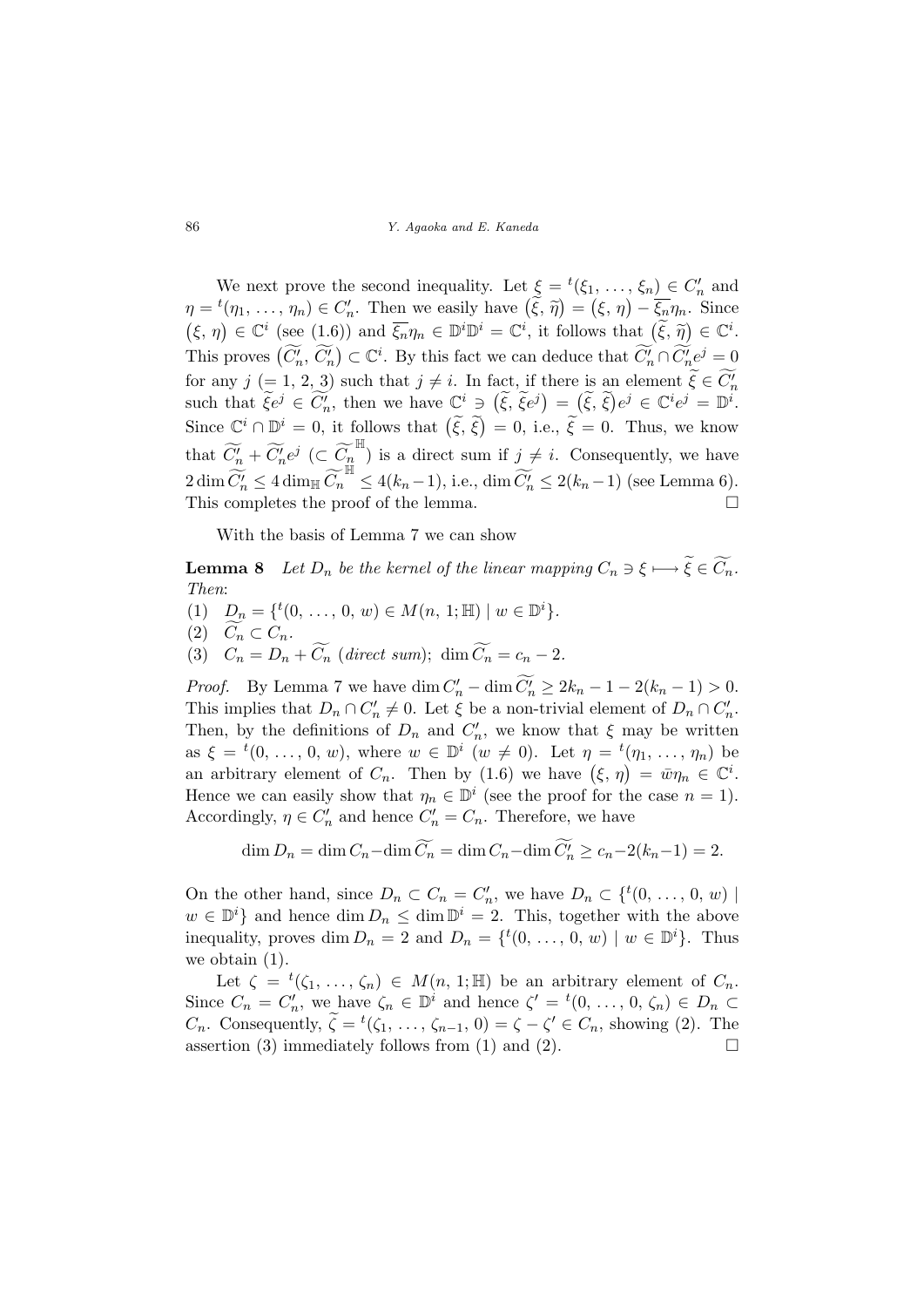We next prove the second inequality. Let  $\xi = {}^t(\xi_1, \ldots, \xi_n) \in C'_n$  and we hext prove the second mequanty. Let  $\zeta = (\zeta_1, \ldots, \zeta_n) \in C_n$  and  $\eta = t(\eta_1, \ldots, \eta_n) \in C'_n$ . Then we easily have  $(\tilde{\xi}, \tilde{\eta}) = (\xi, \eta) - \overline{\zeta_n} \eta_n$ . Since  $(\xi, \eta) \in \mathbb{C}^i$  (see (1.6)) and  $\overline{\xi_n}\eta_n \in \mathbb{D}^i\mathbb{D}^i = \mathbb{C}^i$ , it follows that  $(\tilde{\xi}, \tilde{\eta}) \in \mathbb{C}^i$ . This proves  $(\widetilde{C}_n', \widetilde{C}_n')$  $\tilde{\zeta}$  $\subset \mathbb{C}^i$ . By this fact we can deduce that  $\widetilde{C'_n} \cap \widetilde{C'_n} e^j = 0$ for any  $j (= 1, 2, 3)$  such that  $j \neq i$ . In fact, if there is an element  $\widetilde{\xi} \in \widetilde{C'_n}$ such that  $\widetilde{\xi}e^j \in \widetilde{C'_n}$ , then we have  $\mathbb{C}^i \ni (\widetilde{\xi}, \widetilde{\xi}e^j) = (\widetilde{\xi}, \widetilde{\xi})e^j \in \mathbb{C}^i e^j = \mathbb{D}^i$ . Since  $\mathbb{C}^i \cap \mathbb{D}^i = 0$ , it follows that  $(\tilde{\xi}, \tilde{\xi}) = 0$ , i.e.,  $\tilde{\xi} = 0$ . Thus, we know that  $\widetilde{C}'_n + \widetilde{C}'_n e^j \ (\subset \widetilde{C}_n^{\ \mathbb{H}})$  is a direct sum if  $j \neq i$ . Consequently, we have  $2 \dim \widetilde{C_n'} \leq 4 \dim_{\mathbb{H}} \widetilde{C_n}^{\mathbb{H}} \leq 4(k_n-1), \text{ i.e., } \dim \widetilde{C_n'} \leq 2(k_n-1) \text{ (see Lemma 6)}.$ This completes the proof of the lemma.

With the basis of Lemma 7 we can show

**Lemma 8** Let  $D_n$  be the kernel of the linear mapping  $C_n \ni \xi \mapsto \widetilde{\xi} \in \widetilde{C_n}$ . Then:

(1)  $D_n = \{t(0, ..., 0, w) \in M(n, 1; \mathbb{H}) \mid w \in \mathbb{D}^i\}.$ (2)  $C_n \subset C_n$ . (3)  $C_n = D_n + \widetilde{C_n}$  (direct sum); dim  $\widetilde{C_n} = c_n - 2$ .

*Proof.* By Lemma 7 we have  $\dim C'_n - \dim \widetilde{C}'_n \ge 2k_n - 1 - 2(k_n - 1) > 0$ . This implies that  $D_n \cap C'_n \neq 0$ . Let  $\xi$  be a non-trivial element of  $D_n \cap C'_n$ . Then, by the definitions of  $D_n$  and  $C'_n$ , we know that  $\xi$  may be written as  $\xi = {}^t(0, \ldots, 0, w)$ , where  $w \in \mathbb{D}^i$   $(w \neq 0)$ . Let  $\eta = {}^t(\eta_1, \ldots, \eta_n)$  be as  $\zeta = (0, \ldots, 0, w)$ , where  $w \in \mathbb{D} \quad (w \neq 0)$ . Let  $\eta = (\eta_1, \ldots, \eta_n)$  be<br>an arbitrary element of  $C_n$ . Then by (1.6) we have  $(\xi, \eta) = \bar{w}\eta_n \in \mathbb{C}^i$ . Hence we can easily show that  $\eta_n \in \mathbb{D}^i$  (see the proof for the case  $n = 1$ ). Accordingly,  $\eta \in C'_n$  and hence  $C'_n = C_n$ . Therefore, we have

$$
\dim D_n = \dim C_n - \dim \widetilde{C}_n = \dim C_n - \dim \widetilde{C}'_n \ge c_n - 2(k_n - 1) = 2.
$$

On the other hand, since  $D_n \subset C_n = C'_n$ , we have  $D_n \subset \{^t(0, \ldots, 0, w) \mid$  $w \in \mathbb{D}^i$  and hence  $\dim D_n \leq \dim \mathbb{D}^i = 2$ . This, together with the above inequality, proves dim  $D_n = 2$  and  $D_n = \{t(0, ..., 0, w) \mid w \in \mathbb{D}^i\}$ . Thus we obtain (1).

Let  $\zeta = {}^{t}(\zeta_1, \ldots, \zeta_n) \in M(n, 1; \mathbb{H})$  be an arbitrary element of  $C_n$ . Since  $C_n = C'_n$ , we have  $\zeta_n \in \mathbb{D}^i$  and hence  $\zeta' = {}^t(0, \ldots, 0, \zeta_n) \in D_n \subset$ *C<sub>n</sub>*. Consequently,  $\widetilde{\zeta} = {}^t(\zeta_1, \ldots, \zeta_{n-1}, 0) = \zeta - \zeta' \in C_n$ , showing (2). The assertion (3) immediately follows from (1) and (2).  $\Box$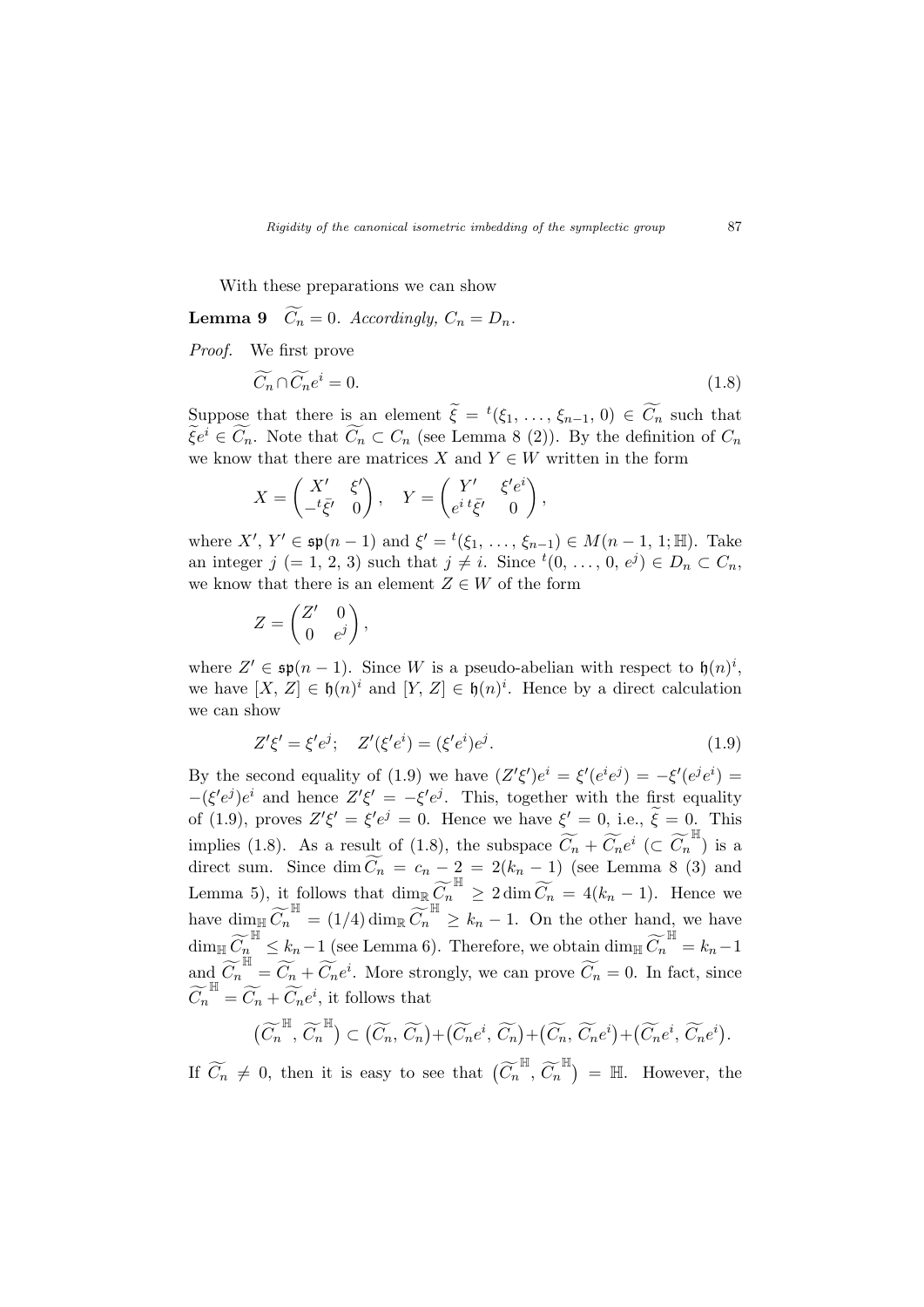With these preparations we can show

**Lemma 9**  $\widetilde{C_n} = 0$ . Accordingly,  $C_n = D_n$ .

Proof. We first prove

$$
\widetilde{C}_n \cap \widetilde{C}_n e^i = 0. \tag{1.8}
$$

Suppose that there is an element  $\widetilde{\xi} = {}^t(\xi_1, \ldots, \xi_{n-1}, 0) \in \widetilde{C_n}$  such that  $\widetilde{\xi}e^i \in \widetilde{C}_n$ . Note that  $\widetilde{C}_n \subset C_n$  (see Lemma 8 (2)). By the definition of  $C_n$ we know that there are matrices X and  $Y \in W$  written in the form

$$
X = \begin{pmatrix} X' & \xi' \\ -t\bar{\xi'} & 0 \end{pmatrix}, \quad Y = \begin{pmatrix} Y' & \xi'e^i \\ e^{i t}\bar{\xi'} & 0 \end{pmatrix},
$$

where  $X', Y' \in \mathfrak{sp}(n-1)$  and  $\xi' = {}^t(\xi_1, \ldots, \xi_{n-1}) \in M(n-1, 1; \mathbb{H})$ . Take an integer  $j (= 1, 2, 3)$  such that  $j \neq i$ . Since  $t(0, \ldots, 0, e^{j}) \in D_n \subset C_n$ , we know that there is an element  $Z \in W$  of the form

$$
Z = \begin{pmatrix} Z' & 0 \\ 0 & e^j \end{pmatrix},
$$

where  $Z' \in \mathfrak{sp}(n-1)$ . Since W is a pseudo-abelian with respect to  $\mathfrak{h}(n)^i$ , we have  $[X, Z] \in \mathfrak{h}(n)^i$  and  $[Y, Z] \in \mathfrak{h}(n)^i$ . Hence by a direct calculation we can show

$$
Z'\xi' = \xi'e^j; \quad Z'(\xi'e^i) = (\xi'e^i)e^j.
$$
\n(1.9)

By the second equality of (1.9) we have  $(Z'\xi')e^i = \xi'(e^ie^j) = -\xi'(e^je^i)$  $-(\xi' e^j)e^i$  and hence  $Z'\xi' = -\xi' e^j$ . This, together with the first equality of (1.9), proves  $Z'\xi' = \xi'e^j = 0$ . Hence we have  $\xi' = 0$ , i.e.,  $\tilde{\xi} = 0$ . This implies (1.8). As a result of (1.8), the subspace  $\widetilde{C}_n + \widetilde{C}_n e^i \ (\subset \widetilde{C}_n^{\ \mathbb{H}})$  is a direct sum. Since  $\dim \widetilde{C}_n = c_n - \frac{1}{n} = 2(k_n - 1)$  (see Lemma 8 (3) and Lemma 5), it follows that  $\dim_{\mathbb{R}} \widetilde{C}_n^{\mathbb{H}} \geq 2 \dim \widetilde{C}_n = 4(k_n - 1)$ . Hence we have  $\dim_{\mathbb{H}} \widetilde{C}_n^{\mathbb{H}} = (1/4) \dim_{\mathbb{R}} \widetilde{C}_n^{\mathbb{H}} \ge k_n - 1$ . On the other hand, we have  $\dim_{\mathbb{H}} \widetilde{C}_n^{\mathbb{H}} \leq k_n - 1$  (see Lemma 6). Therefore, we obtain  $\dim_{\mathbb{H}} \widetilde{C}_n^{\mathbb{H}} = k_n - 1$ and  $\widetilde{C}_n^{\mathbb{H}} = \widetilde{C}_n + \widetilde{C}_n e^i$ . More strongly, we can prove  $\widetilde{C}_n = 0$ . In fact, since  $\widetilde{C_n}^{\mathbb{H}} = \widetilde{C_n} + \widetilde{C_n}e^i$ , it follows that

$$
(\widetilde{C_n}^{\mathbb{H}}, \widetilde{C_n}^{\mathbb{H}}) \subset (\widetilde{C_n}, \widetilde{C_n}) + (\widetilde{C_n}e^i, \widetilde{C_n}) + (\widetilde{C_n}, \widetilde{C_n}e^i) + (\widetilde{C_n}e^i, \widetilde{C_n}e^i).
$$

If  $\widetilde{C_n} \neq 0$ , then it is easy to see that  $(\widetilde{C_n}^{\mathbb{H}}, \widetilde{C_n}^{\mathbb{H}})$  $=$  H. However, the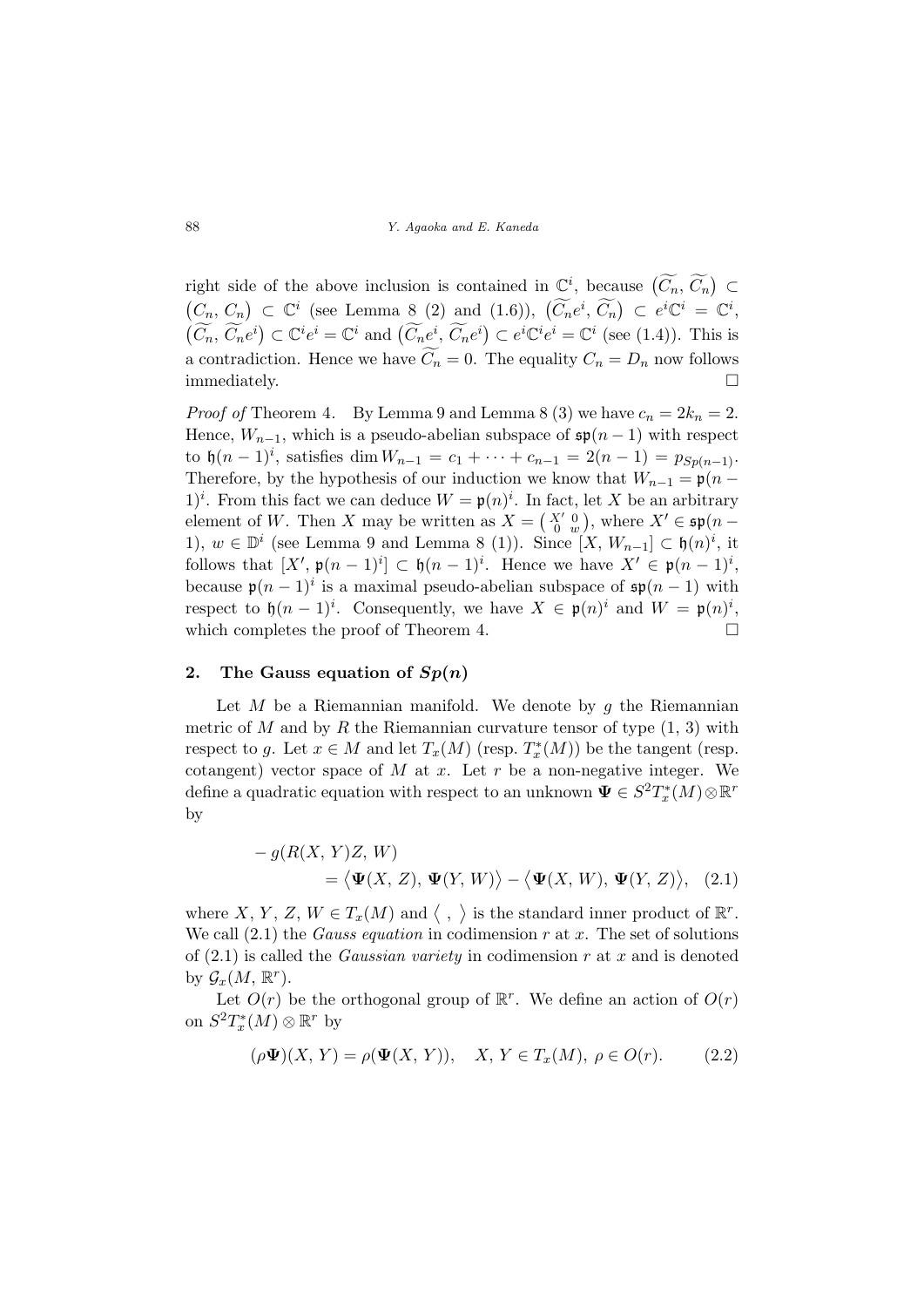right side of the above inclusion is contained in  $\mathbb{C}^i$ , because  $(\widetilde{C_n}, \widetilde{C_n})$ ⊂ ¡  $C_n, C_n$ ¢  $\subset \mathbb{C}^i$  (see Lemma 8 (2) and (1.6)),  $(\widetilde{C}_n e^i, \widetilde{C}_n)$  $\subset e^i \mathbb{C}^i = \mathbb{C}^i$  $\overline{(\widetilde{C}_n,\ \widetilde{C}_n e^i)}$  $\subset \mathbb{C}^i e^i = \mathbb{C}^i$  and  $(\widetilde{C}_n e^i, \widetilde{C}_n e^i)$  $\subset e^{i}\mathbb{C}^{i}e^{i}=\mathbb{C}^{i}$  (see (1.4)). This is a contradiction. Hence we have  $\widetilde{C}_n = 0$ . The equality  $C_n = D_n$  now follows immediately.  $\Box$ 

*Proof of* Theorem 4. By Lemma 9 and Lemma 8 (3) we have  $c_n = 2k_n = 2$ . Hence,  $W_{n-1}$ , which is a pseudo-abelian subspace of  $\mathfrak{sp}(n-1)$  with respect to  $\mathfrak{h}(n-1)^i$ , satisfies dim  $W_{n-1} = c_1 + \cdots + c_{n-1} = 2(n-1) = p_{Sp(n-1)}$ . Therefore, by the hypothesis of our induction we know that  $W_{n-1} = \mathfrak{p}(n -$ 1)<sup>*i*</sup>. From this fact we can deduce  $W = \mathfrak{p}(n)^i$ . In fact, let X be an arbitrary element of W. Then X may be written as  $X = \begin{pmatrix} X' & 0 \\ 0 & w \end{pmatrix}$ , where  $X' \in \mathfrak{sp}(n-$ 1),  $w \in \mathbb{D}^i$  (see Lemma 9 and Lemma 8 (1)). Since [X,  $W_{n-1}$ ] ⊂  $\mathfrak{h}(n)^i$ , it follows that  $[X', \mathfrak{p}(n-1)^i] \subset \mathfrak{h}(n-1)^i$ . Hence we have  $X' \in \mathfrak{p}(n-1)^i$ , because  $\mathfrak{p}(n-1)^i$  is a maximal pseudo-abelian subspace of  $\mathfrak{sp}(n-1)$  with respect to  $\mathfrak{h}(n-1)^i$ . Consequently, we have  $X \in \mathfrak{p}(n)^i$  and  $W = \mathfrak{p}(n)^i$ , which completes the proof of Theorem 4.  $\Box$ 

# 2. The Gauss equation of  $Sp(n)$

Let  $M$  be a Riemannian manifold. We denote by  $q$  the Riemannian metric of M and by R the Riemannian curvature tensor of type  $(1, 3)$  with respect to g. Let  $x \in M$  and let  $T_x(M)$  (resp.  $T_x^*(M)$ ) be the tangent (resp. cotangent) vector space of  $M$  at  $x$ . Let  $r$  be a non-negative integer. We define a quadratic equation with respect to an unknown  $\Psi\in S^2T^*_x(M){\mathord{\,\otimes }\,}{\mathbb R}^r$ by

$$
- g(R(X, Y)Z, W)
$$
  
=  $\langle \Psi(X, Z), \Psi(Y, W) \rangle - \langle \Psi(X, W), \Psi(Y, Z) \rangle,$  (2.1)

where X, Y, Z,  $W \in T_x(M)$  and  $\langle$ , ® is the standard inner product of  $\mathbb{R}^r$ . We call  $(2.1)$  the *Gauss equation* in codimension r at x. The set of solutions of  $(2.1)$  is called the *Gaussian variety* in codimension r at x and is denoted by  $\mathcal{G}_x(M,\mathbb{R}^r)$ .

Let  $O(r)$  be the orthogonal group of  $\mathbb{R}^r$ . We define an action of  $O(r)$ on  $S^2T^*_x(M)\otimes \mathbb{R}^r$  by

$$
(\rho \Psi)(X, Y) = \rho(\Psi(X, Y)), \quad X, Y \in T_x(M), \ \rho \in O(r). \tag{2.2}
$$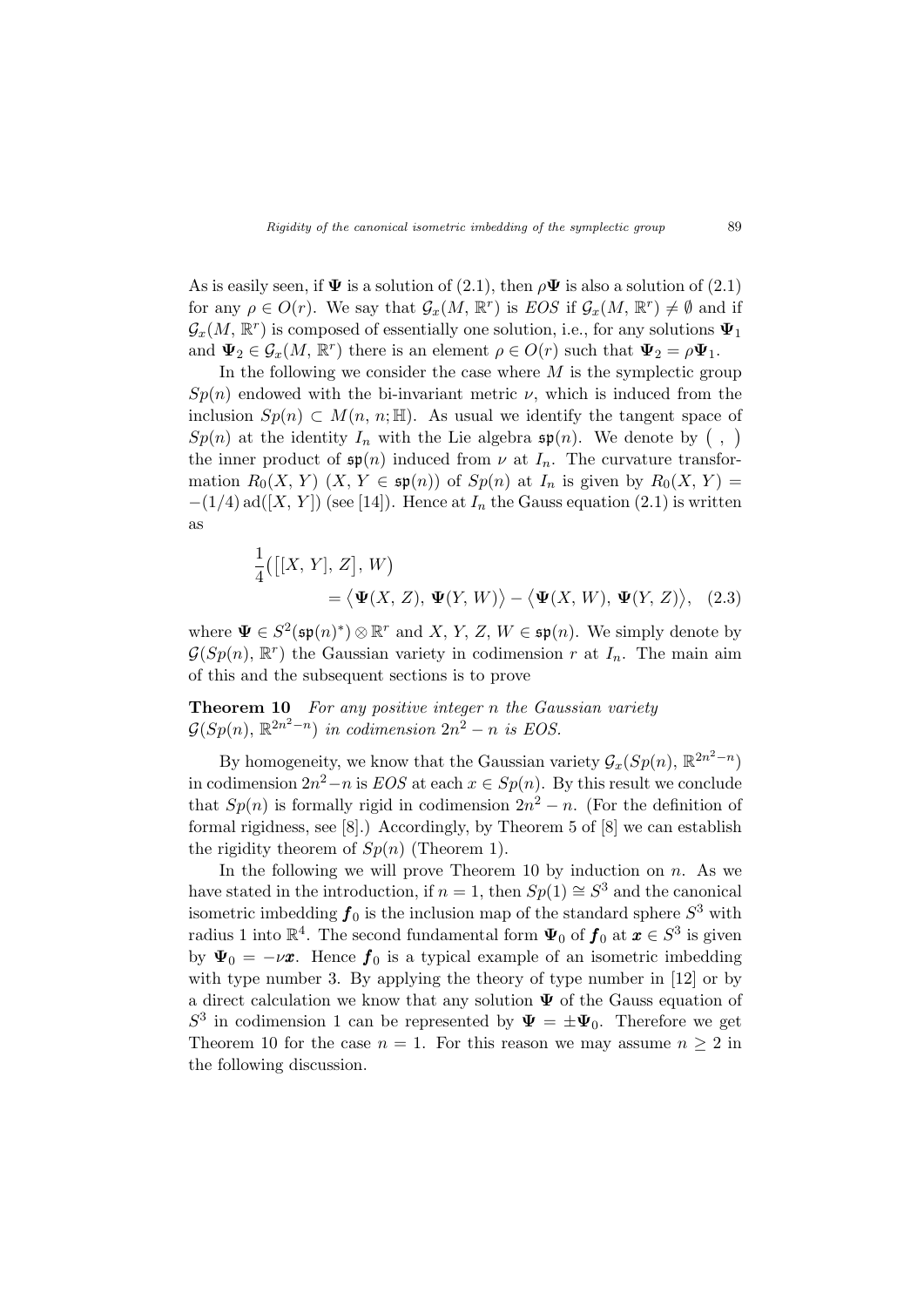As is easily seen, if  $\Psi$  is a solution of (2.1), then  $\rho \Psi$  is also a solution of (2.1) for any  $\rho \in O(r)$ . We say that  $\mathcal{G}_x(M, \mathbb{R}^r)$  is EOS if  $\mathcal{G}_x(M, \mathbb{R}^r) \neq \emptyset$  and if  $\mathcal{G}_x(M,\mathbb{R}^r)$  is composed of essentially one solution, i.e., for any solutions  $\Psi_1$ and  $\Psi_2 \in \mathcal{G}_x(M, \mathbb{R}^r)$  there is an element  $\rho \in O(r)$  such that  $\Psi_2 = \rho \Psi_1$ .

In the following we consider the case where  $M$  is the symplectic group  $Sp(n)$  endowed with the bi-invariant metric  $\nu$ , which is induced from the inclusion  $Sp(n) \subset M(n, n; \mathbb{H})$ . As usual we identify the tangent space of inclusion  $Sp(n) \subset M(n, n; \mathbb{H})$ . As usual we identify the tangent space  $Sp(n)$  at the identity  $I_n$  with the Lie algebra  $\mathfrak{sp}(n)$ . We denote by  $($ , the inner product of  $\mathfrak{sp}(n)$  induced from  $\nu$  at  $I_n$ . The curvature transformation  $R_0(X, Y)$   $(X, Y \in \mathfrak{sp}(n))$  of  $Sp(n)$  at  $I_n$  is given by  $R_0(X, Y) =$  $-(1/4)$  ad([X, Y]) (see [14]). Hence at  $I_n$  the Gauss equation (2.1) is written as

$$
\frac{1}{4}([X, Y], Z], W)
$$
  
=  $\langle \Psi(X, Z), \Psi(Y, W) \rangle - \langle \Psi(X, W), \Psi(Y, Z) \rangle,$  (2.3)

where  $\Psi \in S^2(\mathfrak{sp}(n)^*) \otimes \mathbb{R}^r$  and X, Y, Z,  $W \in \mathfrak{sp}(n)$ . We simply denote by  $G(Sp(n), \mathbb{R}^r)$  the Gaussian variety in codimension r at  $I_n$ . The main aim of this and the subsequent sections is to prove

Theorem 10 For any positive integer n the Gaussian variety  $\mathcal{G}(Sp(n), \mathbb{R}^{2n^2-n})$  in codimension  $2n^2-n$  is EOS.

By homogeneity, we know that the Gaussian variety  $\mathcal{G}_x(Sp(n), \mathbb{R}^{2n^2-n})$ in codimension  $2n^2 - n$  is  $EOS$  at each  $x \in Sp(n)$ . By this result we conclude that  $Sp(n)$  is formally rigid in codimension  $2n^2 - n$ . (For the definition of formal rigidness, see [8].) Accordingly, by Theorem 5 of [8] we can establish the rigidity theorem of  $Sp(n)$  (Theorem 1).

In the following we will prove Theorem 10 by induction on  $n$ . As we have stated in the introduction, if  $n = 1$ , then  $Sp(1) \cong S^3$  and the canonical isometric imbedding  $f_0$  is the inclusion map of the standard sphere  $S^3$  with radius 1 into  $\mathbb{R}^4$ . The second fundamental form  $\Psi_0$  of  $\boldsymbol{f}_0$  at  $\boldsymbol{x} \in S^3$  is given by  $\Psi_0 = -\nu \mathbf{x}$ . Hence  $f_0$  is a typical example of an isometric imbedding with type number 3. By applying the theory of type number in [12] or by a direct calculation we know that any solution  $\Psi$  of the Gauss equation of  $S^3$  in codimension 1 can be represented by  $\Psi = \pm \Psi_0$ . Therefore we get Theorem 10 for the case  $n = 1$ . For this reason we may assume  $n \geq 2$  in the following discussion.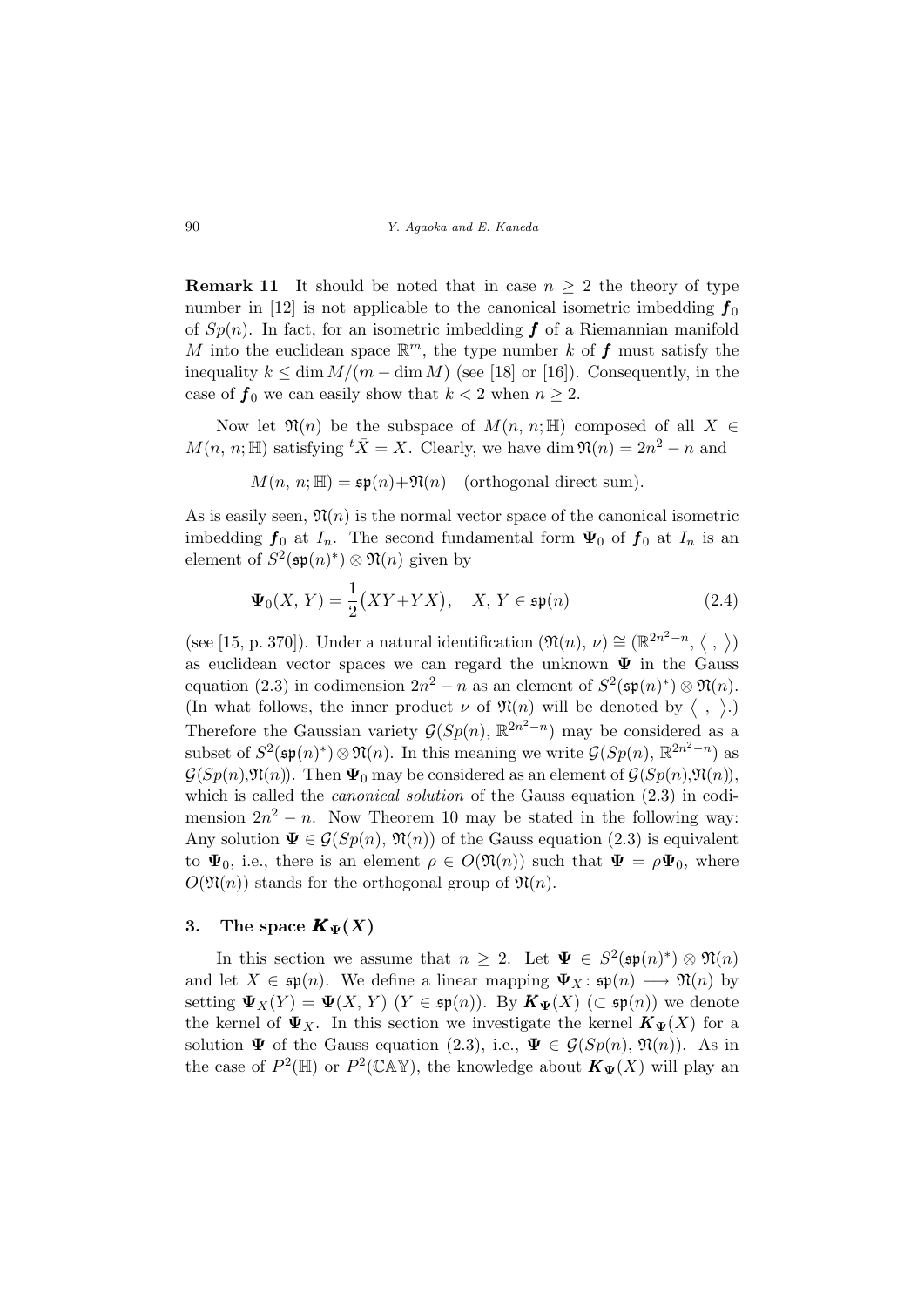**Remark 11** It should be noted that in case  $n \geq 2$  the theory of type number in [12] is not applicable to the canonical isometric imbedding  $f_0$ of  $Sp(n)$ . In fact, for an isometric imbedding  $f$  of a Riemannian manifold M into the euclidean space  $\mathbb{R}^m$ , the type number k of f must satisfy the inequality  $k \leq \dim M/(m - \dim M)$  (see [18] or [16]). Consequently, in the case of  $f_0$  we can easily show that  $k < 2$  when  $n \geq 2$ .

Now let  $\mathfrak{N}(n)$  be the subspace of  $M(n, n; \mathbb{H})$  composed of all  $X \in$  $M(n, n; \mathbb{H})$  satisfying  ${}^t\overline{X} = X$ . Clearly, we have dim  $\mathfrak{N}(n) = 2n^2 - n$  and

 $M(n, n; \mathbb{H}) = \mathfrak{sp}(n) + \mathfrak{N}(n)$  (orthogonal direct sum).

As is easily seen,  $\mathfrak{N}(n)$  is the normal vector space of the canonical isometric imbedding  $f_0$  at  $I_n$ . The second fundamental form  $\Psi_0$  of  $f_0$  at  $I_n$  is an element of  $S^2(\mathfrak{sp}(n)^*)\otimes \mathfrak{N}(n)$  given by

$$
\Psi_0(X, Y) = \frac{1}{2}(XY + YX), \quad X, Y \in \mathfrak{sp}(n)
$$
\n(2.4)

(see [15, p. 370]). Under a natural identification  $(\mathfrak{N}(n), \nu) \cong (\mathbb{R}^{2n^2-n},$  $\overline{1}$ , ® ) as euclidean vector spaces we can regard the unknown  $\Psi$  in the Gauss equation (2.3) in codimension  $2n^2 - n$  as an element of  $S^2(\mathfrak{sp}(n)^*) \otimes \mathfrak{N}(n)$ . equation (2.5) in commension  $2n - n$  as an element of  $\mathcal{S}(\mathfrak{sp}(n)) \otimes \mathcal{S}(\mathfrak{n}).$ <br>(In what follows, the inner product  $\nu$  of  $\mathfrak{N}(n)$  will be denoted by  $\langle , \rangle$ .) Therefore the Gaussian variety  $\mathcal{G}(Sp(n), \mathbb{R}^{2n^2-n})$  may be considered as a subset of  $S^2(\mathfrak{sp}(n)^*)\otimes \mathfrak{N}(n)$ . In this meaning we write  $\mathcal{G}(Sp(n), \mathbb{R}^{2n^2-n})$  as  $\mathcal{G}(Sp(n), \mathfrak{N}(n))$ . Then  $\Psi_0$  may be considered as an element of  $\mathcal{G}(Sp(n), \mathfrak{N}(n))$ , which is called the *canonical solution* of the Gauss equation  $(2.3)$  in codimension  $2n^2 - n$ . Now Theorem 10 may be stated in the following way: Any solution  $\Psi \in \mathcal{G}(Sp(n), \mathfrak{N}(n))$  of the Gauss equation (2.3) is equivalent to  $\Psi_0$ , i.e., there is an element  $\rho \in O(\mathfrak{N}(n))$  such that  $\Psi = \rho \Psi_0$ , where  $O(\mathfrak{N}(n))$  stands for the orthogonal group of  $\mathfrak{N}(n)$ .

# 3. The space  $\mathbf{K}_{\Psi}(X)$

In this section we assume that  $n \geq 2$ . Let  $\Psi \in S^2(\mathfrak{sp}(n)^*) \otimes \mathfrak{N}(n)$ and let  $X \in \mathfrak{sp}(n)$ . We define a linear mapping  $\Psi_X : \mathfrak{sp}(n) \longrightarrow \mathfrak{N}(n)$  by setting  $\Psi_X(Y) = \Psi(X, Y)$   $(Y \in \mathfrak{sp}(n))$ . By  $\mathbf{K}_{\Psi}(X)$   $(\subset \mathfrak{sp}(n))$  we denote the kernel of  $\Psi_X$ . In this section we investigate the kernel  $K_{\Psi}(X)$  for a solution  $\Psi$  of the Gauss equation (2.3), i.e.,  $\Psi \in \mathcal{G}(Sp(n), \mathfrak{N}(n))$ . As in the case of  $P^2(\mathbb{H})$  or  $P^2(\mathbb{CAY})$ , the knowledge about  $\mathbf{K}_{\Psi}(X)$  will play an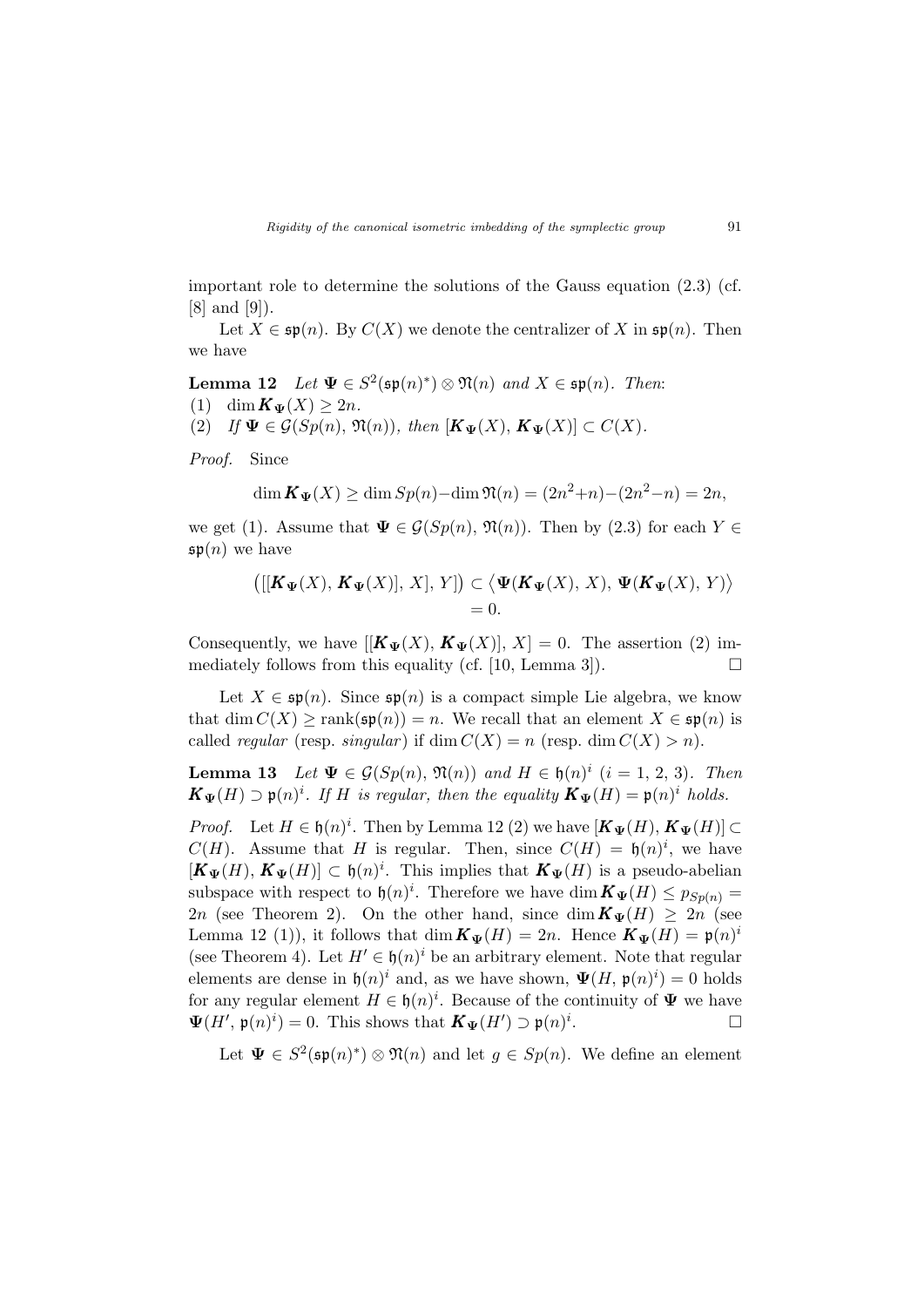important role to determine the solutions of the Gauss equation  $(2.3)$  (cf. [8] and [9]).

Let  $X \in \mathfrak{sp}(n)$ . By  $C(X)$  we denote the centralizer of X in  $\mathfrak{sp}(n)$ . Then we have

Lemma 12 Let  $\Psi \in S^2(\mathfrak{sp}(n)^*) \otimes \mathfrak{N}(n)$  and  $X \in \mathfrak{sp}(n)$ . Then: (1) dim  $\mathbf{K}_{\Psi}(X) \geq 2n$ .

(2) If  $\Psi \in \mathcal{G}(Sp(n), \mathfrak{N}(n)),$  then  $[K_{\Psi}(X), K_{\Psi}(X)] \subset C(X)$ .

Proof. Since

$$
\dim \mathbf{K}_{\Psi}(X) \ge \dim Sp(n) - \dim \mathfrak{N}(n) = (2n^2 + n) - (2n^2 - n) = 2n,
$$

we get (1). Assume that  $\Psi \in \mathcal{G}(Sp(n), \mathfrak{N}(n))$ . Then by (2.3) for each  $Y \in$  $\mathfrak{sp}(n)$  we have

$$
\big([[K_{\Psi}(X), K_{\Psi}(X)], X], Y]\big) \subset \big\langle \Psi(K_{\Psi}(X), X), \Psi(K_{\Psi}(X), Y)\big\rangle
$$
  
= 0.

Consequently, we have  $[[\mathbf{K}_{\Psi}(X), \mathbf{K}_{\Psi}(X)], X] = 0$ . The assertion (2) immediately follows from this equality (cf. [10, Lemma 3]).  $\Box$ 

Let  $X \in \mathfrak{sp}(n)$ . Since  $\mathfrak{sp}(n)$  is a compact simple Lie algebra, we know that dim  $C(X) \geq \text{rank}(\mathfrak{sp}(n)) = n$ . We recall that an element  $X \in \mathfrak{sp}(n)$  is called *regular* (resp. *singular*) if dim  $C(X) = n$  (resp. dim  $C(X) > n$ ).

**Lemma 13** Let  $\Psi \in \mathcal{G}(Sp(n), \mathfrak{N}(n))$  and  $H \in \mathfrak{h}(n)^{i}$   $(i = 1, 2, 3)$ . Then  $\mathbf{K}_{\Psi}(H) \supset \mathfrak{p}(n)^i$ . If H is regular, then the equality  $\mathbf{K}_{\Psi}(H) = \mathfrak{p}(n)^i$  holds.

*Proof.* Let  $H \in \mathfrak{h}(n)^i$ . Then by Lemma 12 (2) we have  $[K_{\Psi}(H), K_{\Psi}(H)] \subset$  $C(H)$ . Assume that H is regular. Then, since  $C(H) = \mathfrak{h}(n)^i$ , we have  $[K_{\Psi}(H), K_{\Psi}(H)] \subset \mathfrak{h}(n)^{i}$ . This implies that  $K_{\Psi}(H)$  is a pseudo-abelian subspace with respect to  $\mathfrak{h}(n)^i$ . Therefore we have  $\dim \mathbf{K}_{\Psi}(H) \leq p_{Sp(n)} =$ 2n (see Theorem 2). On the other hand, since  $\dim K_{\Psi}(H) \geq 2n$  (see Lemma 12 (1)), it follows that  $\dim K_{\Psi}(H) = 2n$ . Hence  $K_{\Psi}(H) = \mathfrak{p}(n)^{i}$ (see Theorem 4). Let  $H' \in \mathfrak{h}(n)^i$  be an arbitrary element. Note that regular elements are dense in  $\mathfrak{h}(n)^i$  and, as we have shown,  $\Psi(H, \mathfrak{p}(n)^i) = 0$  holds for any regular element  $H \in \mathfrak{h}(n)^i$ . Because of the continuity of  $\Psi$  we have  $\Psi(H', \mathfrak{p}(n)^i) = 0$ . This shows that  $\mathbf{K}_{\Psi}(H') \supset \mathfrak{p}(n)^i$ .  $\Box$ 

Let  $\Psi \in S^2(\mathfrak{sp}(n)^*) \otimes \mathfrak{N}(n)$  and let  $g \in Sp(n)$ . We define an element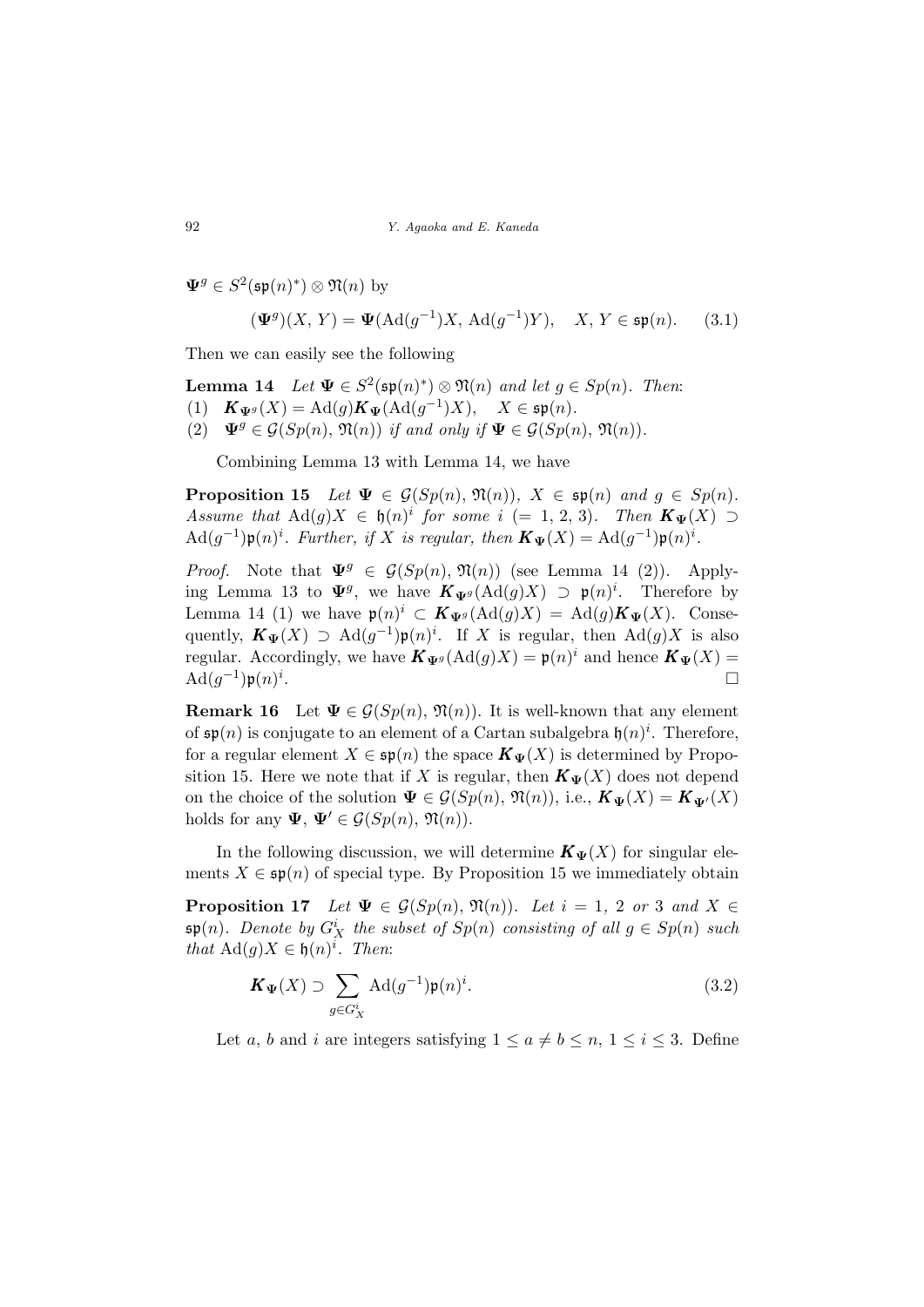$\Psi^g \in S^2(\mathfrak{sp}(n)^*) \otimes \mathfrak{N}(n)$  by

$$
(\mathbf{\Psi}^g)(X, Y) = \mathbf{\Psi}(\text{Ad}(g^{-1})X, \text{Ad}(g^{-1})Y), \quad X, Y \in \mathfrak{sp}(n). \tag{3.1}
$$

Then we can easily see the following

**Lemma 14** Let  $\Psi \in S^2(\mathfrak{sp}(n)^*) \otimes \mathfrak{N}(n)$  and let  $g \in Sp(n)$ . Then: (1)  $\mathbf{K}_{\Psi^g}(X) = \mathrm{Ad}(g) \mathbf{K}_{\Psi} (\mathrm{Ad}(g^{-1})X), \quad X \in \mathfrak{sp}(n).$ (2)  $\Psi^g \in \mathcal{G}(Sp(n), \mathfrak{N}(n))$  if and only if  $\Psi \in \mathcal{G}(Sp(n), \mathfrak{N}(n)).$ 

Combining Lemma 13 with Lemma 14, we have

**Proposition 15** Let  $\Psi \in \mathcal{G}(Sp(n), \mathfrak{N}(n)), X \in \mathfrak{sp}(n)$  and  $g \in Sp(n)$ . Assume that  $\text{Ad}(g)X \in \mathfrak{h}(n)^i$  for some  $i (= 1, 2, 3)$ . Then  $K_{\Psi}(X) \supset$  $\operatorname{Ad}(g^{-1})\mathfrak{p}(n)^i$ . Further, if X is regular, then  $\mathbf{K}_{\Psi}(X) = \operatorname{Ad}(g^{-1})\mathfrak{p}(n)^i$ .

*Proof.* Note that  $\Psi^g \in \mathcal{G}(Sp(n), \mathfrak{N}(n))$  (see Lemma 14 (2)). Applying Lemma 13 to  $\Psi^g$ , we have  $\mathbf{K}_{\Psi^g}(\text{Ad}(g)X) \supset \mathfrak{p}(n)^i$ . Therefore by Lemma 14 (1) we have  $\mathfrak{p}(n)^i \subset \mathbf{K}_{\Psi^g}(\text{Ad}(g)X) = \text{Ad}(g)\mathbf{K}_{\Psi}(X)$ . Consequently,  $\mathbf{K}_{\Psi}(X) \supset \text{Ad}(g^{-1}) \mathfrak{p}(n)^i$ . If X is regular, then  $\text{Ad}(g)X$  is also regular. Accordingly, we have  $\mathbf{K}_{\Psi^g}(\text{Ad}(g)X) = \mathfrak{p}(n)^i$  and hence  $\mathbf{K}_{\Psi}(X) =$  $\operatorname{Ad}(g^{-1})\mathfrak{p}(n)^i$ . The contract of the contract of the contract of  $\Box$ 

**Remark 16** Let  $\Psi \in \mathcal{G}(Sp(n), \mathfrak{N}(n))$ . It is well-known that any element of  $\mathfrak{sp}(n)$  is conjugate to an element of a Cartan subalgebra  $\mathfrak{h}(n)^i$ . Therefore, for a regular element  $X \in \mathfrak{sp}(n)$  the space  $\mathbf{K}_{\Psi}(X)$  is determined by Proposition 15. Here we note that if X is regular, then  $\mathbf{K}_{\Psi}(X)$  does not depend on the choice of the solution  $\Psi \in \mathcal{G}(Sp(n), \mathfrak{N}(n)),$  i.e.,  $K_{\Psi}(X) = K_{\Psi'}(X)$ holds for any  $\Psi$ ,  $\Psi' \in \mathcal{G}(Sp(n), \mathfrak{N}(n)).$ 

In the following discussion, we will determine  $\mathbf{K}_{\Psi}(X)$  for singular elements  $X \in \mathfrak{sp}(n)$  of special type. By Proposition 15 we immediately obtain

**Proposition 17** Let  $\Psi \in \mathcal{G}(Sp(n), \mathfrak{N}(n))$ . Let  $i = 1, 2$  or 3 and  $X \in$  $\mathfrak{sp}(n)$ . Denote by  $G_X^i$  the subset of  $Sp(n)$  consisting of all  $g \in Sp(n)$  such that  $\text{Ad}(g)X \in \mathfrak{h}(n)^i$ . Then:

$$
\mathbf{K}_{\Psi}(X) \supset \sum_{g \in G_X^i} \text{Ad}(g^{-1}) \mathfrak{p}(n)^i.
$$
 (3.2)

Let a, b and i are integers satisfying  $1 \le a \ne b \le n, 1 \le i \le 3$ . Define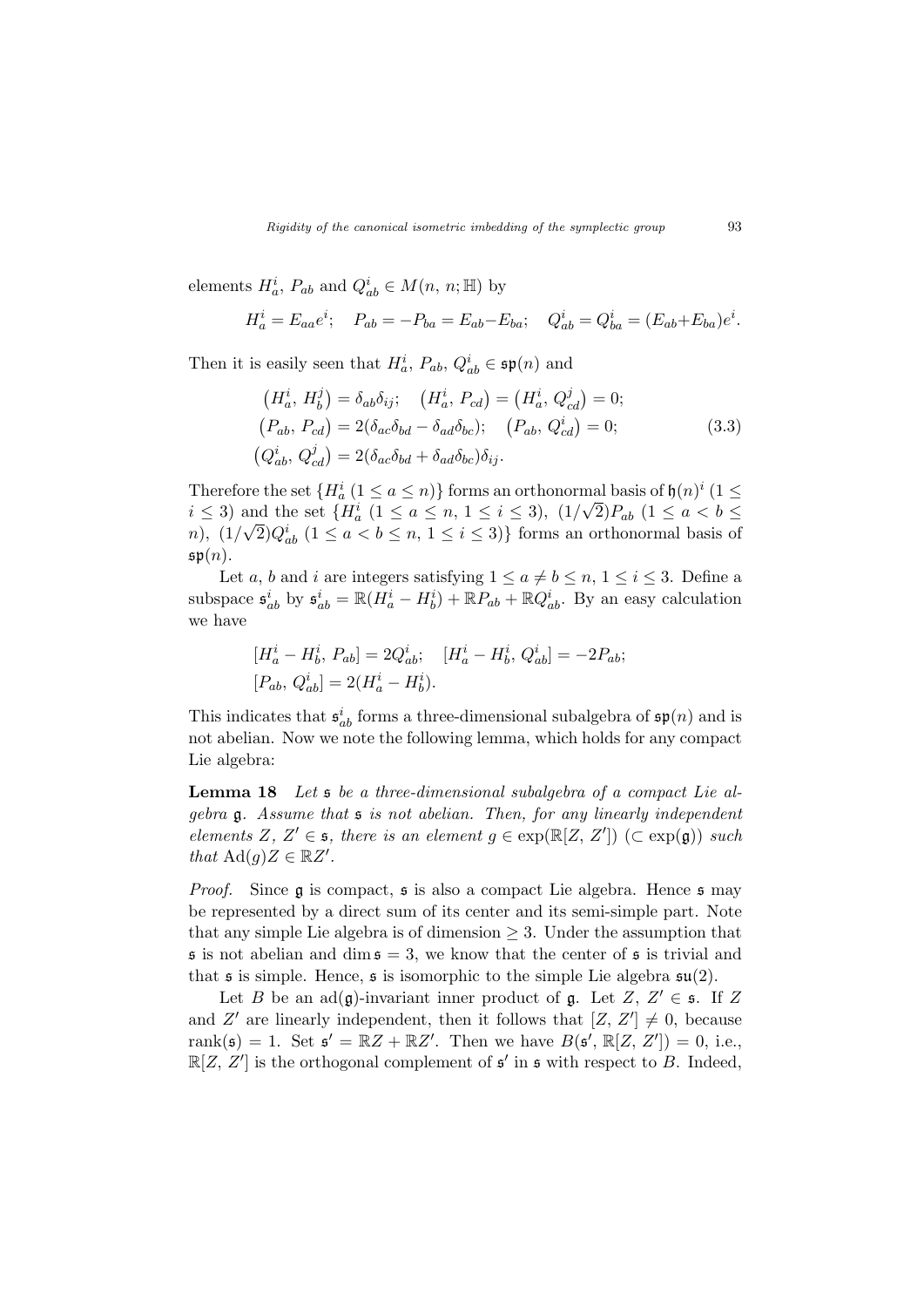elements  $H_a^i$ ,  $P_{ab}$  and  $Q_{ab}^i \in M(n, n; \mathbb{H})$  by

$$
H_a^i = E_{aa}e^i; \quad P_{ab} = -P_{ba} = E_{ab} - E_{ba}; \quad Q_{ab}^i = Q_{ba}^i = (E_{ab} + E_{ba})e^i.
$$

Then it is easily seen that  $H_a^i$ ,  $P_{ab}$ ,  $Q_{ab}^i \in \mathfrak{sp}(n)$  and

$$
(H_a^i, H_b^j) = \delta_{ab}\delta_{ij}; \quad (H_a^i, P_{cd}) = (H_a^i, Q_{cd}^j) = 0;
$$
  
\n
$$
(P_{ab}, P_{cd}) = 2(\delta_{ac}\delta_{bd} - \delta_{ad}\delta_{bc}); \quad (P_{ab}, Q_{cd}^i) = 0;
$$
  
\n
$$
(Q_{ab}^i, Q_{cd}^j) = 2(\delta_{ac}\delta_{bd} + \delta_{ad}\delta_{bc})\delta_{ij}.
$$
\n(3.3)

Therefore the set  $\{H_a^i (1 \le a \le n)\}\)$  forms an orthonormal basis of  $\mathfrak{h}(n)^i (1 \le a \le n)\}$  $i \leq 3$ ) and the set  $\{H_a^i \ (1 \leq a \leq n, 1 \leq i \leq 3), \ (1/\sqrt{2})P_{ab} \ (1 \leq a < b \leq 3)\}$ n),  $(1/\sqrt{2})Q_{ab}^{i}$   $(1 \le a < b \le n, 1 \le i \le 3)$ } forms an orthonormal basis of  $\mathfrak{sp}(n)$ .

Let a, b and i are integers satisfying  $1 \le a \ne b \le n, 1 \le i \le 3$ . Define a subspace  $\mathfrak{s}_{ab}^i$  by  $\mathfrak{s}_{ab}^i = \mathbb{R}(H_a^i - H_b^i) + \mathbb{R}P_{ab} + \mathbb{R}Q_{ab}^i$ . By an easy calculation we have

$$
[H_a^i - H_b^i, P_{ab}] = 2Q_{ab}^i; \quad [H_a^i - H_b^i, Q_{ab}^i] = -2P_{ab};
$$
  

$$
[P_{ab}, Q_{ab}^i] = 2(H_a^i - H_b^i).
$$

This indicates that  $\mathfrak{s}_{ab}^i$  forms a three-dimensional subalgebra of  $\mathfrak{sp}(n)$  and is not abelian. Now we note the following lemma, which holds for any compact Lie algebra:

Lemma 18 Let s be a three-dimensional subalgebra of a compact Lie algebra g. Assume that s is not abelian. Then, for any linearly independent elements Z, Z'  $\in$  s, there is an element  $g \in \exp(\mathbb{R}[Z, Z'])$  ( $\subset \exp(\mathfrak{g})$ ) such that  $\text{Ad}(g)Z \in \mathbb{R}Z'.$ 

*Proof.* Since  $\mathfrak g$  is compact,  $\mathfrak s$  is also a compact Lie algebra. Hence  $\mathfrak s$  may be represented by a direct sum of its center and its semi-simple part. Note that any simple Lie algebra is of dimension  $\geq 3$ . Under the assumption that  $\mathfrak s$  is not abelian and dim  $\mathfrak s = 3$ , we know that the center of  $\mathfrak s$  is trivial and that  $\mathfrak s$  is simple. Hence,  $\mathfrak s$  is isomorphic to the simple Lie algebra  $\mathfrak{su}(2)$ .

Let B be an  $ad(g)$ -invariant inner product of g. Let  $Z, Z' \in \mathfrak{s}$ . If Z and Z' are linearly independent, then it follows that  $[Z, Z'] \neq 0$ , because rank( $\mathfrak{s}$ ) = 1. Set  $\mathfrak{s}' = \mathbb{R}Z + \mathbb{R}Z'$ . Then we have  $B(\mathfrak{s}', \mathbb{R}[Z, Z']) = 0$ , i.e.,  $\mathbb{R}[Z, Z']$  is the orthogonal complement of  $\mathfrak{s}'$  in  $\mathfrak{s}$  with respect to B. Indeed,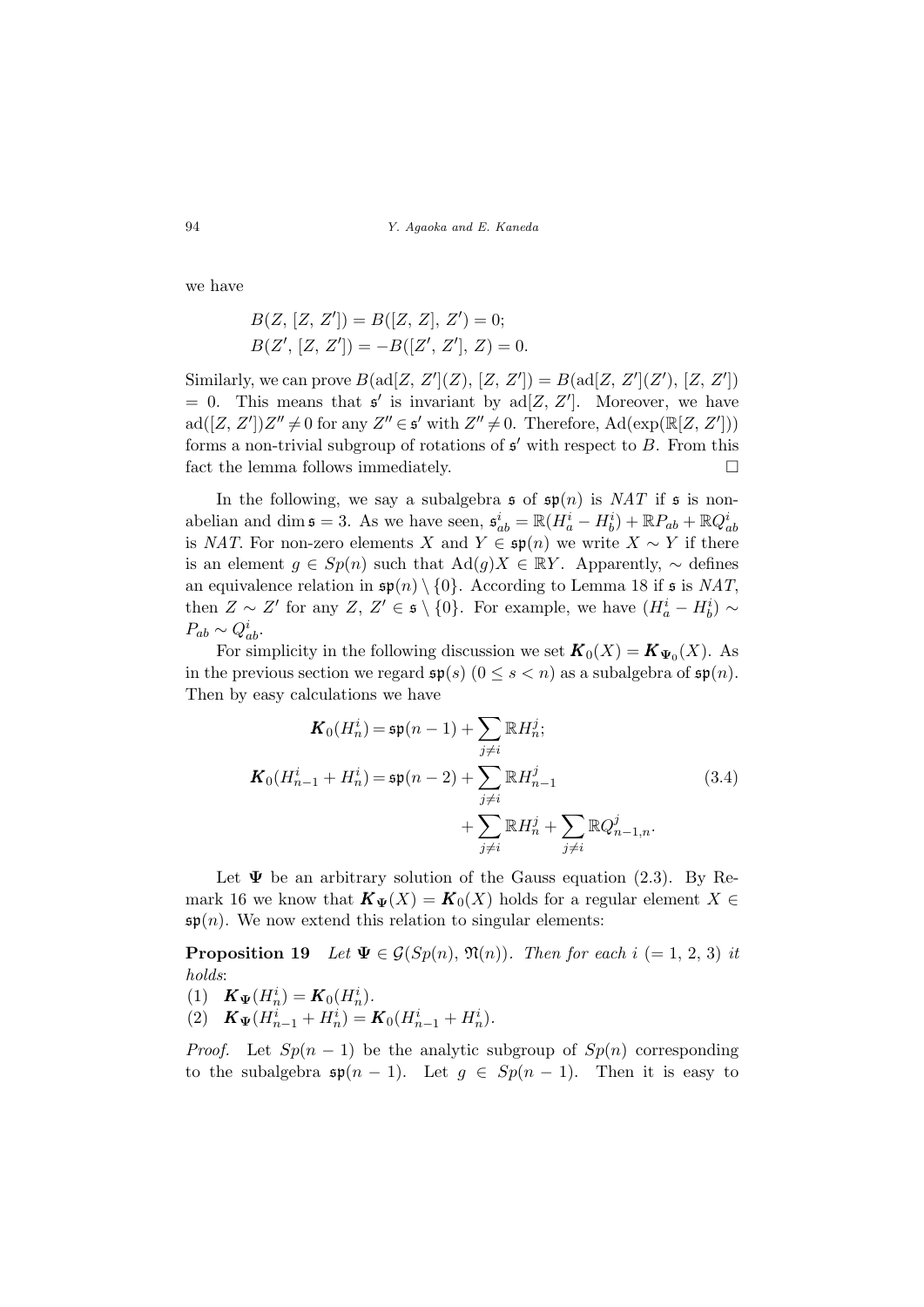we have

$$
B(Z, [Z, Z']) = B([Z, Z], Z') = 0;
$$
  

$$
B(Z', [Z, Z']) = -B([Z', Z'], Z) = 0.
$$

Similarly, we can prove  $B(\text{ad}[Z, Z'](Z), [Z, Z']) = B(\text{ad}[Z, Z'](Z'), [Z, Z'])$  $= 0$ . This means that  $\mathfrak{s}'$  is invariant by ad[Z, Z']. Moreover, we have  $ad([Z, Z'])Z'' \neq 0$  for any  $Z'' \in \mathfrak{s}'$  with  $Z'' \neq 0$ . Therefore,  $Ad(exp(\mathbb{R}[Z, Z'])$ forms a non-trivial subgroup of rotations of  $s'$  with respect to  $B$ . From this fact the lemma follows immediately.  $\Box$ 

In the following, we say a subalgebra  $\mathfrak s$  of  $\mathfrak s(p(n))$  is NAT if  $\mathfrak s$  is nonabelian and dim  $\mathfrak{s} = 3$ . As we have seen,  $\mathfrak{s}_{ab}^i = \mathbb{R}(H_a^i - H_b^i) + \mathbb{R}P_{ab} + \mathbb{R}Q_{ab}^i$ is NAT. For non-zero elements X and  $Y \in \mathfrak{sp}(n)$  we write  $X \sim Y$  if there is an element  $g \in Sp(n)$  such that  $\text{Ad}(g)X \in \mathbb{R}Y$ . Apparently,  $\sim$  defines an equivalence relation in  $\mathfrak{sp}(n) \setminus \{0\}$ . According to Lemma 18 if  $\mathfrak s$  is NAT, then  $Z \sim Z'$  for any  $Z, Z' \in \mathfrak{s} \setminus \{0\}$ . For example, we have  $(H_a^i - H_b^i) \sim$  $P_{ab} \sim Q_{ab}^i$ .

For simplicity in the following discussion we set  $\mathbf{K}_0(X) = \mathbf{K}_{\Psi_0}(X)$ . As in the previous section we regard  $\mathfrak{sp}(s)$   $(0 \leq s < n)$  as a subalgebra of  $\mathfrak{sp}(n)$ . Then by easy calculations we have

$$
\mathbf{K}_0(H_n^i) = \mathfrak{sp}(n-1) + \sum_{j \neq i} \mathbb{R} H_n^j;
$$
\n
$$
\mathbf{K}_0(H_{n-1}^i + H_n^i) = \mathfrak{sp}(n-2) + \sum_{j \neq i} \mathbb{R} H_{n-1}^j
$$
\n
$$
+ \sum_{j \neq i} \mathbb{R} H_n^j + \sum_{j \neq i} \mathbb{R} Q_{n-1,n}^j.
$$
\n(3.4)

Let  $\Psi$  be an arbitrary solution of the Gauss equation (2.3). By Remark 16 we know that  $\mathbf{K}_{\Psi}(X) = \mathbf{K}_0(X)$  holds for a regular element  $X \in$  $\mathfrak{sp}(n)$ . We now extend this relation to singular elements:

**Proposition 19** Let  $\Psi \in \mathcal{G}(Sp(n), \mathfrak{N}(n))$ . Then for each  $i (= 1, 2, 3)$  it holds:

- (1)  $\mathbf{K}_{\Psi}(H_n^i) = \mathbf{K}_0(H_n^i).$
- (2)  $\mathbf{K}_{\Psi}(H_{n-1}^i + H_n^i) = \mathbf{K}_0(H_{n-1}^i + H_n^i).$

*Proof.* Let  $Sp(n-1)$  be the analytic subgroup of  $Sp(n)$  corresponding to the subalgebra  $\mathfrak{sp}(n-1)$ . Let  $g \in Sp(n-1)$ . Then it is easy to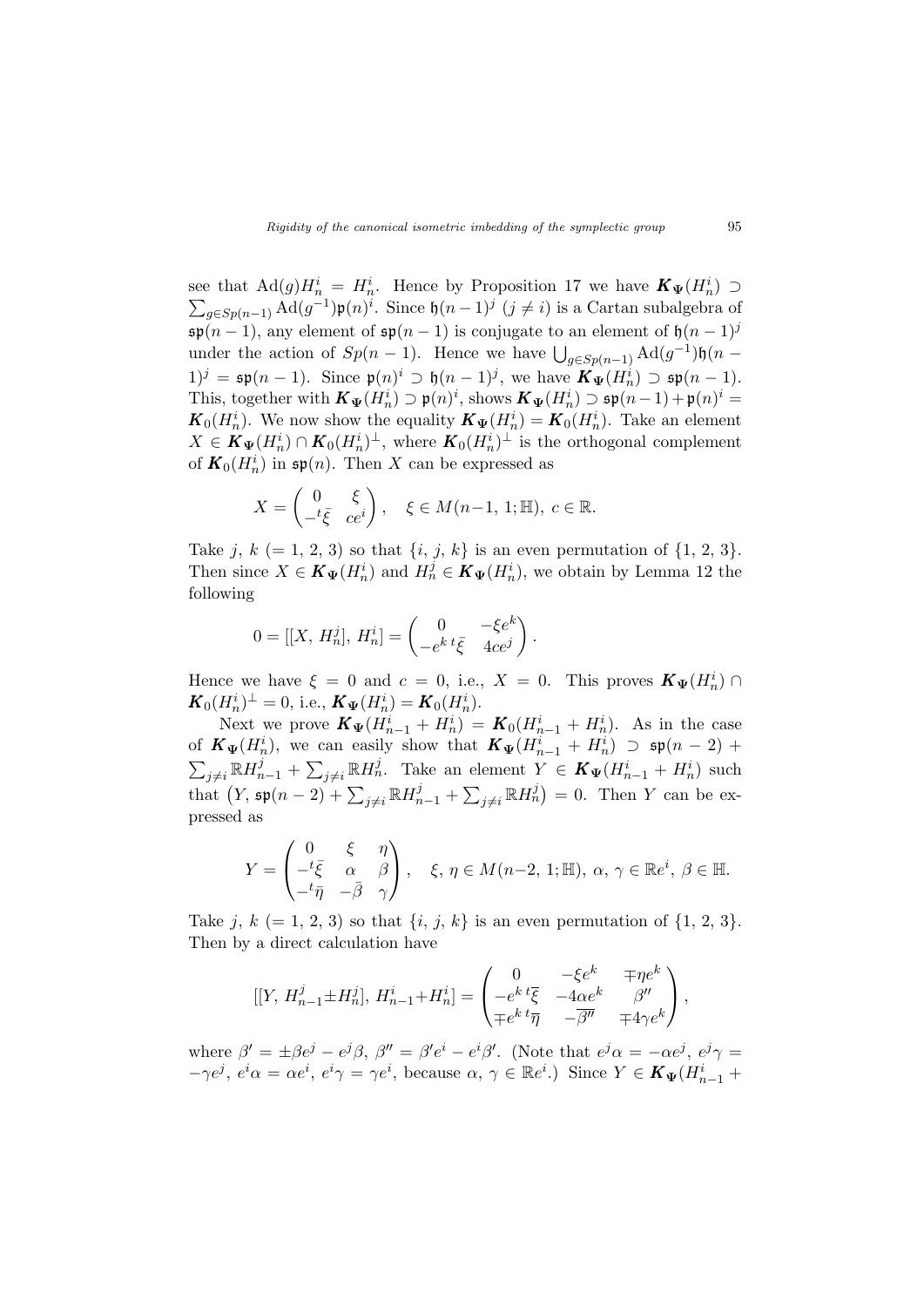see that  $\text{Ad}(g)H_n^i = H_n^i$ . Hence by Proposition 17 we have  $K_{\Psi}(H_n^i) \supset$  $_{g \in Sp(n-1)}$  Ad $(g^{-1})\mathfrak{p}(n)^i$ . Since  $\mathfrak{h}(n-1)^j$   $(j \neq i)$  is a Cartan subalgebra of  $\mathfrak{sp}(n-1)$ , any element of  $\mathfrak{sp}(n-1)$  is conjugate to an element of  $\mathfrak{h}(n-1)^j$ sp(n – 1), any element of  $\mathfrak{sp}(n-1)$  is conjugate to an element of  $\mathfrak{g}(n-1)$ .<br>under the action of  $Sp(n-1)$ . Hence we have  $\bigcup_{g\in Sp(n-1)}\text{Ad}(g^{-1})\mathfrak{h}(n-1)$  $1)^j = \mathfrak{sp}(n-1)$ . Since  $\mathfrak{p}(n)^i \supset \mathfrak{h}(n-1)^j$ , we have  $\mathbf{K}_{\Psi}(H_n^i) \supset \mathfrak{sp}(n-1)$ . This, together with  $\mathbf{K}_{\Psi}(H_n^i) \supset \mathfrak{p}(n)^i$ , shows  $\mathbf{K}_{\Psi}(H_n^i) \supset \mathfrak{sp}(n-1) + \mathfrak{p}(n)^i =$  $\mathbf{K}_0(H_n^i)$ . We now show the equality  $\mathbf{K}_{\Psi}(H_n^i) = \mathbf{K}_0(H_n^i)$ . Take an element  $X \in K_{\Psi}(H_n^i) \cap K_0(H_n^i)^{\perp}$ , where  $K_0(H_n^i)^{\perp}$  is the orthogonal complement of  $\mathbf{K}_0(H_n^i)$  in  $\mathfrak{sp}(n)$ . Then X can be expressed as

$$
X = \begin{pmatrix} 0 & \xi \\ -t\bar{\xi} & ce^{i} \end{pmatrix}, \quad \xi \in M(n-1, 1; \mathbb{H}), \ c \in \mathbb{R}.
$$

Take j,  $k (= 1, 2, 3)$  so that  $\{i, j, k\}$  is an even permutation of  $\{1, 2, 3\}$ . Then since  $X \in K_{\Psi}(H_n^i)$  and  $H_n^j \in K_{\Psi}(H_n^i)$ , we obtain by Lemma 12 the following

$$
0 = [[X, H_n^j], H_n^i] = \begin{pmatrix} 0 & -\xi e^k \\ -e^k t \bar{\xi} & 4c e^j \end{pmatrix}.
$$

Hence we have  $\xi = 0$  and  $c = 0$ , i.e.,  $X = 0$ . This proves  $\mathbf{K}_{\Psi}(H_n^i) \cap$  $\boldsymbol{K}_0 (H_n^i)^\perp = 0, \, \text{i.e.,} \, \boldsymbol{K}_{\boldsymbol{\Psi}} (H_n^i) = \boldsymbol{K}_0 (H_n^i).$ 

Next we prove  $\mathbf{K}_{\Psi}(H_{n-1}^i + H_n^i) = \mathbf{K}_0(H_{n-1}^i + H_n^i)$ . As in the case of  $\mathbf{K}_{\Psi}(H_n^i)$ , we can easily show that  $\mathbf{K}_{\Psi}(H_{n-1}^i + H_n^i) \supseteq \mathfrak{sp}(n-2) + \sum_{\mathbf{K}_{\mathcal{P}}(H_n^i)} \mathfrak{g}_{\Psi}(H_n^i)$  $j\neq i \mathbb{R} H_{n-1}^j + \sum_{j\neq i} \mathbb{R} H_n^j$ . Take an element  $Y \in K_{\Psi}(H_{n-1}^i + H_n^i)$  such  $\sum_{j\neq i}^{n+1} \sum_{n=1}^{n} \sum_{j=1}^{n} \sum_{j\neq i}^{n} \sum_{n=1}^{n} \sum_{n=1}^{n}$ <br>that  $(Y, \mathfrak{sp}(n-2) + \sum_{j\neq i}^{n} \mathbb{R}H_{n-1}^{j} +$  $\overline{ }$  $_{j\neq i}\mathbb{R}H_{n}^{j}$  = 0. Then Y can be expressed as

$$
Y = \begin{pmatrix} 0 & \xi & \eta \\ -t\bar{\xi} & \alpha & \beta \\ -t\bar{\eta} & -\bar{\beta} & \gamma \end{pmatrix}, \quad \xi, \eta \in M(n-2, 1; \mathbb{H}), \alpha, \gamma \in \mathbb{R}e^i, \beta \in \mathbb{H}.
$$

Take j,  $k (= 1, 2, 3)$  so that  $\{i, j, k\}$  is an even permutation of  $\{1, 2, 3\}$ . Then by a direct calculation have

$$
\begin{aligned} [[Y,\,H_{n-1}^j\pm H_n^j],\,H_{n-1}^i\!+\!H_n^i] = \begin{pmatrix} 0 & -\xi e^k & \mp \eta e^k \\ -e^k\,t\overline{\xi} & -4\alpha e^k & \beta^\prime \\ \mp e^k\,t\overline{\eta} & -\overline{\beta^\prime\prime} & \mp 4\gamma e^k \end{pmatrix}, \end{aligned}
$$

where  $\beta' = \pm \beta e^j - e^j \beta$ ,  $\beta'' = \beta' e^i - e^i \beta'$ . (Note that  $e^j \alpha = -\alpha e^j$ ,  $e^j \gamma =$  $-\gamma e^j$ ,  $e^i \alpha = \alpha e^i$ ,  $e^i \gamma = \gamma e^i$ , because  $\alpha, \gamma \in \mathbb{R}e^i$ .) Since  $Y \in K_{\Psi}(H_{n-1}^i +$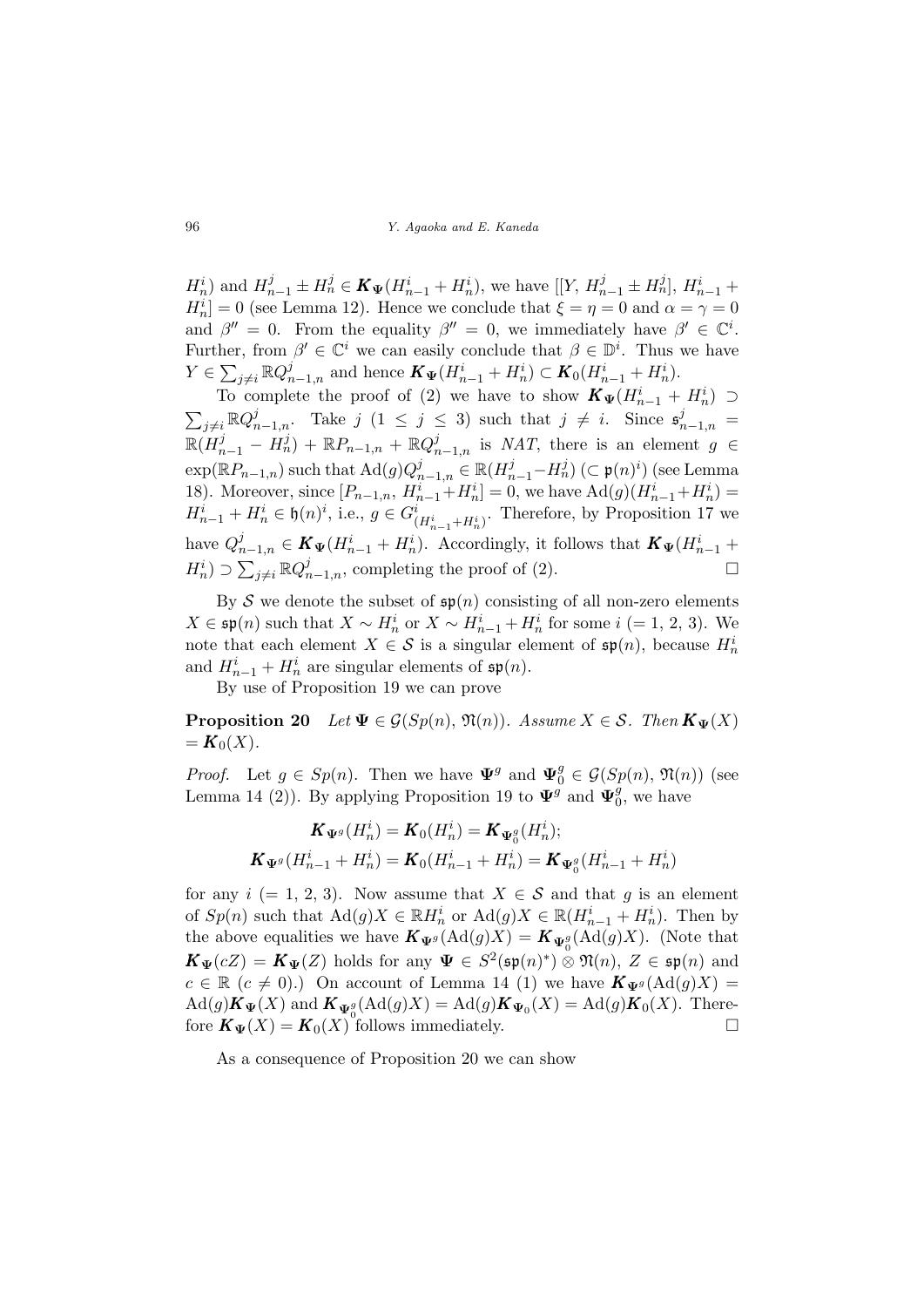$H_n^i$ ) and  $H_{n-1}^j \pm H_n^j \in K_{\Psi}(H_{n-1}^i + H_n^i)$ , we have  $[[Y, H_{n-1}^j \pm H_n^j], H_{n-1}^i +$  $H_n^i = 0$  (see Lemma 12). Hence we conclude that  $\xi = \eta = 0$  and  $\alpha = \gamma = 0$ and  $\beta'' = 0$ . From the equality  $\beta'' = 0$ , we immediately have  $\beta' \in \mathbb{C}^i$ . Further, from  $\beta' \in \mathbb{C}^i$  we can easily conclude that  $\beta \in \mathbb{D}^i$ . Thus we have  $Y \in$ rici  $j\neq i \mathbb{R} Q_{n-1,n}^j$  and hence  $\mathbf{K}_{\Psi}(H_{n-1}^i + H_n^i) \subset \mathbf{K}_0(H_{n-1}^i + H_n^i)$ .

To complete the proof of (2) we have to show  $\mathbf{K}_{\Psi}(H_{n-1}^i + H_n^i) \supset$  $\overline{ }$  $j\neq i \mathbb{R} Q_{n-1,n}^j$ . Take  $j \ (1 \leq j \leq 3)$  such that  $j \neq i$ . Since  $\mathfrak{s}_{n-1,n}^j =$  $\mathbb{R}(H_{n-1}^j - H_n^j) + \mathbb{R}P_{n-1,n} + \mathbb{R}Q_{n-1,n}^j$  is NAT, there is an element  $g \in$  $\exp(\mathbb{R}P_{n-1,n})$  such that  $\text{Ad}(g)Q_{n-1,n}^j \in \mathbb{R}(H_{n-1}^j-H_n^j)\ (\subset \mathfrak{p}(n)^i)$  (see Lemma 18). Moreover, since  $[P_{n-1,n}, H_{n-1}^i + H_n^i] = 0$ , we have  $\text{Ad}(g)(H_{n-1}^i + H_n^i) =$  $H_{n-1}^i + H_n^i \in \mathfrak{h}(n)^i$ , i.e.,  $g \in G^i_{(H_{n-1}^i + H_n^i)}$ . Therefore, by Proposition 17 we have  $Q_{n-1,n}^j \in K_{\Psi}(H_{n-1}^i + H_n^i)$ . Accordingly, it follows that  $K_{\Psi}(H_{n-1}^i +$  $H_n^i$ )  $\supset \sum_{j \neq i} \mathbb{R} Q_{n-1,n}^j$ , completing the proof of (2).

By S we denote the subset of  $\mathfrak{sp}(n)$  consisting of all non-zero elements  $X \in \mathfrak{sp}(n)$  such that  $X \sim H_n^i$  or  $X \sim H_{n-1}^i + H_n^i$  for some  $i (= 1, 2, 3)$ . We note that each element  $X \in \mathcal{S}$  is a singular element of  $\mathfrak{sp}(n)$ , because  $H_n^i$ and  $H_{n-1}^i + H_n^i$  are singular elements of  $\mathfrak{sp}(n)$ .

By use of Proposition 19 we can prove

**Proposition 20** Let  $\Psi \in \mathcal{G}(Sp(n), \mathfrak{N}(n))$ . Assume  $X \in \mathcal{S}$ . Then  $\mathbf{K}_{\Psi}(X)$  $= K_0(X)$ .

*Proof.* Let  $g \in Sp(n)$ . Then we have  $\Psi^g$  and  $\Psi^g_0 \in \mathcal{G}(Sp(n), \mathfrak{N}(n))$  (see Lemma 14 (2)). By applying Proposition 19 to  $\Psi^{\tilde{g}}$  and  $\Psi^{\tilde{g}}_0$  $_0^g$ , we have

$$
\mathbf{K}_{\Psi^g}(H_n^i) = \mathbf{K}_0(H_n^i) = \mathbf{K}_{\Psi_0^g}(H_n^i);
$$
  

$$
\mathbf{K}_{\Psi^g}(H_{n-1}^i + H_n^i) = \mathbf{K}_0(H_{n-1}^i + H_n^i) = \mathbf{K}_{\Psi_0^g}(H_{n-1}^i + H_n^i)
$$

for any  $i (= 1, 2, 3)$ . Now assume that  $X \in \mathcal{S}$  and that g is an element of  $Sp(n)$  such that  $\text{Ad}(g)X \in \mathbb{R}$  and  $H_n$  or  $\text{Ad}(g)X \in \mathbb{R}$   $(H_{n-1}^i + H_n^i)$ . Then by the above equalities we have  $\mathbf{K}_{\Psi^g}(\text{Ad}(g)X) = \mathbf{K}_{\Psi^g_0}(\text{Ad}(g)X)$ . (Note that  $\mathbf{K}_{\Psi}(cZ) = \mathbf{K}_{\Psi}(Z)$  holds for any  $\Psi \in S^2(\mathfrak{sp}(n)^*) \otimes \mathfrak{N}(n), Z \in \mathfrak{sp}(n)$  and  $c \in \mathbb{R}$   $(c \neq 0)$ .) On account of Lemma 14 (1) we have  $K_{\Psi^g}(\text{Ad}(g)X) =$  $\mathrm{Ad}(g) \mathbf{K}_{\Psi}(X)$  and  $\mathbf{K}_{\Psi_0}^g(\mathrm{Ad}(g)X) = \mathrm{Ad}(g) \mathbf{K}_{\Psi_0}(X) = \mathrm{Ad}(g) \mathbf{K}_0(X)$ . Therefore  $\mathbf{K}_{\Psi}(X) = \mathbf{K}_0(X)$  follows immediately.

As a consequence of Proposition 20 we can show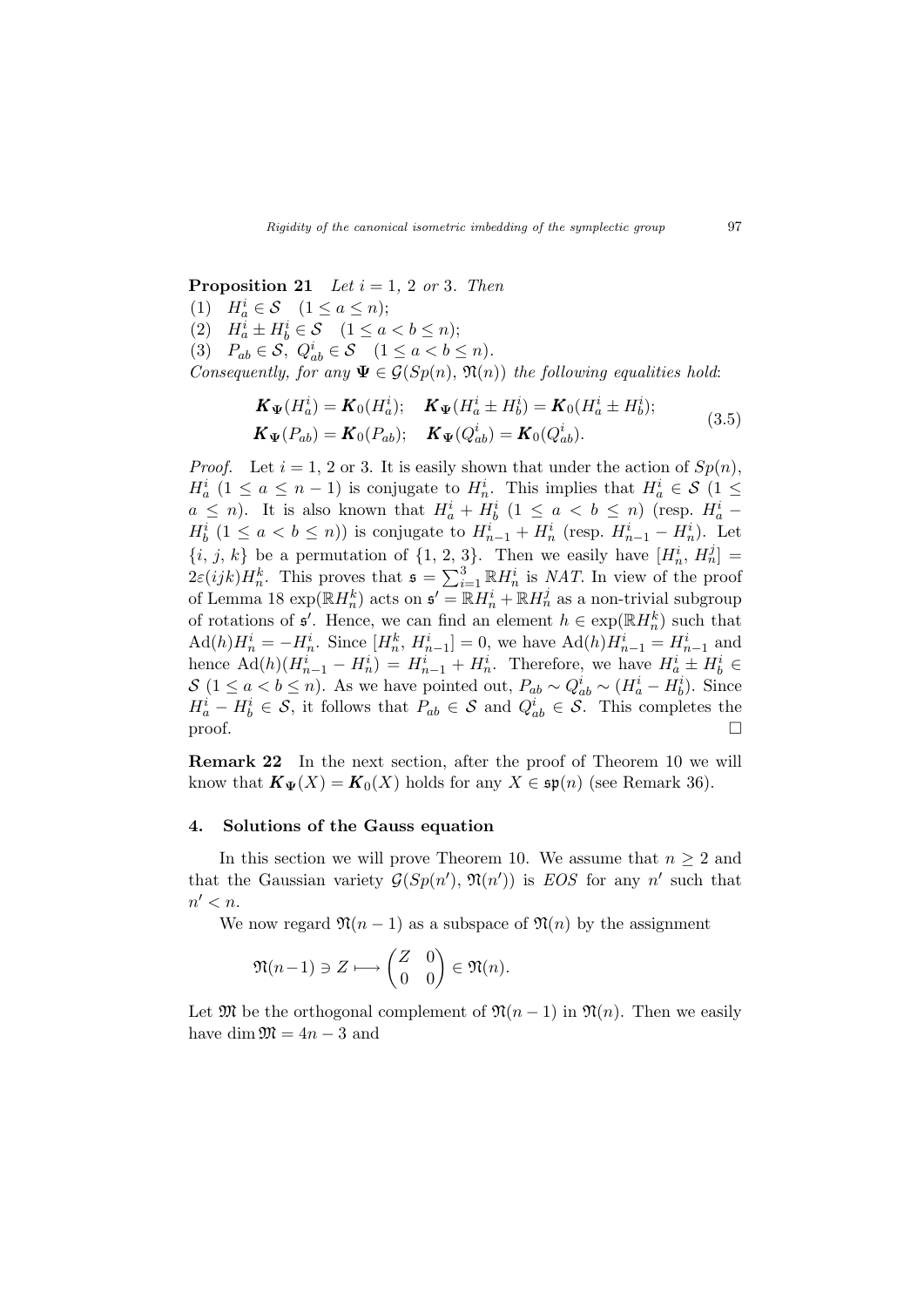**Proposition 21** Let  $i = 1, 2$  or 3. Then

(1)  $H_a^i \in \mathcal{S}$   $(1 \le a \le n);$ 

(2)  $H_a^i \pm H_b^i \in \mathcal{S}$   $(1 \le a < b \le n);$ 

(3)  $P_{ab} \in \mathcal{S}, Q^i_{ab} \in \mathcal{S} \quad (1 \leq a < b \leq n).$ 

Consequently, for any  $\Psi \in \mathcal{G}(Sp(n), \mathfrak{N}(n))$  the following equalities hold:

$$
\mathbf{K}_{\Psi}(H_{a}^{i}) = \mathbf{K}_{0}(H_{a}^{i}); \quad \mathbf{K}_{\Psi}(H_{a}^{i} \pm H_{b}^{i}) = \mathbf{K}_{0}(H_{a}^{i} \pm H_{b}^{i}); \n\mathbf{K}_{\Psi}(P_{ab}) = \mathbf{K}_{0}(P_{ab}); \quad \mathbf{K}_{\Psi}(Q_{ab}^{i}) = \mathbf{K}_{0}(Q_{ab}^{i}).
$$
\n(3.5)

*Proof.* Let  $i = 1, 2$  or 3. It is easily shown that under the action of  $Sp(n)$ ,  $H_a^i$  (1  $\le a \le n-1$ ) is conjugate to  $H_n^i$ . This implies that  $H_a^i \in \mathcal{S}$  (1  $\le$  $a \leq n$ ). It is also known that  $H_a^i + H_b^i$   $(1 \leq a < b \leq n)$  (resp.  $H_a^i$  - $H_b^i$   $(1 \le a < b \le n)$  is conjugate to  $H_{n-1}^i + H_n^i$  (resp.  $H_{n-1}^i - H_n^i$ ). Let  $\{i, j, k\}$  be a permutation of  $\{1, 2, 3\}$ . Then we easily have  $[H_n^i, H_n^j] =$  $\{v_i, y, \kappa\}$  be a permutation of  $\{1, 2, 3\}$ . Then we easily have  $[I_n, In_n]$   $-$ <br> $2\varepsilon(ijk)H_n^k$ . This proves that  $\mathfrak{s} = \sum_{i=1}^3 \mathbb{R}H_n^i$  is *NAT*. In view of the proof of Lemma 18  $\exp(\mathbb{R}H_n^k)$  acts on  $\mathfrak{s}' = \mathbb{R}H_n^i + \mathbb{R}H_n^j$  as a non-trivial subgroup of rotations of  $\mathfrak{s}'$ . Hence, we can find an element  $h \in \exp(\mathbb{R}H_n^k)$  such that  $\text{Ad}(h)H_n^i = -H_n^i$ . Since  $[H_n^k, H_{n-1}^i] = 0$ , we have  $\text{Ad}(h)H_{n-1}^i = H_{n-1}^i$  and hence  $\text{Ad}(h)(H_{n-1}^i - H_n^i) = H_{n-1}^i + H_n^i$ . Therefore, we have  $H_a^i \pm H_b^i \in$ S (1 ≤ a < b ≤ n). As we have pointed out,  $P_{ab} \sim Q_{ab}^i \sim (H_a^i - H_b^i)$ . Since  $H_a^i - H_b^i \in \mathcal{S}$ , it follows that  $P_{ab} \in \mathcal{S}$  and  $Q_{ab}^i \in \mathcal{S}$ . This completes the  $\Box$ 

Remark 22 In the next section, after the proof of Theorem 10 we will know that  $\mathbf{K}_{\Psi}(X) = \mathbf{K}_0(X)$  holds for any  $X \in \mathfrak{sp}(n)$  (see Remark 36).

#### 4. Solutions of the Gauss equation

In this section we will prove Theorem 10. We assume that  $n \geq 2$  and that the Gaussian variety  $G(Sp(n'), \mathfrak{N}(n'))$  is EOS for any n' such that  $n' < n$ .

We now regard  $\mathfrak{N}(n-1)$  as a subspace of  $\mathfrak{N}(n)$  by the assignment

$$
\mathfrak{N}(n-1) \ni Z \longmapsto \begin{pmatrix} Z & 0 \\ 0 & 0 \end{pmatrix} \in \mathfrak{N}(n).
$$

Let  $\mathfrak{M}$  be the orthogonal complement of  $\mathfrak{N}(n-1)$  in  $\mathfrak{N}(n)$ . Then we easily have dim  $\mathfrak{M} = 4n - 3$  and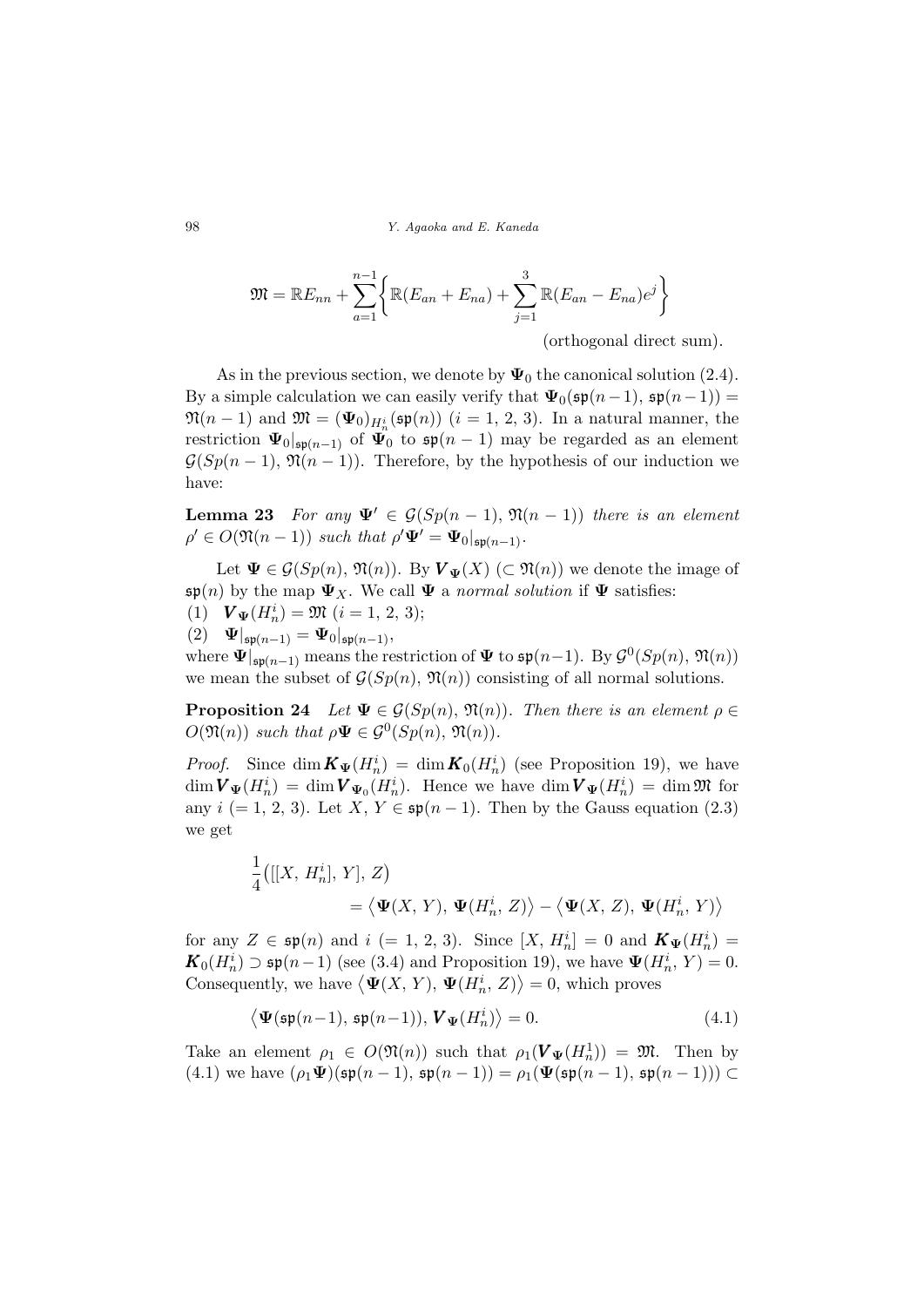$$
\mathfrak{M} = \mathbb{R}E_{nn} + \sum_{a=1}^{n-1} \left\{ \mathbb{R}(E_{an} + E_{na}) + \sum_{j=1}^{3} \mathbb{R}(E_{an} - E_{na})e^j \right\}
$$

(orthogonal direct sum).

As in the previous section, we denote by  $\Psi_0$  the canonical solution (2.4). By a simple calculation we can easily verify that  $\Psi_0(\mathfrak{sp}(n-1), \mathfrak{sp}(n-1)) =$  $\mathfrak{M}(n-1)$  and  $\mathfrak{M}=(\mathbf{\Psi}_0)_{H_n^i}(\mathfrak{sp}(n))$   $(i=1,\,2,\,3).$  In a natural manner, the restriction  $\Psi_0|_{\mathfrak{sp}(n-1)}$  of  $\Psi_0$  to  $\mathfrak{sp}(n-1)$  may be regarded as an element  $\mathcal{G}(Sp(n-1), \mathfrak{N}(n-1))$ . Therefore, by the hypothesis of our induction we have:

**Lemma 23** For any  $\Psi' \in \mathcal{G}(Sp(n-1), \mathfrak{N}(n-1))$  there is an element  $\rho' \in O(\mathfrak{N}(n-1))$  such that  $\rho' \Psi' = \Psi_0|_{\mathfrak{sp}(n-1)}$ .

Let  $\Psi \in \mathcal{G}(Sp(n), \mathfrak{N}(n))$ . By  $V_{\Psi}(X)$  ( $\subset \mathfrak{N}(n)$ ) we denote the image of  $\mathfrak{sp}(n)$  by the map  $\Psi_X$ . We call  $\Psi$  a normal solution if  $\Psi$  satisfies:

- (1)  $\mathbf{V}_{\mathbf{\Psi}}(H_n^i) = \mathfrak{M} \ (i = 1, 2, 3);$
- (2)  $\Psi|_{\mathfrak{sp}(n-1)} = \Psi_0|_{\mathfrak{sp}(n-1)},$

where  $\Psi|_{\mathfrak{sp}(n-1)}$  means the restriction of  $\Psi$  to  $\mathfrak{sp}(n-1)$ . By  $\mathcal{G}^0(Sp(n), \mathfrak{N}(n))$ we mean the subset of  $\mathcal{G}(Sp(n), \mathfrak{N}(n))$  consisting of all normal solutions.

**Proposition 24** Let  $\Psi \in \mathcal{G}(Sp(n), \mathfrak{N}(n))$ . Then there is an element  $\rho \in$  $O(\mathfrak{N}(n))$  such that  $\rho \Psi \in \mathcal{G}^0(Sp(n), \mathfrak{N}(n)).$ 

*Proof.* Since  $\dim K_{\Psi}(H_n^i) = \dim K_0(H_n^i)$  (see Proposition 19), we have  $\dim V_{\Psi}(H_n^i) = \dim V_{\Psi_0}(H_n^i)$ . Hence we have  $\dim V_{\Psi}(H_n^i) = \dim \mathfrak{M}$  for any  $i (= 1, 2, 3)$ . Let  $X, Y \in \mathfrak{sp}(n-1)$ . Then by the Gauss equation (2.3) we get

$$
\frac{1}{4}([[X, H_n^i], Y], Z)
$$
  
=  $\langle \Psi(X, Y), \Psi(H_n^i, Z) \rangle - \langle \Psi(X, Z), \Psi(H_n^i, Y) \rangle$ 

for any  $Z \in \mathfrak{sp}(n)$  and  $i (= 1, 2, 3)$ . Since  $[X, H_n^i] = 0$  and  $\mathbf{K}_{\Psi}(H_n^i) =$  $\mathbf{K}_0(H_n^i) \supset \mathfrak{sp}(n-1)$  (see (3.4) and Proposition 19), we have  $\Psi(H_n^i, Y) = 0$ . Consequently, we have  $\langle \Psi(X, Y), \Psi(H_n^i, Z) \rangle = 0$ , which proves

$$
\langle \Psi(\mathfrak{sp}(n-1), \mathfrak{sp}(n-1)), \mathbf{V}_{\Psi}(H_n^i) \rangle = 0.
$$
 (4.1)

Take an element  $\rho_1 \in O(\mathfrak{N}(n))$  such that  $\rho_1(\mathbf{V}_{\Psi}(H_n^1)) = \mathfrak{M}$ . Then by (4.1) we have  $(\rho_1 \Psi)(\mathfrak{sp}(n-1), \mathfrak{sp}(n-1)) = \rho_1(\Psi(\mathfrak{sp}(n-1), \mathfrak{sp}(n-1))) \subset$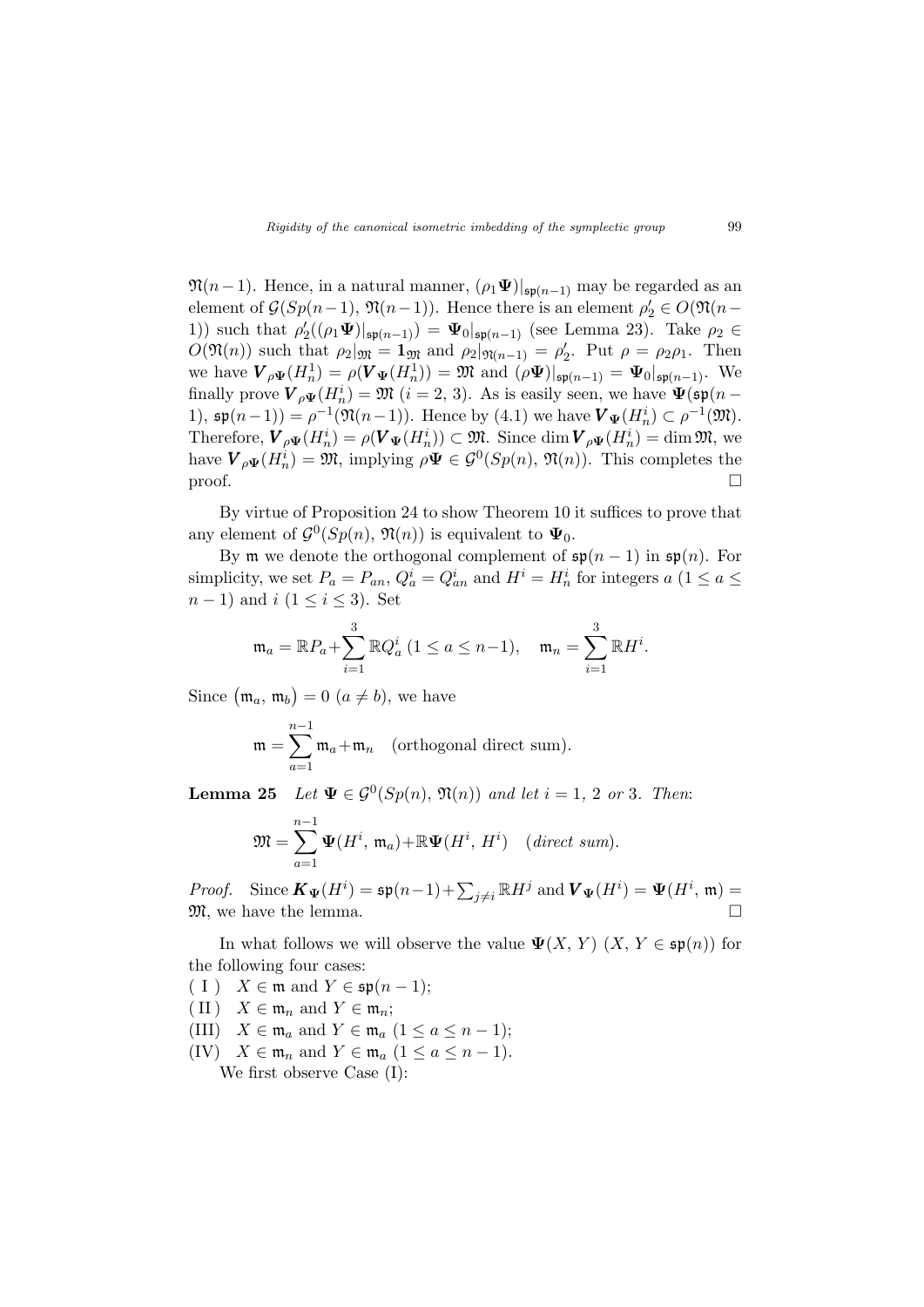$\mathfrak{N}(n-1)$ . Hence, in a natural manner,  $(\rho_1 \Psi)|_{\mathfrak{sp}(n-1)}$  may be regarded as an element of  $\mathcal{G}(Sp(n-1), \mathfrak{N}(n-1))$ . Hence there is an element  $\rho'_2 \in O(\mathfrak{N}(n-1))$ 1)) such that  $\rho'_2((\rho_1\Psi)|_{\mathfrak{sp}(n-1)}) = \Psi_0|_{\mathfrak{sp}(n-1)}$  (see Lemma 23). Take  $\rho_2 \in$  $O(\mathfrak{N}(n))$  such that  $\rho_2|_{\mathfrak{M}} = \mathbf{1}_{\mathfrak{M}}$  and  $\rho_2|_{\mathfrak{N}(n-1)} = \rho'_2$ . Put  $\rho = \rho_2 \rho_1$ . Then we have  $\mathbf{V}_{\rho\Psi}(H_n^1) = \rho(\mathbf{V}_{\Psi}(H_n^1)) = \mathfrak{M}$  and  $(\rho\Psi)|_{\mathfrak{sp}(n-1)} = \Psi_0|_{\mathfrak{sp}(n-1)}$ . We finally prove  $V_{\rho\Psi}(H_n^i) = \mathfrak{M}$   $(i = 2, 3)$ . As is easily seen, we have  $\Psi(\mathfrak{sp}(n -$ 1),  $\mathfrak{sp}(n-1) = \rho^{-1}(\mathfrak{N}(n-1))$ . Hence by  $(4.1)$  we have  $\mathbf{V}_{\Psi}(H_n^i) \subset \rho^{-1}(\mathfrak{M})$ . Therefore,  $\mathbf{V}_{\rho\Psi}(H_n^i) = \rho(\mathbf{V}_{\Psi}(H_n^i)) \subset \mathfrak{M}$ . Since  $\dim \mathbf{V}_{\rho\Psi}(H_n^i) = \dim \mathfrak{M}$ , we have  $\mathbf{V}_{\rho\Psi}(H_n^i) = \mathfrak{M}$ , implying  $\rho \Psi \in \mathcal{G}^0(Sp(n), \mathfrak{N}(n))$ . This completes the  $\Box$ 

By virtue of Proposition 24 to show Theorem 10 it suffices to prove that any element of  $\mathcal{G}^0(Sp(n), \mathfrak{N}(n))$  is equivalent to  $\Psi_0$ .

By **m** we denote the orthogonal complement of  $\mathfrak{sp}(n-1)$  in  $\mathfrak{sp}(n)$ . For simplicity, we set  $P_a = P_{an}$ ,  $Q_a^i = Q_{an}^i$  and  $H^i = H_n^i$  for integers  $a \ (1 \le a \le a)$  $n-1$ ) and  $i$  ( $1 \leq i \leq 3$ ). Set

$$
\mathfrak{m}_a = \mathbb{R}P_a + \sum_{i=1}^3 \mathbb{R}Q_a^i \ (1 \le a \le n-1), \quad \mathfrak{m}_n = \sum_{i=1}^3 \mathbb{R}H^i.
$$

Since  $(m_a, m_b)$  $= 0$   $(a \neq b)$ , we have

$$
\mathfrak{m} = \sum_{a=1}^{n-1} \mathfrak{m}_a + \mathfrak{m}_n \quad \text{(orthogonal direct sum)}.
$$

**Lemma 25** Let  $\Psi \in \mathcal{G}^0(Sp(n), \mathfrak{N}(n))$  and let  $i = 1, 2$  or 3. Then:

$$
\mathfrak{M}=\sum_{a=1}^{n-1}\Psi(H^i,\,\mathfrak{m}_a)+\mathbb{R}\Psi(H^i,\,H^i)\quad (direct\ sum).
$$

*Proof.* Since  $\mathbf{K}_{\Psi}(H^i) = \mathfrak{sp}(n-1) + \sum_{j \neq i} \mathbb{R} H^j$  and  $\mathbf{V}_{\Psi}(H^i) = \Psi(H^i, \mathfrak{m}) =$  $\mathfrak{M}$ , we have the lemma.  $\Box$ 

In what follows we will observe the value  $\Psi(X, Y)$   $(X, Y \in \mathfrak{sp}(n))$  for the following four cases:

 $(I)$   $X \in \mathfrak{m}$  and  $Y \in \mathfrak{sp}(n-1);$ 

- (II)  $X \in \mathfrak{m}_n$  and  $Y \in \mathfrak{m}_n$ ;
- (III)  $X \in \mathfrak{m}_a$  and  $Y \in \mathfrak{m}_a$   $(1 \le a \le n-1);$
- (IV)  $X \in \mathfrak{m}_n$  and  $Y \in \mathfrak{m}_a$   $(1 \le a \le n-1)$ .

We first observe Case (I):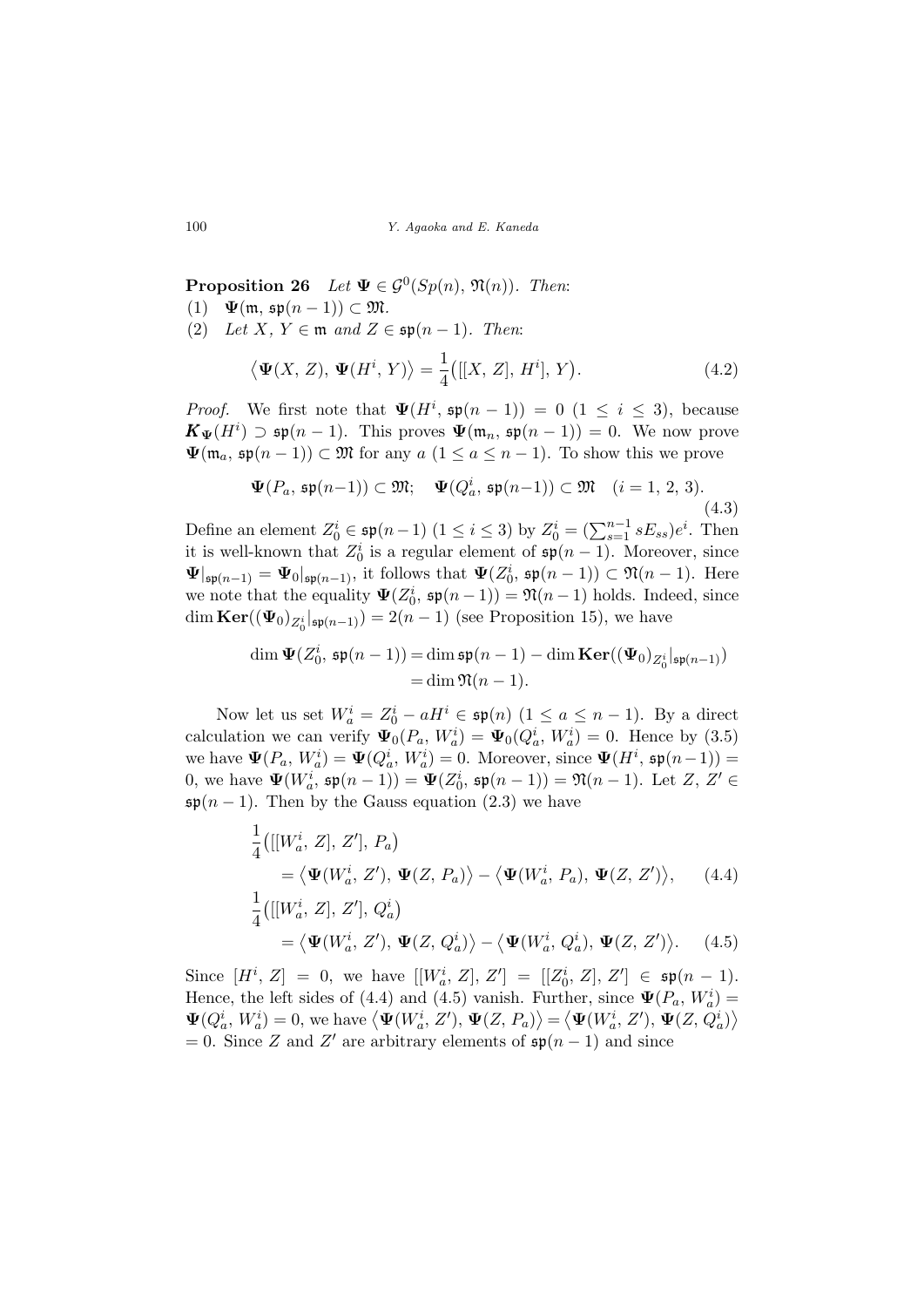**Proposition 26** Let  $\Psi \in \mathcal{G}^0(Sp(n), \mathfrak{N}(n))$ . Then:

- (1)  $\Psi(\mathfrak{m}, \mathfrak{sp}(n-1)) \subset \mathfrak{M}.$
- (2) Let X,  $Y \in \mathfrak{m}$  and  $Z \in \mathfrak{sp}(n-1)$ . Then:

$$
\langle \mathbf{\Psi}(X,Z), \mathbf{\Psi}(H^i, Y) \rangle = \frac{1}{4} \big( [[X, Z], H^i], Y \big). \tag{4.2}
$$

*Proof.* We first note that  $\Psi(H^i, \mathfrak{sp}(n-1)) = 0 \ (1 \leq i \leq 3)$ , because  $\mathbf{K}_{\Psi}(H^{i}) \supset \mathfrak{sp}(n-1)$ . This proves  $\Psi(\mathfrak{m}_{n}, \mathfrak{sp}(n-1)) = 0$ . We now prove  $\Psi(\mathfrak{m}_a, \mathfrak{sp}(n-1)) \subset \mathfrak{M}$  for any  $a \ (1 \leq a \leq n-1)$ . To show this we prove

$$
\Psi(P_a, \mathfrak{sp}(n-1)) \subset \mathfrak{M}; \quad \Psi(Q_a^i, \mathfrak{sp}(n-1)) \subset \mathfrak{M} \quad (i = 1, 2, 3).
$$
\n(4.3)

Define an element  $Z_0^i \in \mathfrak{sp}(n-1)$   $(1 \leq i \leq 3)$  by  $Z_0^i = (\sum_{s=1}^{n-1} sE_{ss})e^i$ . Then it is well-known that  $Z_0^i$  is a regular element of  $\mathfrak{sp}(n-1)$ . Moreover, since  $\Psi|_{\mathfrak{sp}(n-1)} = \Psi_0|_{\mathfrak{sp}(n-1)}$ , it follows that  $\Psi(Z_0^i, \mathfrak{sp}(n-1)) \subset \mathfrak{N}(n-1)$ . Here we note that the equality  $\Psi(Z_0^i, \mathfrak{sp}(n-1)) = \mathfrak{N}(n-1)$  holds. Indeed, since dim  $\text{Ker}((\Psi_0)_{Z_0^i}|_{\mathfrak{sp}(n-1)}) = 2(n-1)$  (see Proposition 15), we have

$$
\dim \Psi(Z_0^i, \mathfrak{sp}(n-1)) = \dim \mathfrak{sp}(n-1) - \dim \mathbf{Ker}((\Psi_0)_{Z_0^i}|_{\mathfrak{sp}(n-1)})
$$
  
= 
$$
\dim \mathfrak{N}(n-1).
$$

Now let us set  $W_a^i = Z_0^i - aH^i \in \mathfrak{sp}(n)$   $(1 \le a \le n-1)$ . By a direct calculation we can verify  $\Psi_0(P_a, W_a^i) = \Psi_0(Q_a^i, W_a^i) = 0$ . Hence by (3.5) we have  $\Psi(P_a, W_a^i) = \Psi(Q_a^i, W_a^i) = 0$ . Moreover, since  $\Psi(H^i, \mathfrak{sp}(n-1)) =$ 0, we have  $\Psi(W_a^i, \mathfrak{sp}(n-1)) = \Psi(Z_0^i, \mathfrak{sp}(n-1)) = \mathfrak{N}(n-1)$ . Let  $Z, Z' \in$  $\mathfrak{sp}(n-1)$ . Then by the Gauss equation (2.3) we have

$$
\frac{1}{4} \big( [[W_a^i, Z], Z'], P_a \big) \n= \langle \mathbf{\Psi}(W_a^i, Z'), \mathbf{\Psi}(Z, P_a) \rangle - \langle \mathbf{\Psi}(W_a^i, P_a), \mathbf{\Psi}(Z, Z') \rangle, \qquad (4.4) \n\frac{1}{4} \big( [[W_a^i, Z], Z'], Q_a^i \big)
$$

$$
= \langle \mathbf{\Psi}(W_a^i, Z'), \mathbf{\Psi}(Z, Q_a^i) \rangle - \langle \mathbf{\Psi}(W_a^i, Q_a^i), \mathbf{\Psi}(Z, Z') \rangle. \tag{4.5}
$$

Since  $[H^i, Z] = 0$ , we have  $[[W^i_a, Z], Z'] = [[Z^i_0, Z], Z'] \in \mathfrak{sp}(n-1)$ . Hence, the left sides of (4.4) and (4.5) vanish. Further, since  $\Psi(P_a, W_a^i) =$ mence, the left sides of (4.4) and (4.5) vanish. Further, since  $\Psi(P_a, W_a) = \Psi(Q_a^i, W_a^i) = 0$ , we have  $\langle \Psi(W_a^i, Z'), \Psi(Z, P_a) \rangle = \langle \Psi(W_a^i, Z'), \Psi(Z, Q_a^i) \rangle$  $= 0$ . Since Z and Z' are arbitrary elements of  $\mathfrak{sp}(n-1)$  and since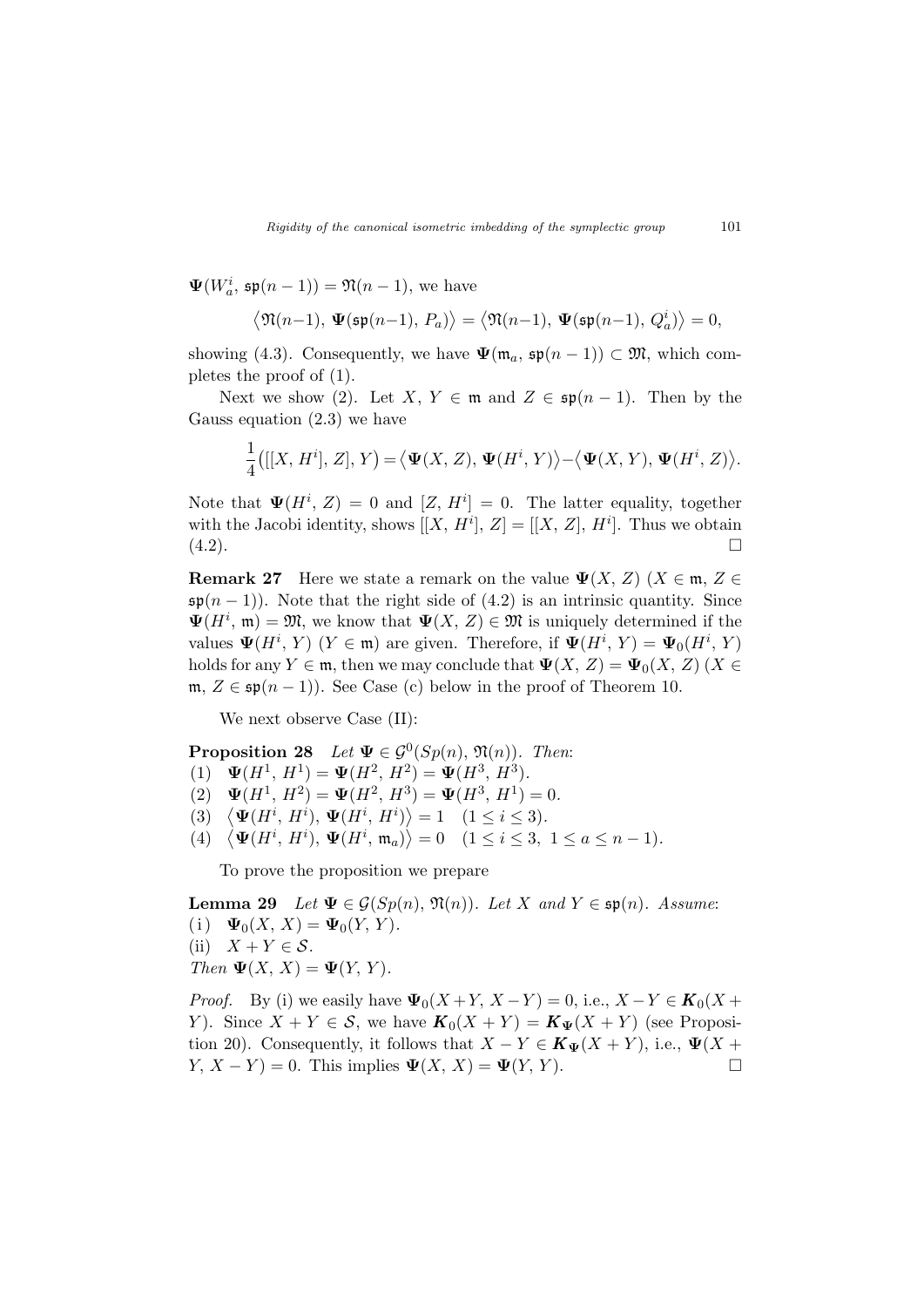$\Psi(W_a^i, \mathfrak{sp}(n-1)) = \mathfrak{N}(n-1)$ , we have

$$
\langle \mathfrak{N}(n-1), \, \mathbf{\Psi}(\mathfrak{sp}(n-1), P_a) \rangle = \langle \mathfrak{N}(n-1), \, \mathbf{\Psi}(\mathfrak{sp}(n-1), Q_a^i) \rangle = 0,
$$

showing (4.3). Consequently, we have  $\Psi(\mathfrak{m}_a, \mathfrak{sp}(n-1)) \subset \mathfrak{M}$ , which completes the proof of (1).

Next we show (2). Let X,  $Y \in \mathfrak{m}$  and  $Z \in \mathfrak{sp}(n-1)$ . Then by the Gauss equation (2.3) we have

$$
\frac{1}{4}\big([[X,H^i],\,Z],\,Y\big) \!=\! \big\langle \mathbf{\Psi}(X,\,Z),\, \mathbf{\Psi}(H^i,\,Y)\big\rangle \!-\! \big\langle \mathbf{\Psi}(X,\,Y),\, \mathbf{\Psi}(H^i,\,Z)\big\rangle.
$$

Note that  $\Psi(H^i, Z) = 0$  and  $[Z, H^i] = 0$ . The latter equality, together with the Jacobi identity, shows  $[[X, H^i], Z] = [[X, Z], H^i]$ . Thus we obtain  $(4.2).$ 

**Remark 27** Here we state a remark on the value  $\Psi(X, Z)$  ( $X \in \mathfrak{m}, Z \in$  $\mathfrak{sp}(n-1)$ ). Note that the right side of (4.2) is an intrinsic quantity. Since  $\Psi(H^i, \mathfrak{m}) = \mathfrak{M}$ , we know that  $\Psi(X, Z) \in \mathfrak{M}$  is uniquely determined if the values  $\Psi(H^i, Y)$   $(Y \in \mathfrak{m})$  are given. Therefore, if  $\Psi(H^i, Y) = \Psi_0(H^i, Y)$ holds for any  $Y \in \mathfrak{m}$ , then we may conclude that  $\Psi(X, Z) = \Psi_0(X, Z)$  ( $X \in$ m,  $Z \in \mathfrak{sp}(n-1)$ . See Case (c) below in the proof of Theorem 10.

We next observe Case (II):

**Proposition 28** Let  $\Psi \in \mathcal{G}^0(Sp(n), \mathfrak{N}(n))$ . Then:

- (1)  $\Psi(H^1, H^1) = \Psi(H^2, H^2) = \Psi(H^3, H^3).$
- (2)  $\Psi(H^1, H^2) = \Psi(H^2, H^3) = \Psi(H^3, H^1) = 0.$
- (2)  $\Psi(H^+, H^+) = \Psi(H^-, H^+) = \Psi(H^-, H^+) =$ <br>
(3)  $\langle \Psi(H^i, H^i), \Psi(H^i, H^i) \rangle = 1$  (1  $\leq i \leq 3$ ).<br>
(4)  $\langle \Psi(H^i, H^i), \Psi(H^i, \mathfrak{m}_a) \rangle = 0$  (1  $\leq i \leq 3$ ,
- $\Psi(H^i, H^i), \Psi(H^i, \mathfrak{m}_a) \rangle = 0 \quad (1 \leq i \leq 3, 1 \leq a \leq n-1).$

To prove the proposition we prepare

**Lemma 29** Let  $\Psi \in \mathcal{G}(Sp(n), \mathfrak{N}(n))$ . Let X and Y  $\in \mathfrak{sp}(n)$ . Assume: (i)  $\Psi_0(X, X) = \Psi_0(Y, Y)$ . (ii)  $X + Y \in \mathcal{S}$ . Then  $\Psi(X, X) = \Psi(Y, Y)$ .

*Proof.* By (i) we easily have  $\Psi_0(X+Y, X-Y) = 0$ , i.e.,  $X-Y \in K_0(X+Y)$ Y). Since  $X + Y \in S$ , we have  $K_0(X + Y) = K_{\Psi}(X + Y)$  (see Proposition 20). Consequently, it follows that  $X - Y \in K_{\Psi}(X + Y)$ , i.e.,  $\Psi(X + Y)$  $Y, X - Y$  = 0. This implies  $\Psi(X, X) = \Psi(Y, Y)$ .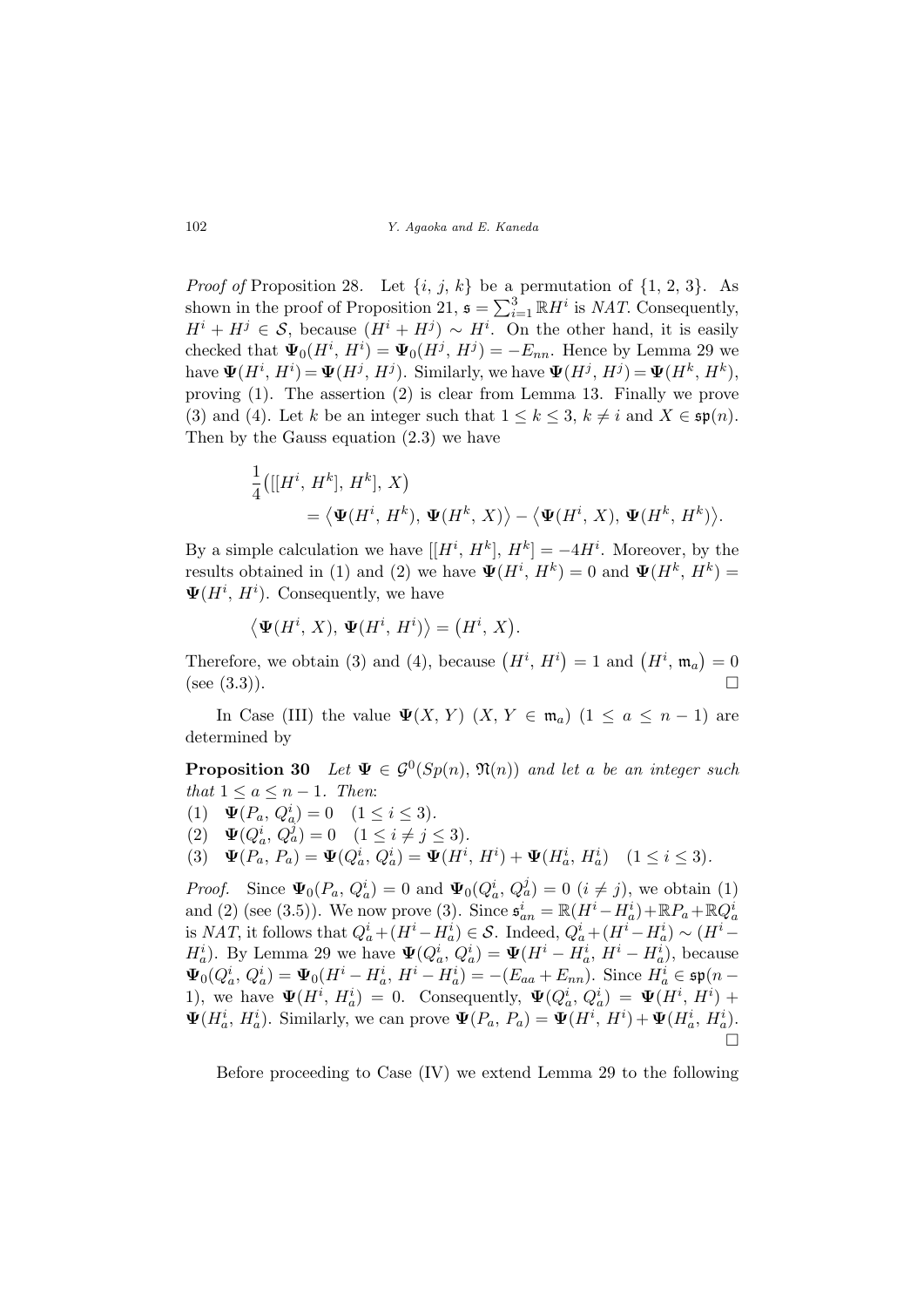*Proof of* Proposition 28. Let  $\{i, j, k\}$  be a permutation of  $\{1, 2, 3\}$ . As shown in the proof of Proposition 21,  $\mathfrak{s} = \sum_{i=1}^{3} \mathbb{R} H^{i}$  is *NAT*. Consequently,  $H^{i} + H^{j} \in \mathcal{S}$ , because  $(H^{i} + H^{j}) \sim H^{i}$ . On the other hand, it is easily checked that  $\Psi_0(H^i, H^i) = \Psi_0(H^j, H^j) = -E_{nn}$ . Hence by Lemma 29 we have  $\Psi(H^i, H^i) = \Psi(H^j, H^j)$ . Similarly, we have  $\Psi(H^j, H^j) = \Psi(H^k, H^k)$ , proving (1). The assertion (2) is clear from Lemma 13. Finally we prove (3) and (4). Let k be an integer such that  $1 \leq k \leq 3$ ,  $k \neq i$  and  $X \in \mathfrak{sp}(n)$ . Then by the Gauss equation (2.3) we have

$$
\frac{1}{4}\big([[H^i, H^k], H^k], X\big) \n= \langle \mathbf{\Psi}(H^i, H^k), \mathbf{\Psi}(H^k, X) \rangle - \langle \mathbf{\Psi}(H^i, X), \mathbf{\Psi}(H^k, H^k) \rangle.
$$

By a simple calculation we have  $[[H^i, H^k], H^k] = -4H^i$ . Moreover, by the results obtained in (1) and (2) we have  $\Psi(H^i, H^k) = 0$  and  $\Psi(H^k, H^k) =$  $\Psi(H^i, H^i)$ . Consequently, we have

$$
\langle \mathbf{\Psi}(H^i, X), \mathbf{\Psi}(H^i, H^i) \rangle = (H^i, X).
$$

Therefore, we obtain (3) and (4), because  $(H^i, H^i) = 1$  and  $(H^i, \mathfrak{m}_a)$ ¢  $= 0$  $(see (3.3)).$ 

In Case (III) the value  $\Psi(X, Y)$   $(X, Y \in \mathfrak{m}_a)$   $(1 \le a \le n-1)$  are determined by

**Proposition 30** Let  $\Psi \in \mathcal{G}^0(Sp(n), \mathfrak{N}(n))$  and let a be an integer such that  $1 \leq a \leq n-1$ . Then:

(1)  $\mathbf{\Psi}(P_a, Q_a^i) = 0 \quad (1 \leq i \leq 3).$ 

(2)  $\Psi(Q_a^i, Q_a^j) = 0 \quad (1 \leq i \neq j \leq 3).$ 

(3)  $\Psi(P_a, P_a) = \Psi(Q_a^i, Q_a^i) = \Psi(H^i, H^i) + \Psi(H_a^i, H_a^i)$   $(1 \le i \le 3)$ .

*Proof.* Since  $\Psi_0(P_a, Q_a^i) = 0$  and  $\Psi_0(Q_a^i, Q_a^j) = 0$   $(i \neq j)$ , we obtain (1) and (2) (see (3.5)). We now prove (3). Since  $\mathfrak{s}_{an}^i = \mathbb{R}(H^i - H^i_a) + \mathbb{R}P_a + \mathbb{R}Q^i_a$ is NAT, it follows that  $Q_a^i + (H^i - H_a^i) \in \mathcal{S}$ . Indeed,  $Q_a^i + (H^i - H_a^i) \sim (H^i H_a^i$ ). By Lemma 29 we have  $\Psi(Q_a^i, Q_a^i) = \Psi(H^i - H_a^i, H^i - H_a^i)$ , because  $\Psi_0(Q_a^i, Q_a^i) = \Psi_0(H^i - H_a^i, H^i - H_a^i) = -(E_{aa} + E_{nn}).$  Since  $H_a^i \in \mathfrak{sp}(n-$ 1), we have  $\Psi(H^i, H^i_a) = 0$ . Consequently,  $\Psi(Q^i_a, Q^i_a) = \Psi(H^i, H^i) +$  $\Psi(H_a^i, H_a^i)$ . Similarly, we can prove  $\Psi(P_a, P_a) = \Psi(H^i, H^i) + \Psi(H_a^i, H_a^i)$ . ¤

Before proceeding to Case (IV) we extend Lemma 29 to the following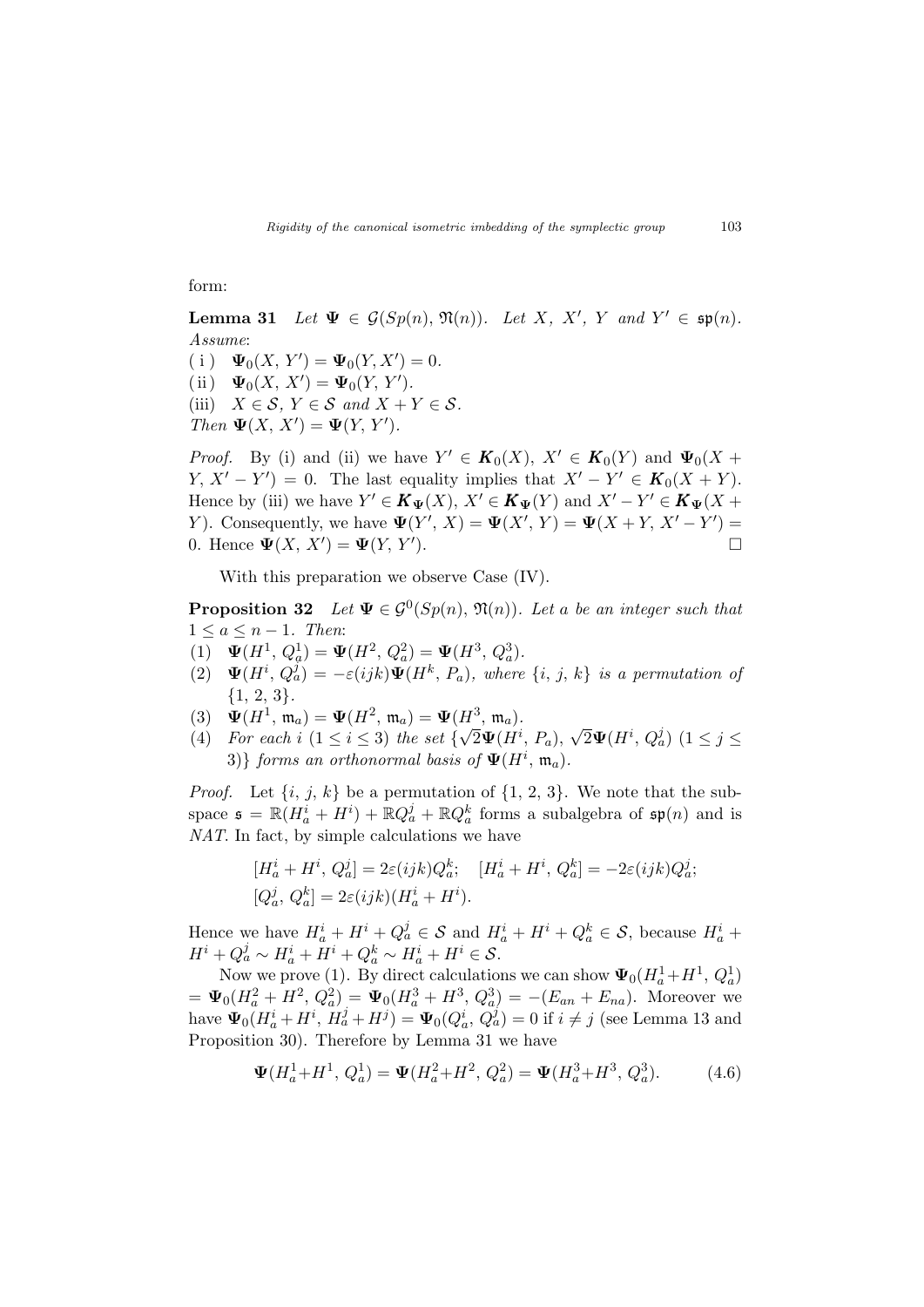form:

Lemma 31 Let  $\Psi \in \mathcal{G}(Sp(n), \mathfrak{N}(n))$ . Let X, X', Y and  $Y' \in \mathfrak{sp}(n)$ . Assume:

(i)  $\Psi_0(X, Y') = \Psi_0(Y, X') = 0.$ 

- (ii)  $\Psi_0(X, X') = \Psi_0(Y, Y').$
- (iii)  $X \in \mathcal{S}, Y \in \mathcal{S}$  and  $X + Y \in \mathcal{S}$ .
- Then  $\Psi(X, X') = \Psi(Y, Y')$ .

*Proof.* By (i) and (ii) we have  $Y' \in K_0(X)$ ,  $X' \in K_0(Y)$  and  $\Psi_0(X +$  $Y, X' - Y' = 0$ . The last equality implies that  $X' - Y' \in K_0(X + Y)$ . Hence by (iii) we have  $Y' \in K_{\Psi}(X)$ ,  $X' \in K_{\Psi}(Y)$  and  $X' - Y' \in K_{\Psi}(X +$ Y). Consequently, we have  $\Psi(Y', X) = \Psi(X', Y) = \Psi(X + Y, X' - Y')$ 0. Hence  $\Psi(X, X') = \Psi(Y, Y')$ ).  $\Box$ 

With this preparation we observe Case (IV).

**Proposition 32** Let  $\Psi \in \mathcal{G}^0(Sp(n), \mathfrak{N}(n))$ . Let a be an integer such that  $1 \leq a \leq n-1$ . Then:

- (1)  $\Psi(H^1, Q_a^1) = \Psi(H^2, Q_a^2) = \Psi(H^3, Q_a^3)$ .
- (2)  $\Psi(H^i, Q_a^j) = -\varepsilon(ijk)\Psi(H^k, P_a)$ , where  $\{i, j, k\}$  is a permutation of {1, 2, 3}.
- (3)  $\Psi(H^1, \mathfrak{m}_a) = \Psi(H^2, \mathfrak{m}_a) = \Psi(H^3, \mathfrak{m}_a)$ .
- (4) For each i  $(1 \leq i \leq 3)$  the set  $\{\sqrt{2}\Psi(H^i, P_a),\}$  $\sqrt{2}\mathbf{\Psi}(H^i, Q^j_a)$   $(1 \leq j \leq$ 3)} forms an orthonormal basis of  $\Psi(H^i, \mathfrak{m}_a)$ .

*Proof.* Let  $\{i, j, k\}$  be a permutation of  $\{1, 2, 3\}$ . We note that the subspace  $\mathfrak{s} = \mathbb{R}(H_a^i + H^i) + \mathbb{R}Q_a^j + \mathbb{R}Q_a^k$  forms a subalgebra of  $\mathfrak{sp}(n)$  and is NAT. In fact, by simple calculations we have

$$
[H_a^i + H^i, Q_a^j] = 2\varepsilon(ijk)Q_a^k; \quad [H_a^i + H^i, Q_a^k] = -2\varepsilon(ijk)Q_a^j; [Q_a^j, Q_a^k] = 2\varepsilon(ijk)(H_a^i + H^i).
$$

Hence we have  $H_a^i + H^i + Q_a^j \in \mathcal{S}$  and  $H_a^i + H^i + Q_a^k \in \mathcal{S}$ , because  $H_a^i$  +  $H^i + Q^j_a \sim H^i_a + \tilde{H}^i + Q^k_a \sim H^i_a + H^i \in \mathcal{S}.$ 

Now we prove (1). By direct calculations we can show  $\Psi_0(H_a^1 + H^1, Q_a^1)$  $= \Psi_0(H_a^2 + H^2, Q_a^2) = \Psi_0(H_a^3 + H^3, Q_a^3) = -(E_{an} + E_{na})$ . Moreover we have  $\Psi_0(H_a^i + H^i, H_a^j + H^j) = \Psi_0(Q_a^i, Q_a^j) = 0$  if  $i \neq j$  (see Lemma 13 and Proposition 30). Therefore by Lemma 31 we have

$$
\Psi(H_a^1 + H^1, Q_a^1) = \Psi(H_a^2 + H^2, Q_a^2) = \Psi(H_a^3 + H^3, Q_a^3).
$$
 (4.6)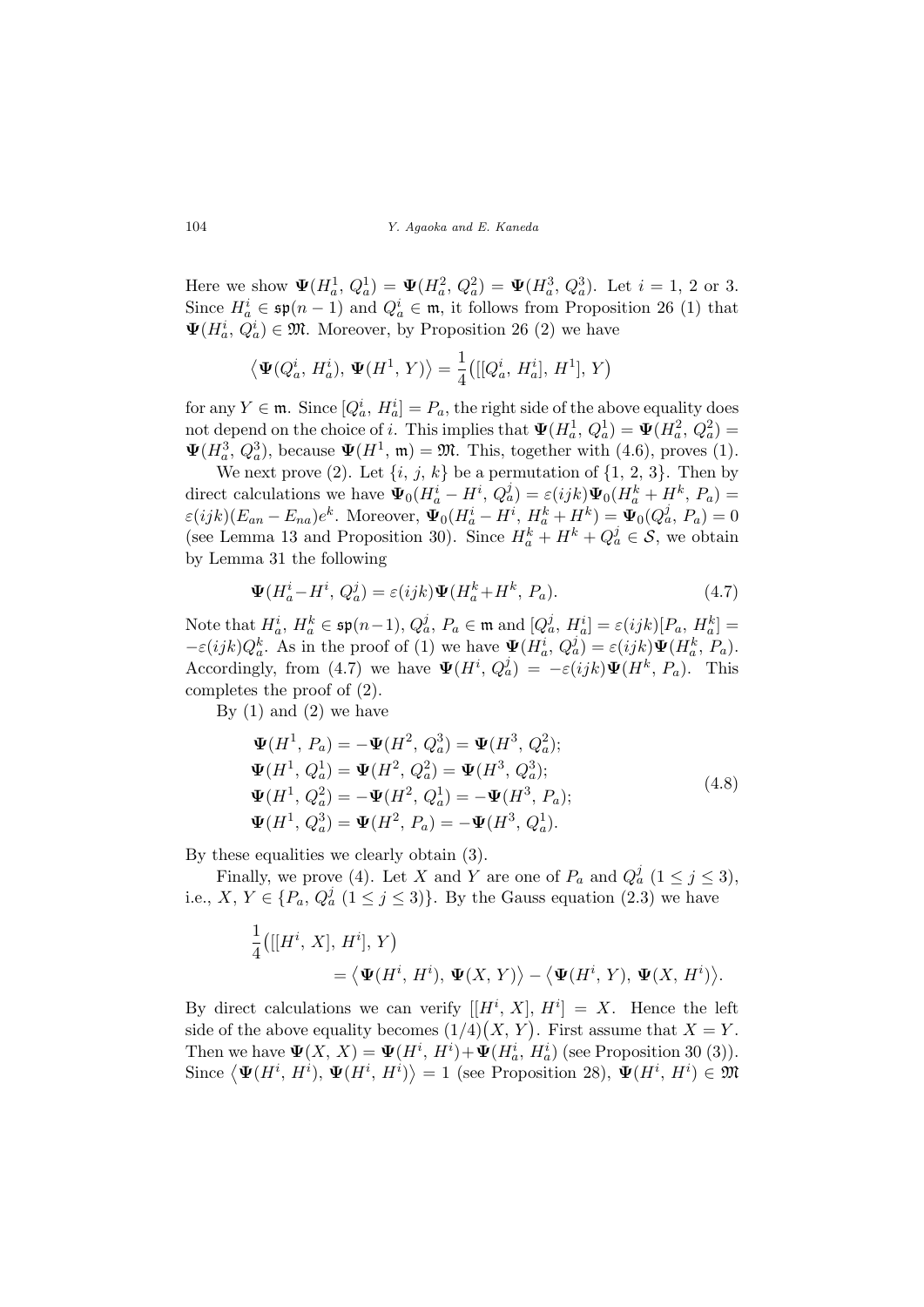Here we show  $\Psi(H_a^1, Q_a^1) = \Psi(H_a^2, Q_a^2) = \Psi(H_a^3, Q_a^3)$ . Let  $i = 1, 2$  or 3. Since  $H_a^i \in \mathfrak{sp}(n-1)$  and  $Q_a^i \in \mathfrak{m}$ , it follows from Proposition 26 (1) that  $\Psi(H_a^i, Q_a^i) \in \mathfrak{M}$ . Moreover, by Proposition 26 (2) we have

$$
\langle \Psi(Q_a^i, H_a^i), \Psi(H^1, Y) \rangle = \frac{1}{4} ([[Q_a^i, H_a^i], H^1], Y)
$$

for any  $Y \in \mathfrak{m}$ . Since  $[Q_a^i, H_a^i] = P_a$ , the right side of the above equality does not depend on the choice of i. This implies that  $\Psi(H_a^1, Q_a^1) = \Psi(H_a^2, Q_a^2) =$  $\Psi(H_a^3, Q_a^3)$ , because  $\Psi(H^1, \mathfrak{m}) = \mathfrak{M}$ . This, together with (4.6), proves (1).

We next prove (2). Let  $\{i, j, k\}$  be a permutation of  $\{1, 2, 3\}$ . Then by direct calculations we have  $\Psi_0(H_a^i - H^i, Q_a^j) = \varepsilon(ijk)\Psi_0(H_a^k + H^k, P_a) =$  $\varepsilon(ijk)(E_{an}-E_{na})e^k$ . Moreover,  $\mathbf{\Psi}_0(H_a^i-H^i, H_a^k+H^k)=\mathbf{\Psi}_0(Q_a^j, P_a)=0$ (see Lemma 13 and Proposition 30). Since  $H_a^k + H^k + Q_a^j \in \mathcal{S}$ , we obtain by Lemma 31 the following

$$
\mathbf{\Psi}(H_a^i - H^i, Q_a^j) = \varepsilon(ijk)\mathbf{\Psi}(H_a^k + H^k, P_a). \tag{4.7}
$$

Note that  $H_a^i$ ,  $H_a^k \in \mathfrak{sp}(n-1), Q_a^j$ ,  $P_a \in \mathfrak{m}$  and  $[Q_a^j, H_a^i] = \varepsilon(ijk)[P_a, H_a^k] =$  $-\varepsilon(ijk)Q_a^k$ . As in the proof of (1) we have  $\Psi(H_a^i, Q_a^j) = \varepsilon(ijk)\Psi(H_a^k, P_a)$ . Accordingly, from (4.7) we have  $\Psi(H^i, Q^j_a) = -\varepsilon(ijk)\Psi(H^k, P_a)$ . This completes the proof of (2).

By  $(1)$  and  $(2)$  we have

$$
\Psi(H^1, P_a) = -\Psi(H^2, Q_a^3) = \Psi(H^3, Q_a^2);
$$
  
\n
$$
\Psi(H^1, Q_a^1) = \Psi(H^2, Q_a^2) = \Psi(H^3, Q_a^3);
$$
  
\n
$$
\Psi(H^1, Q_a^2) = -\Psi(H^2, Q_a^1) = -\Psi(H^3, P_a);
$$
  
\n
$$
\Psi(H^1, Q_a^3) = \Psi(H^2, P_a) = -\Psi(H^3, Q_a^1).
$$
\n(4.8)

By these equalities we clearly obtain (3).

Finally, we prove (4). Let X and Y are one of  $P_a$  and  $Q_a^j$   $(1 \le j \le 3)$ , i.e.,  $X, Y \in \{P_a, Q_a^j \ (1 \leq j \leq 3)\}\.$  By the Gauss equation  $(2.3)$  we have

$$
\frac{1}{4}\big([ [H^i, X], H^i], Y \big) \n= \langle \Psi(H^i, H^i), \Psi(X, Y) \rangle - \langle \Psi(H^i, Y), \Psi(X, H^i) \rangle.
$$

By direct calculations we can verify  $[[H^i, X], H^i] = X$ . Hence the left By direct calculations we can verify  $\left[\prod_{i=1}^{n} X_i, X_i\right] = X$ . Thence the left side of the above equality becomes  $(1/4)(X, Y)$ . First assume that  $X = Y$ . Then we have  $\Psi(X, X) = \Psi(H^i, H^i) + \Psi(H^i_a, H^i_a)$  (see Proposition 30 (3)). Then we have  $\Psi(A, A) = \Psi(H, H^*) + \Psi(H_a, H_a)$  (see Proposition 30 (3)).<br>Since  $\langle \Psi(H^i, H^i), \Psi(H^i, H^i) \rangle = 1$  (see Proposition 28),  $\Psi(H^i, H^i) \in \mathfrak{M}$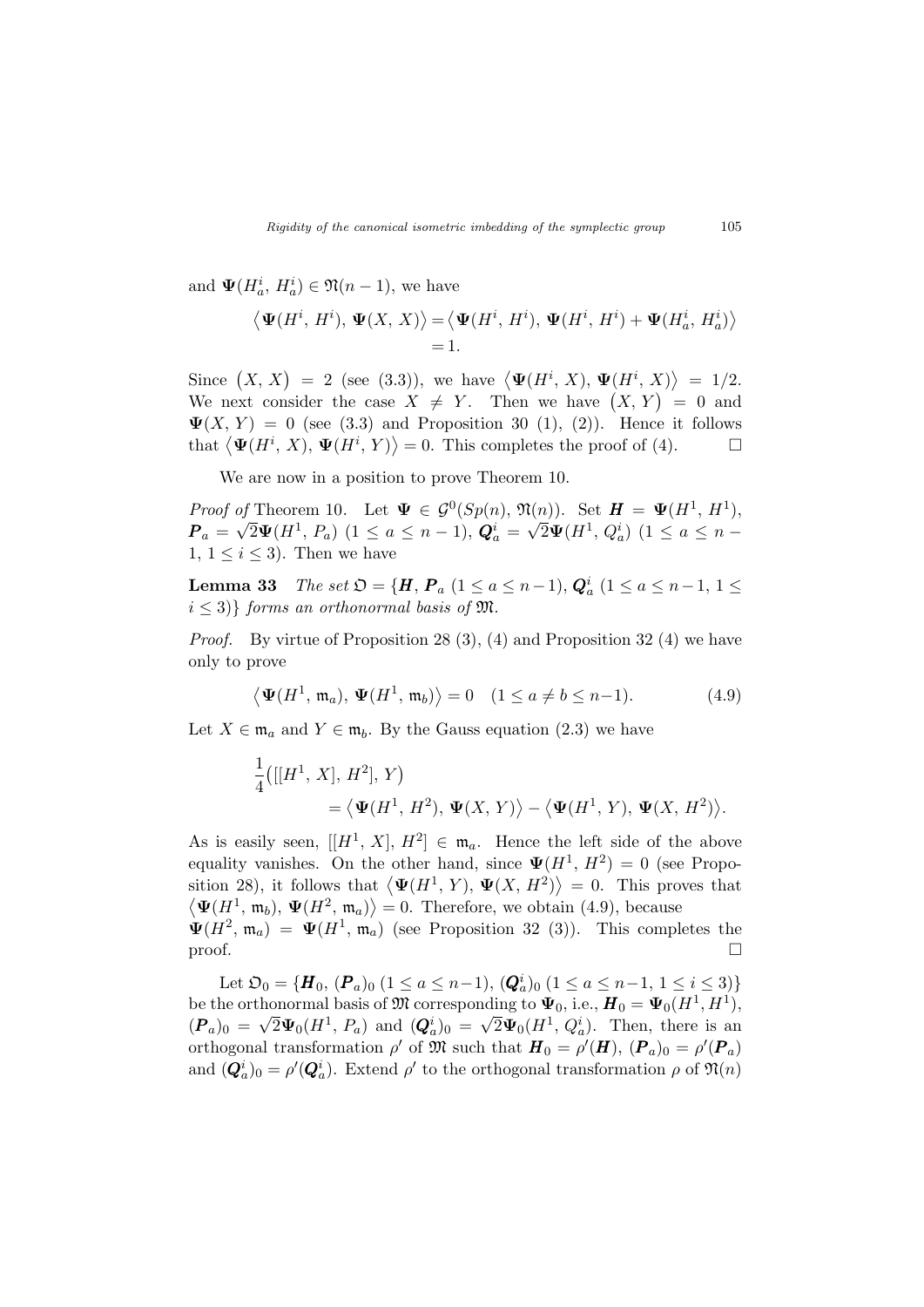and  $\Psi(H_a^i, H_a^i) \in \mathfrak{N}(n-1)$ , we have

$$
\langle \mathbf{\Psi}(H^i, H^i), \mathbf{\Psi}(X, X) \rangle = \langle \mathbf{\Psi}(H^i, H^i), \mathbf{\Psi}(H^i, H^i) + \mathbf{\Psi}(H^i_a, H^i_a) \rangle
$$
  
= 1.

Since  $(X, X) = 2$  (see (3.3)), we have  $\langle \mathbf{\Psi}(H^i, X), \mathbf{\Psi}(H^i, X) \rangle$ ®  $= 1/2.$ Since  $(X, \Lambda) = Z$  (see (5.3)), we have  $\Psi(H, \Lambda)$ ,  $\Psi(H, \Lambda) = 1/2$ .<br>We next consider the case  $X \neq Y$ . Then we have  $(X, Y) = 0$  and  $\Psi(X, Y) = 0$  (see (3.3) and Proposition 30 (1), (2)). Hence it follows  $\Psi(X, T) = 0$  (see (3.3) and Proposition 30 (1), (2)). Thence it follows<br>that  $\langle \Psi(H^i, X), \Psi(H^i, Y) \rangle = 0$ . This completes the proof of (4).

We are now in a position to prove Theorem 10.

Proof of Theorem 10. Let  $\Psi \in \mathcal{G}^0(Sp(n), \mathfrak{N}(n))$ . Set  $H = \Psi(H^1, H^1)$ ,  $\bm{P}_a = \sqrt{2} \bm{\Psi}(H^1, P_a)$   $(1 \le a \le n-1), \bm{Q}_a^i = \sqrt{2} \bm{\Psi}(H^1, Q_a^i)$   $(1 \le a \le n-1)$ 1,  $1 \leq i \leq 3$ . Then we have

**Lemma 33** The set  $\mathfrak{O} = {\{\mathbf{H}, \mathbf{P}_a \ (1 \leq a \leq n-1), \mathbf{Q}_a^i \ (1 \leq a \leq n-1, \ 1 \leq a \leq n-1, \ 1 \leq a \leq n-1, \ 1 \leq a \leq n-1, \ 1 \leq a \leq n-1, \ 1 \leq a \leq n-1, \ 1 \leq a \leq n-1, \ 1 \leq a \leq n-1, \ 1 \leq a \leq n-1, \ 1 \leq a \leq n-1, \ 1 \leq a \leq n-1, \$  $i \leq 3$ } forms an orthonormal basis of  $\mathfrak{M}$ .

*Proof.* By virtue of Proposition 28 (3), (4) and Proposition 32 (4) we have only to prove

$$
\langle \mathbf{\Psi}(H^1, \mathfrak{m}_a), \mathbf{\Psi}(H^1, \mathfrak{m}_b) \rangle = 0 \quad (1 \le a \ne b \le n-1). \tag{4.9}
$$

Let  $X \in \mathfrak{m}_a$  and  $Y \in \mathfrak{m}_b$ . By the Gauss equation (2.3) we have

$$
\frac{1}{4}([ [H^1, X], H^2], Y)
$$
  
=  $\langle \Psi(H^1, H^2), \Psi(X, Y) \rangle - \langle \Psi(H^1, Y), \Psi(X, H^2) \rangle.$ 

As is easily seen,  $[[H^1, X], H^2] \in \mathfrak{m}_a$ . Hence the left side of the above equality vanishes. On the other hand, since  $\Psi(H^1, H^2) = 0$  (see Propoequality vanishes. On the other hand, since  $\Psi(H, H) = 0$  (see Proposition 28), it follows that  $\langle \Psi(H^1, Y), \Psi(X, H^2) \rangle = 0$ . This proves that  $\Psi(H^1, \mathfrak{m}_b), \Psi(H^2, \mathfrak{m}_a) \rangle = 0.$  Therefore, we obtain (4.9), because  $\Psi(H^2, \mathfrak{m}_a) = \Psi(H^1, \mathfrak{m}_a)$  (see Proposition 32 (3)). This completes the  $\Box$  proof.

Let  $\mathfrak{O}_0 = \{ H_0, (P_a)_0 \ (1 \le a \le n-1), (Q_a^i)_0 \ (1 \le a \le n-1, 1 \le i \le 3) \}$ be the orthonormal basis of  $\mathfrak{M}$  corresponding to  $\Psi_0$ , i.e.,  $H_0 = \Psi_0(H^1, H^1)$ ,  $(\mathbf{P}_a)_0 = \sqrt{2} \Psi_0(H^1, P_a)$  and  $(\mathbf{Q}_a^i)_0 = \sqrt{2} \Psi_0(H^1, Q_a^i)$ . Then, there is an orthogonal transformation  $\rho'$  of  $\mathfrak{M}$  such that  $\boldsymbol{H}_0 = \rho'(\boldsymbol{H})$ ,  $(\boldsymbol{P}_a)_0 = \rho'(\boldsymbol{P}_a)$ and  $(Q_a^i)_0 = \rho'(Q_a^i)$ . Extend  $\rho'$  to the orthogonal transformation  $\rho$  of  $\mathfrak{N}(n)$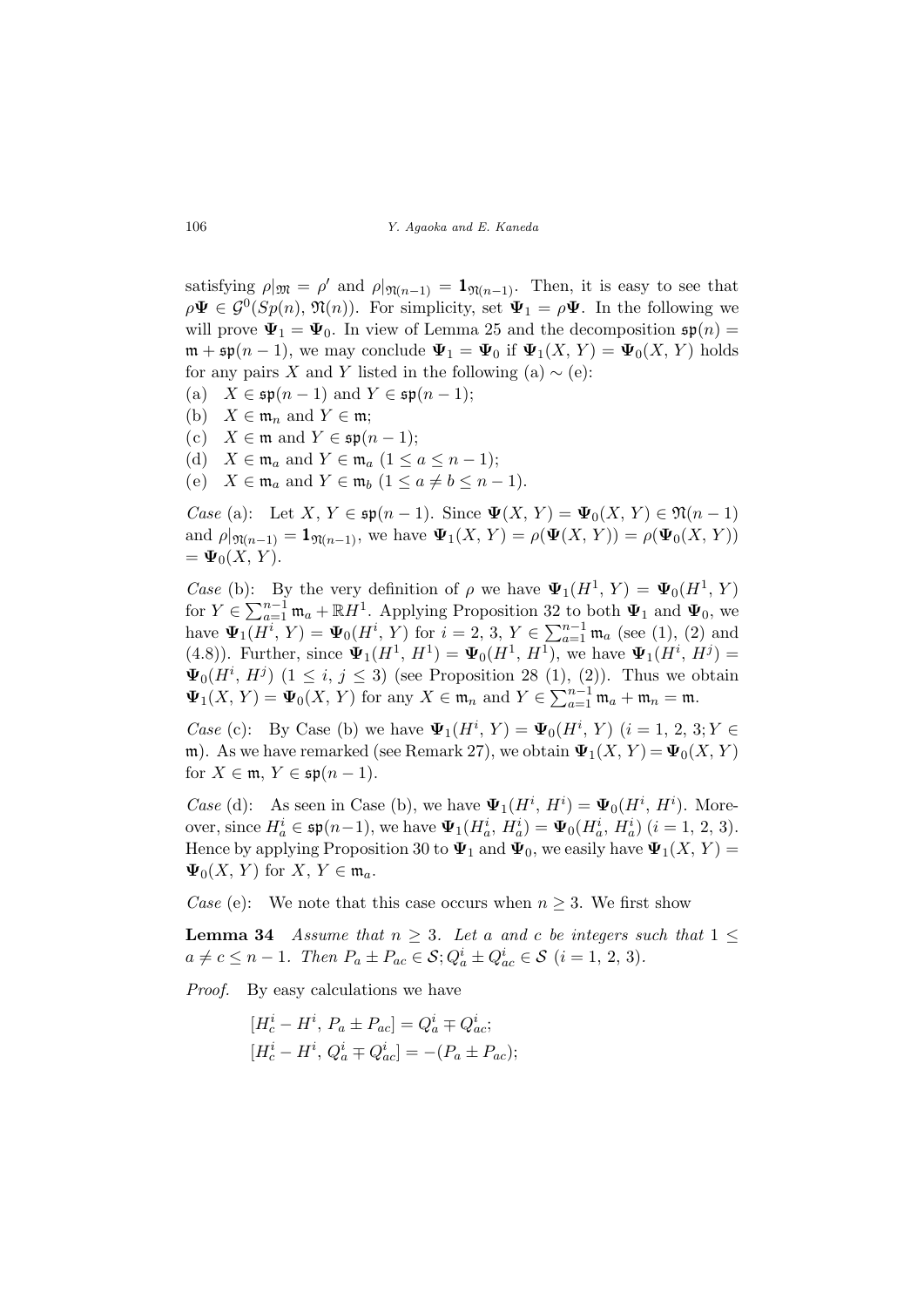satisfying  $\rho|_{\mathfrak{M}} = \rho'$  and  $\rho|_{\mathfrak{N}(n-1)} = \mathbf{1}_{\mathfrak{N}(n-1)}$ . Then, it is easy to see that  $\rho \Psi \in \mathcal{G}^0(Sp(n), \mathfrak{N}(n))$ . For simplicity, set  $\Psi_1 = \rho \Psi$ . In the following we will prove  $\Psi_1 = \Psi_0$ . In view of Lemma 25 and the decomposition  $\mathfrak{sp}(n)$  =  $\mathfrak{m} + \mathfrak{sp}(n-1)$ , we may conclude  $\Psi_1 = \Psi_0$  if  $\Psi_1(X, Y) = \Psi_0(X, Y)$  holds for any pairs X and Y listed in the following (a)  $\sim$  (e):

- (a)  $X \in \mathfrak{sp}(n-1)$  and  $Y \in \mathfrak{sp}(n-1)$ ;
- (b)  $X \in \mathfrak{m}_n$  and  $Y \in \mathfrak{m}$ ;
- (c)  $X \in \mathfrak{m}$  and  $Y \in \mathfrak{sp}(n-1);$
- (d)  $X \in \mathfrak{m}_a$  and  $Y \in \mathfrak{m}_a$   $(1 \le a \le n-1);$
- (e)  $X \in \mathfrak{m}_a$  and  $Y \in \mathfrak{m}_b$   $(1 \le a \ne b \le n-1)$ .

Case (a): Let  $X, Y \in \mathfrak{sp}(n-1)$ . Since  $\Psi(X, Y) = \Psi_0(X, Y) \in \mathfrak{N}(n-1)$ and  $\rho|_{\mathfrak{N}(n-1)} = 1_{\mathfrak{N}(n-1)}$ , we have  $\Psi_1(X, Y) = \rho(\Psi(X, Y)) = \rho(\Psi_0(X, Y))$  $= \Psi_0(X, Y).$ 

*Case* (b): By the very definition of  $\rho$  we have  $\Psi_1(H^1, Y) = \Psi_0(H^1, Y)$ For  $Y \in \sum_{a=1}^{n-1} \mathfrak{m}_a + \mathbb{R}H^1$ . Applying Proposition 32 to both  $\Psi_1$  and  $\Psi_0$ , we  $\mathbf{\Psi}_{1}(H^{i}, Y) = \mathbf{\Psi}_{0}(H^{i}, Y)$  for  $i = 2, 3, Y \in \sum_{a=1}^{n-1}$  $_{a=1}^{n-1}$  m<sub>a</sub> (see (1), (2) and (4.8)). Further, since  $\Psi_1(H^1, H^1) = \Psi_0(H^1, H^1)$ , we have  $\Psi_1(H^i, H^j) =$  $\Psi_0(H^i, H^j)$   $(1 \leq i, j \leq 3)$  (see Proposition 28 (1), (2)). Thus we obtain  $\Psi_0(H, H^{\nu})$  ( $1 \leq i, j \leq J$ ) (see 1 loposition 2.6 (1), (2)<br> $\Psi_1(X, Y) = \Psi_0(X, Y)$  for any  $X \in \mathfrak{m}_n$  and  $Y \in \sum_{n=1}^{n-1}$  $_{a=1}^{n-1}$  m<sub>a</sub> + m<sub>n</sub> = m.

*Case* (c): By Case (b) we have  $\Psi_1(H^i, Y) = \Psi_0(H^i, Y)$   $(i = 1, 2, 3; Y \in$ m). As we have remarked (see Remark 27), we obtain  $\Psi_1(X, Y) = \Psi_0(X, Y)$ for  $X \in \mathfrak{m}$ ,  $Y \in \mathfrak{sp}(n-1)$ .

*Case* (d): As seen in Case (b), we have  $\Psi_1(H^i, H^i) = \Psi_0(H^i, H^i)$ . Moreover, since  $H_a^i \in \mathfrak{sp}(n-1)$ , we have  $\Psi_1(H_a^i, H_a^i) = \Psi_0(H_a^i, H_a^i)$   $(i = 1, 2, 3)$ . Hence by applying Proposition 30 to  $\Psi_1$  and  $\Psi_0$ , we easily have  $\Psi_1(X, Y) =$  $\Psi_0(X, Y)$  for  $X, Y \in \mathfrak{m}_a$ .

*Case* (e): We note that this case occurs when  $n \geq 3$ . We first show

**Lemma 34** Assume that  $n \geq 3$ . Let a and c be integers such that  $1 \leq$  $a \neq c \leq n-1$ . Then  $P_a \pm P_{ac} \in \mathcal{S}; Q_a^i \pm Q_{ac}^i \in \mathcal{S} \ (i = 1, 2, 3)$ .

Proof. By easy calculations we have

$$
[H_c^i - H^i, P_a \pm P_{ac}] = Q_a^i \mp Q_{ac}^i;
$$
  

$$
[H_c^i - H^i, Q_a^i \mp Q_{ac}^i] = -(P_a \pm P_{ac});
$$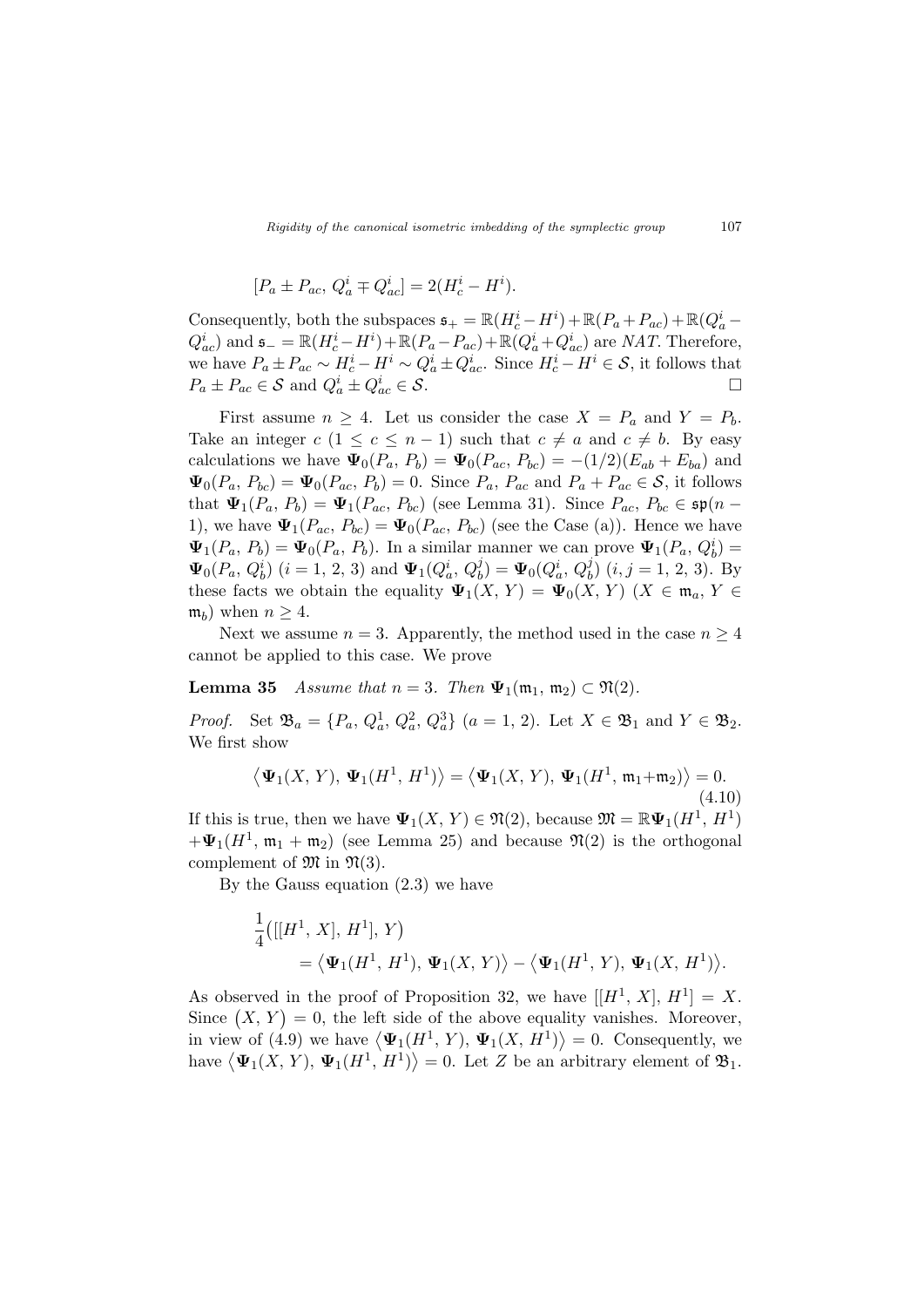$$
[P_a \pm P_{ac}, Q_a^i \mp Q_{ac}^i] = 2(H_c^i - H^i).
$$

Consequently, both the subspaces  $\mathfrak{s}_+ = \mathbb{R}(H_c^i - H^i) + \mathbb{R}(P_a + P_{ac}) + \mathbb{R}(Q_a^i Q_{ac}^{i}$ ) and  $\mathfrak{s} = \mathbb{R}(H_{c}^{i} - H^{i}) + \mathbb{R}(P_{a} - P_{ac}) + \mathbb{R}(Q_{a}^{i} + Q_{ac}^{i})$  are NAT. Therefore, we have  $P_a \pm P_{ac} \sim H_c^i - H^i \sim Q_a^i \pm Q_{ac}^i$ . Since  $H_c^i - H^i \in \mathcal{S}$ , it follows that  $P_a \pm P_{ac} \in \mathcal{S}$  and  $Q_a^i \pm Q_{ac}^i \in \mathcal{S}$ .

First assume  $n \geq 4$ . Let us consider the case  $X = P_a$  and  $Y = P_b$ . Take an integer  $c$   $(1 \leq c \leq n-1)$  such that  $c \neq a$  and  $c \neq b$ . By easy calculations we have  $\Psi_0(P_a, P_b) = \Psi_0(P_{ac}, P_{bc}) = -(1/2)(E_{ab} + E_{ba})$  and  $\Psi_0(P_a, P_{bc}) = \Psi_0(P_{ac}, P_b) = 0$ . Since  $P_a, P_{ac}$  and  $P_a + P_{ac} \in S$ , it follows that  $\Psi_1(P_a, P_b) = \Psi_1(P_{ac}, P_{bc})$  (see Lemma 31). Since  $P_{ac}, P_{bc} \in \mathfrak{sp}(n-$ 1), we have  $\Psi_1(P_{ac}, P_{bc}) = \Psi_0(P_{ac}, P_{bc})$  (see the Case (a)). Hence we have  $\Psi_1(P_a, P_b) = \Psi_0(P_a, P_b)$ . In a similar manner we can prove  $\Psi_1(P_a, Q_b^i) =$  $\Psi_0(P_a, Q_b^i)$   $(i = 1, 2, 3)$  and  $\Psi_1(Q_a^i, Q_b^j) = \Psi_0(Q_a^i, Q_b^j)$   $(i, j = 1, 2, 3)$ . By these facts we obtain the equality  $\Psi_1(X, Y) = \Psi_0(X, Y)$   $(X \in \mathfrak{m}_a, Y \in$  $(\mathfrak{m}_b)$  when  $n \geq 4$ .

Next we assume  $n = 3$ . Apparently, the method used in the case  $n \geq 4$ cannot be applied to this case. We prove

**Lemma 35** Assume that  $n = 3$ . Then  $\Psi_1(\mathfrak{m}_1, \mathfrak{m}_2) \subset \mathfrak{N}(2)$ .

*Proof.* Set  $\mathfrak{B}_a = \{P_a, Q_a^1, Q_a^2, Q_a^3\}$   $(a = 1, 2)$ . Let  $X \in \mathfrak{B}_1$  and  $Y \in \mathfrak{B}_2$ . We first show

$$
\langle \mathbf{\Psi}_1(X, Y), \mathbf{\Psi}_1(H^1, H^1) \rangle = \langle \mathbf{\Psi}_1(X, Y), \mathbf{\Psi}_1(H^1, \mathfrak{m}_1 + \mathfrak{m}_2) \rangle = 0.
$$
\n(4.10)

If this is true, then we have  $\Psi_1(X, Y) \in \mathfrak{N}(2)$ , because  $\mathfrak{M} = \mathbb{R}\Psi_1(H^1, H^1)$  $+\Psi_1(H^1, \mathfrak{m}_1 + \mathfrak{m}_2)$  (see Lemma 25) and because  $\mathfrak{N}(2)$  is the orthogonal complement of  $\mathfrak{M}$  in  $\mathfrak{N}(3)$ .

By the Gauss equation (2.3) we have

$$
\frac{1}{4}([ [H^1, X], H^1], Y)
$$
  
=  $\langle \Psi_1(H^1, H^1), \Psi_1(X, Y) \rangle - \langle \Psi_1(H^1, Y), \Psi_1(X, H^1) \rangle.$ 

As observed in the proof of Proposition 32, we have  $[[H^1, X], H^1] = X$ . As observed in the proof of Proposition 32, we have  $[[H, \Lambda], H] = \Lambda$ .<br>Since  $(X, Y) = 0$ , the left side of the above equality vanishes. Moreover, since  $(X, Y) = 0$ , the left side of the above equality vanishes. Moreover,<br>in view of (4.9) we have  $\langle \Psi_1(H^1, Y), \Psi_1(X, H^1) \rangle = 0$ . Consequently, we In view of (4.9) we have  $\langle \Psi_1(H, T), \Psi_1(A, H) \rangle = 0$ . Consequently, we have  $\langle \Psi_1(X, Y), \Psi_1(H^1, H^1) \rangle = 0$ . Let Z be an arbitrary element of  $\mathfrak{B}_1$ .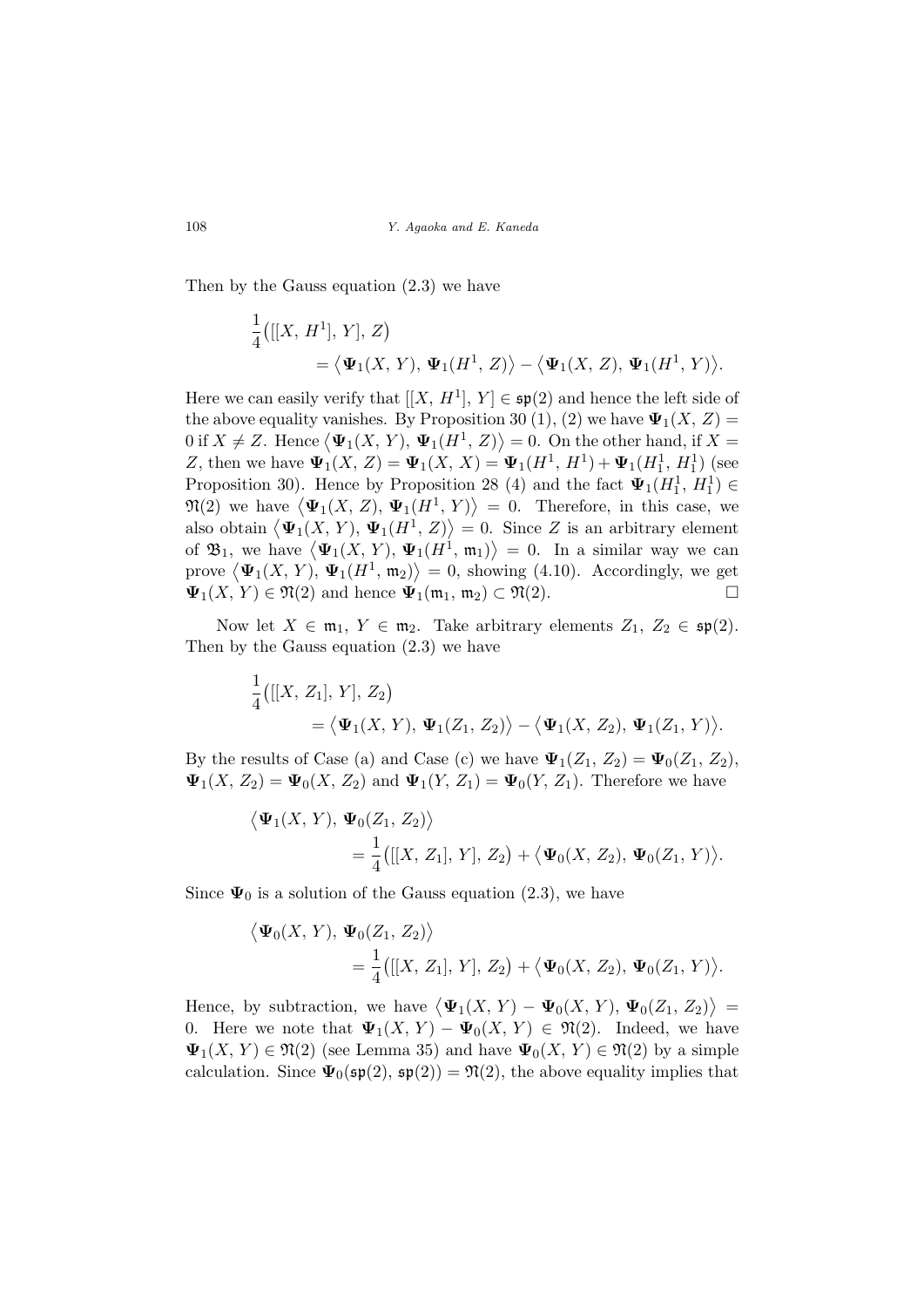Then by the Gauss equation (2.3) we have

$$
\begin{aligned} &\frac{1}{4}\big([[X,\,H^1],\,Y],\,Z\big) \\ &=\big\langle \mathbf{\Psi}_1(X,\,Y),\,\mathbf{\Psi}_1\big(H^1,\,Z\big)\big\rangle - \big\langle \mathbf{\Psi}_1(X,\,Z),\,\mathbf{\Psi}_1\big(H^1,\,Y\big)\big\rangle. \end{aligned}
$$

Here we can easily verify that  $[[X, H^1], Y] \in \mathfrak{sp}(2)$  and hence the left side of the above equality vanishes. By Proposition 30 (1), (2) we have  $\Psi_1(X, Z) =$ the above equality vanishes. By Proposition 30 (1), (2) we have  $\Psi_1(A, Z) = 0$  if  $X \neq Z$ . Hence  $\langle \Psi_1(X, Y), \Psi_1(H^1, Z) \rangle = 0$ . On the other hand, if  $X =$ Z, then we have  $\Psi_1(X, Z) = \Psi_1(X, X) = \Psi_1(H^1, H^1) + \Psi_1(H_1^1, H_1^1)$  (see Proposition 30). Hence by Proposition 28 (4) and the fact  $\Psi_1(H_1^1, H_1^1) \in$ Proposition 30). Hence by Proposition 28 (4) and the fact  $\Psi_1(H_1, H_1) \in \mathfrak{N}(2)$  we have  $\langle \Psi_1(X, Z), \Psi_1(H^1, Y) \rangle = 0$ . Therefore, in this case, we  $\mathcal{P}((Z)$  we have  $\langle \Psi_1(A, Z), \Psi_1(H, T) \rangle = 0$ . Therefore, in this case, we also obtain  $\langle \Psi_1(X, Y), \Psi_1(H^1, Z) \rangle = 0$ . Since Z is an arbitrary element also obtain  $\langle \Psi_1(X, Y), \Psi_1(H^*, Z) \rangle = 0$ . Since Z is an arbitrary element<br>of  $\mathfrak{B}_1$ , we have  $\langle \Psi_1(X, Y), \Psi_1(H^1, \mathfrak{m}_1) \rangle = 0$ . In a similar way we can or  $\mathfrak{D}_1$ , we have  $\langle \Psi_1(\Lambda, Y), \Psi_1(\Pi, \mathfrak{m}_1) \rangle = 0$ . In a similar way we can<br>prove  $\langle \Psi_1(X, Y), \Psi_1(H^1, \mathfrak{m}_2) \rangle = 0$ , showing (4.10). Accordingly, we get  $\Psi_1(X, Y) \in \mathfrak{N}(2)$  and hence  $\Psi_1(\mathfrak{m}_1, \mathfrak{m}_2) \subset \mathfrak{N}(2)$ .

Now let  $X \in \mathfrak{m}_1$ ,  $Y \in \mathfrak{m}_2$ . Take arbitrary elements  $Z_1, Z_2 \in \mathfrak{sp}(2)$ . Then by the Gauss equation (2.3) we have

$$
\frac{1}{4}([[X, Z_1], Y], Z_2)
$$
  
=  $\langle \Psi_1(X, Y), \Psi_1(Z_1, Z_2) \rangle - \langle \Psi_1(X, Z_2), \Psi_1(Z_1, Y) \rangle.$ 

By the results of Case (a) and Case (c) we have  $\Psi_1(Z_1, Z_2) = \Psi_0(Z_1, Z_2)$ ,  $\Psi_1(X, Z_2) = \Psi_0(X, Z_2)$  and  $\Psi_1(Y, Z_1) = \Psi_0(Y, Z_1)$ . Therefore we have

$$
\langle \Psi_1(X, Y), \Psi_0(Z_1, Z_2) \rangle
$$
  
=  $\frac{1}{4}([[X, Z_1], Y], Z_2) + \langle \Psi_0(X, Z_2), \Psi_0(Z_1, Y) \rangle$ .

Since  $\Psi_0$  is a solution of the Gauss equation (2.3), we have

$$
\langle \Psi_0(X, Y), \Psi_0(Z_1, Z_2) \rangle
$$
  
=  $\frac{1}{4}([[X, Z_1], Y], Z_2) + \langle \Psi_0(X, Z_2), \Psi_0(Z_1, Y) \rangle.$ 

Hence, by subtraction, we have  $\langle \Psi_1(X, Y) - \Psi_0(X, Y), \Psi_0(Z_1, Z_2) \rangle$ ® = 0. Here we note that  $\Psi_1(X, Y) - \Psi_0(X, Y) \in \mathfrak{N}(2)$ . Indeed, we have  $\Psi_1(X, Y) \in \mathfrak{N}(2)$  (see Lemma 35) and have  $\Psi_0(X, Y) \in \mathfrak{N}(2)$  by a simple calculation. Since  $\Psi_0(\mathfrak{sp}(2), \mathfrak{sp}(2)) = \mathfrak{N}(2)$ , the above equality implies that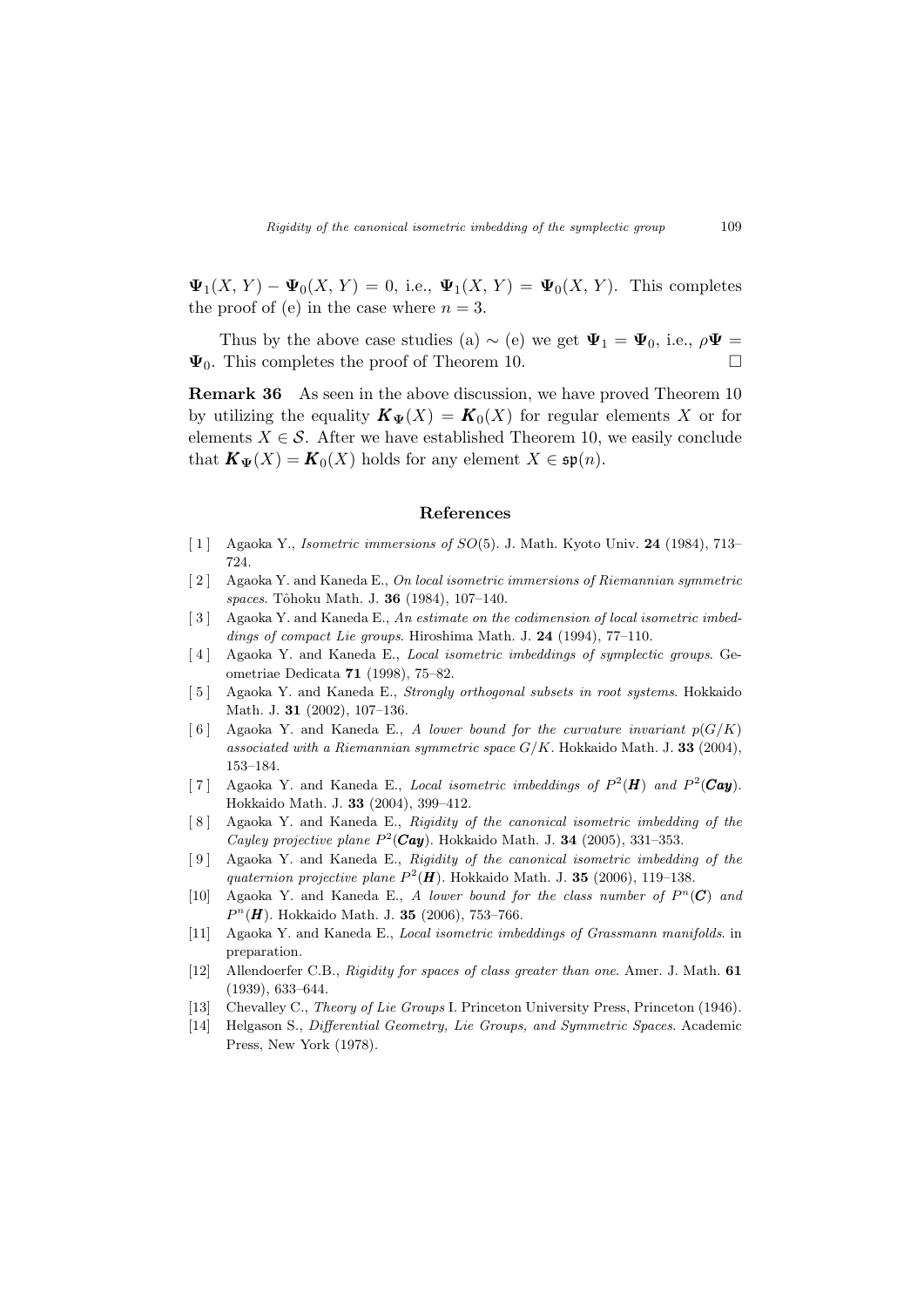$\Psi_1(X, Y) - \Psi_0(X, Y) = 0$ , i.e.,  $\Psi_1(X, Y) = \Psi_0(X, Y)$ . This completes the proof of (e) in the case where  $n = 3$ .

Thus by the above case studies (a)  $\sim$  (e) we get  $\Psi_1 = \Psi_0$ , i.e.,  $\rho \Psi =$  $\Psi_0$ . This completes the proof of Theorem 10.

Remark 36 As seen in the above discussion, we have proved Theorem 10 by utilizing the equality  $\mathbf{K}_{\Psi}(X) = \mathbf{K}_0(X)$  for regular elements X or for elements  $X \in \mathcal{S}$ . After we have established Theorem 10, we easily conclude that  $\mathbf{K}_{\Psi}(X) = \mathbf{K}_0(X)$  holds for any element  $X \in \mathfrak{sp}(n)$ .

#### References

- [ 1 ] Agaoka Y., Isometric immersions of SO(5). J. Math. Kyoto Univ. 24 (1984), 713– 724.
- [ 2 ] Agaoka Y. and Kaneda E., On local isometric immersions of Riemannian symmetric spaces. Tôhoku Math. J. 36 (1984), 107-140.
- [ 3 ] Agaoka Y. and Kaneda E., An estimate on the codimension of local isometric imbeddings of compact Lie groups. Hiroshima Math. J. 24 (1994), 77-110.
- [ 4 ] Agaoka Y. and Kaneda E., Local isometric imbeddings of symplectic groups. Geometriae Dedicata 71 (1998), 75–82.
- [5] Agaoka Y. and Kaneda E., *Strongly orthogonal subsets in root systems*. Hokkaido Math. J. 31 (2002), 107–136.
- [6] Agaoka Y. and Kaneda E., A lower bound for the curvature invariant  $p(G/K)$ associated with a Riemannian symmetric space  $G/K$ . Hokkaido Math. J. 33 (2004), 153–184.
- [7] Agaoka Y. and Kaneda E., Local isometric imbeddings of  $P^2(\mathbf{H})$  and  $P^2(\mathbf{Cay})$ . Hokkaido Math. J. 33 (2004), 399–412.
- [ 8 ] Agaoka Y. and Kaneda E., Rigidity of the canonical isometric imbedding of the Cayley projective plane  $P^2$ (Cay). Hokkaido Math. J. 34 (2005), 331–353.
- [9] Agaoka Y. and Kaneda E., Rigidity of the canonical isometric imbedding of the quaternion projective plane  $P^2(\mathbf{H})$ . Hokkaido Math. J. 35 (2006), 119-138.
- [10] Agaoka Y. and Kaneda E., A lower bound for the class number of  $P^{n}(C)$  and  $P^{n}(\mathbf{H})$ . Hokkaido Math. J. 35 (2006), 753-766.
- [11] Agaoka Y. and Kaneda E., Local isometric imbeddings of Grassmann manifolds. in preparation.
- [12] Allendoerfer C.B., Rigidity for spaces of class greater than one. Amer. J. Math. 61 (1939), 633–644.
- [13] Chevalley C., Theory of Lie Groups I. Princeton University Press, Princeton (1946).
- [14] Helgason S., Differential Geometry, Lie Groups, and Symmetric Spaces. Academic Press, New York (1978).